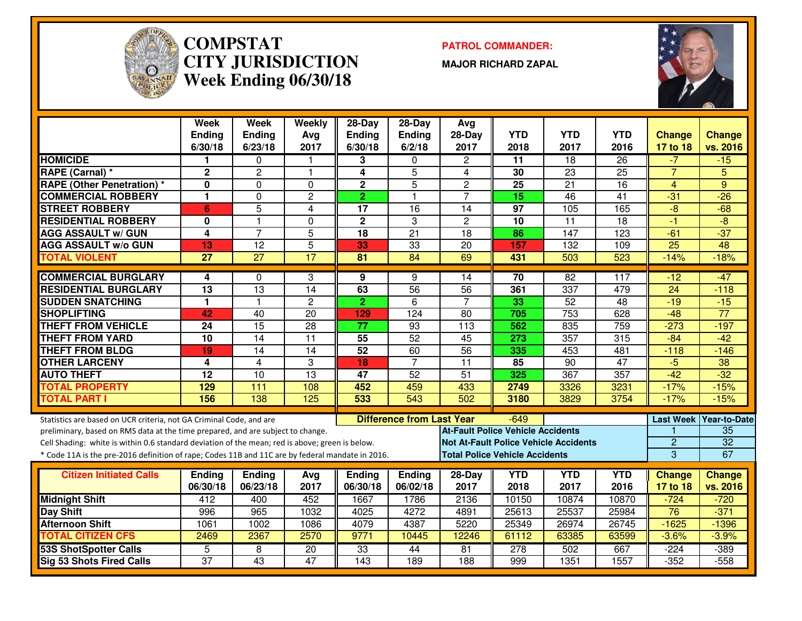

#### **COMPSTAT PATROL COMMANDER: CITY JURISDICTIONWeek Ending 06/30/18**

**MAJOR RICHARD ZAPAL**



|                                                                                                  | Week<br><b>Ending</b><br>6/30/18 | Week<br><b>Ending</b><br>6/23/18 | Weekly<br>Avg<br>2017 | 28-Day<br><b>Ending</b><br>6/30/18 | $28-Day$<br>Ending<br>6/2/18     | Avg<br>$28-Day$<br>2017                  | <b>YTD</b><br>2018                    | <b>YTD</b><br>2017                           | <b>YTD</b><br>2016 | Change<br>17 to 18 | Change<br>vs. 2016     |
|--------------------------------------------------------------------------------------------------|----------------------------------|----------------------------------|-----------------------|------------------------------------|----------------------------------|------------------------------------------|---------------------------------------|----------------------------------------------|--------------------|--------------------|------------------------|
| <b>HOMICIDE</b>                                                                                  |                                  | $\Omega$                         |                       | 3                                  | $\mathbf{0}$                     | $\overline{2}$                           | $\overline{11}$                       | $\overline{18}$                              | $\overline{26}$    | $-7$               | $-15$                  |
| <b>RAPE (Carnal) *</b>                                                                           | $\overline{2}$                   | $\overline{2}$                   | $\mathbf{1}$          | $\overline{4}$                     | $\overline{5}$                   | 4                                        | $\overline{30}$                       | 23                                           | $\overline{25}$    | $\overline{7}$     | 5                      |
| <b>RAPE (Other Penetration) *</b>                                                                | $\mathbf{0}$                     | $\mathbf 0$                      | $\mathbf 0$           | $\overline{2}$                     | $\overline{5}$                   | $\overline{2}$                           | $\overline{25}$                       | $\overline{21}$                              | $\overline{16}$    | $\overline{4}$     | 9                      |
| <b>COMMERCIAL ROBBERY</b>                                                                        | 1                                | $\mathbf 0$                      | $\overline{2}$        | $\overline{2}$                     | $\overline{1}$                   | $\overline{7}$                           | $\overline{15}$                       | $\overline{46}$                              | $\overline{41}$    | $-31$              | $-26$                  |
| <b>STREET ROBBERY</b>                                                                            | 6                                | $\overline{5}$                   | 4                     | $\overline{17}$                    | $\overline{16}$                  | 14                                       | 97                                    | 105                                          | 165                | $\overline{-8}$    | $-68$                  |
| <b>RESIDENTIAL ROBBERY</b>                                                                       | $\mathbf{0}$                     | $\mathbf{1}$                     | $\mathbf 0$           | $\overline{2}$                     | 3                                | $\overline{2}$                           | $\overline{10}$                       | $\overline{11}$                              | $\overline{18}$    | $-1$               | $-8$                   |
| <b>AGG ASSAULT w/ GUN</b>                                                                        | 4                                | $\overline{7}$                   | $\overline{5}$        | 18                                 | $\overline{21}$                  | $\overline{18}$                          | 86                                    | 147                                          | 123                | $-61$              | $-37$                  |
| <b>AGG ASSAULT w/o GUN</b>                                                                       | 13                               | 12                               | $\overline{5}$        | 33                                 | $\overline{33}$                  | $\overline{20}$                          | 157                                   | 132                                          | 109                | $\overline{25}$    | $\overline{48}$        |
| <b>TOTAL VIOLENT</b>                                                                             | $\overline{27}$                  | $\overline{27}$                  | $\overline{17}$       | 81                                 | 84                               | 69                                       | 431                                   | 503                                          | 523                | $-14%$             | $-18%$                 |
| <b>COMMERCIAL BURGLARY</b>                                                                       | 4                                |                                  | 3                     | 9                                  | 9                                | 14                                       | $\overline{70}$                       | $\overline{82}$                              | 117                | $-12$              | $-47$                  |
| <b>RESIDENTIAL BURGLARY</b>                                                                      | 13                               | $\Omega$<br>13                   | 14                    | 63                                 | 56                               | 56                                       |                                       | 337                                          |                    | $\overline{24}$    |                        |
| <b>SUDDEN SNATCHING</b>                                                                          | $\mathbf{1}$                     | $\mathbf{1}$                     | $\mathbf{2}$          | $\overline{2}$                     | 6                                | $\overline{7}$                           | 361<br>33                             | $\overline{52}$                              | 479<br>48          | $-19$              | $-118$<br>$-15$        |
| <b>SHOPLIFTING</b>                                                                               | 42                               | 40                               | $\overline{20}$       | 129                                | 124                              | $\overline{80}$                          | 705                                   | 753                                          | 628                | $-48$              | $\overline{77}$        |
| <b>THEFT FROM VEHICLE</b>                                                                        | $\overline{24}$                  | $\overline{15}$                  | 28                    | $\overline{77}$                    | $\overline{93}$                  | $\overline{113}$                         | 562                                   | 835                                          | 759                | $-273$             | $-197$                 |
| <b>THEFT FROM YARD</b>                                                                           | 10                               | $\overline{14}$                  | $\overline{11}$       | 55                                 | 52                               | 45                                       | 273                                   | 357                                          | 315                | $-84$              | $-42$                  |
| <b>THEFT FROM BLDG</b>                                                                           | 19                               | 14                               | $\overline{14}$       | $\overline{52}$                    | 60                               | $\overline{56}$                          | 335                                   | 453                                          | 481                | $-118$             | $-146$                 |
| <b>OTHER LARCENY</b>                                                                             | 4                                | $\overline{4}$                   | 3                     | 18                                 | $\overline{7}$                   | 11                                       | 85                                    | 90                                           | 47                 | $-5$               | 38                     |
| <b>AUTO THEFT</b>                                                                                | $\overline{12}$                  | $\overline{10}$                  | 13                    | $\overline{47}$                    | 52                               | $\overline{51}$                          | 325                                   | 367                                          | 357                | $-42$              | $-32$                  |
| <b>TOTAL PROPERTY</b>                                                                            | 129                              | $\overline{111}$                 | 108                   | 452                                | 459                              | 433                                      | 2749                                  | 3326                                         | 3231               | $-17%$             | $-15%$                 |
| <b>TOTAL PART I</b>                                                                              | 156                              | 138                              | 125                   | 533                                | 543                              | 502                                      | 3180                                  | 3829                                         | 3754               | $-17%$             | $-15%$                 |
|                                                                                                  |                                  |                                  |                       |                                    |                                  |                                          |                                       |                                              |                    |                    |                        |
| Statistics are based on UCR criteria, not GA Criminal Code, and are                              |                                  |                                  |                       |                                    | <b>Difference from Last Year</b> |                                          | $-649$                                |                                              |                    |                    | Last Week Year-to-Date |
| preliminary, based on RMS data at the time prepared, and are subject to change.                  |                                  |                                  |                       |                                    |                                  | <b>At-Fault Police Vehicle Accidents</b> |                                       |                                              |                    |                    | 35                     |
| Cell Shading: white is within 0.6 standard deviation of the mean; red is above; green is below.  |                                  |                                  |                       |                                    |                                  |                                          |                                       | <b>Not At-Fault Police Vehicle Accidents</b> |                    | $\overline{2}$     | $\overline{32}$        |
| * Code 11A is the pre-2016 definition of rape; Codes 11B and 11C are by federal mandate in 2016. |                                  |                                  |                       |                                    |                                  |                                          | <b>Total Police Vehicle Accidents</b> |                                              |                    | $\overline{3}$     | 67                     |
| <b>Citizen Initiated Calls</b>                                                                   | <b>Ending</b>                    | <b>Ending</b>                    | Avg                   | Ending                             | <b>Ending</b>                    | 28-Day                                   | <b>YTD</b>                            | <b>YTD</b>                                   | <b>YTD</b>         | <b>Change</b>      | Change                 |
|                                                                                                  | 06/30/18                         | 06/23/18                         | 2017                  | 06/30/18                           | 06/02/18                         | 2017                                     | 2018                                  | 2017                                         | 2016               | 17 to 18           | vs. 2016               |
| <b>Midnight Shift</b>                                                                            | 412                              | 400                              | 452                   | 1667                               | 1786                             | 2136                                     | 10150                                 | 10874                                        | 10870              | $-724$             | $-720$                 |
| <b>Day Shift</b>                                                                                 | 996                              | 965                              | 1032                  | 4025                               | 4272                             | 4891                                     | 25613                                 | 25537                                        | 25984              | 76                 | $-371$                 |
| <b>Afternoon Shift</b>                                                                           | 1061                             | 1002                             | 1086                  | 4079                               | 4387                             | 5220                                     | 25349                                 | 26974                                        | 26745              | $-1625$            | $-1396$                |
| <b>TOTAL CITIZEN CFS</b>                                                                         | 2469                             | 2367                             | 2570                  | 9771                               | 10445                            | 12246                                    | 61112                                 | 63385                                        | 63599              | $-3.6%$            | $-3.9%$                |
| <b>53S ShotSpotter Calls</b>                                                                     | 5                                | 8                                | $\overline{20}$       | $\overline{33}$                    | 44                               | 81                                       | 278                                   | 502                                          | 667                | $-224$             | $-389$                 |
| <b>Sig 53 Shots Fired Calls</b>                                                                  | $\overline{37}$                  | 43                               | $\overline{47}$       | $\overline{143}$                   | 189                              | 188                                      | 999                                   | 1351                                         | 1557               | $-352$             | $-558$                 |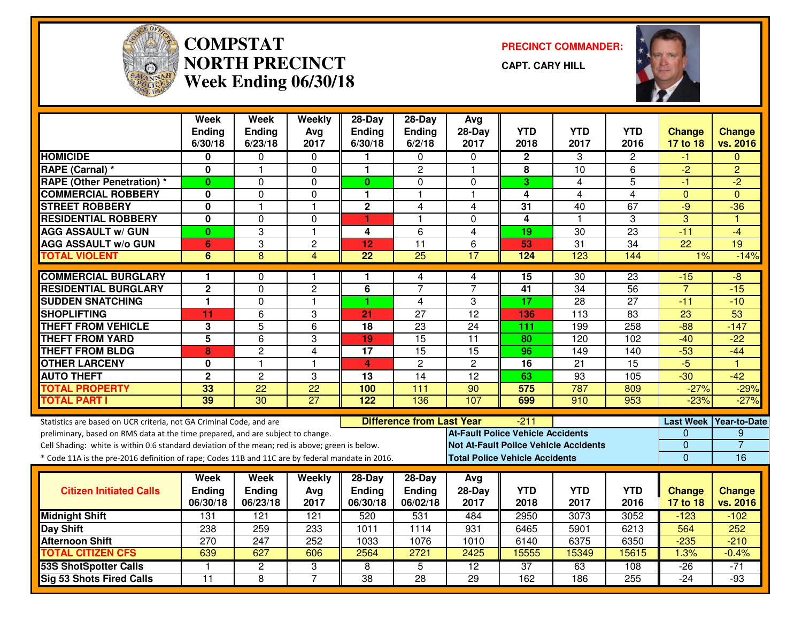

# **COMPSTAT PRECINCT COMMANDER: NORTH PRECINCTWeek Ending 06/30/18**

**CAPT. CARY HILL**



|                                                                                                                                                                                                                                                                                                                                                               | <b>Week</b><br><b>Ending</b><br>6/30/18 | <b>Week</b><br><b>Ending</b><br>6/23/18 | Weekly<br>Avg<br>2017 | 28-Day<br><b>Ending</b><br>6/30/18 | $28-Dav$<br>Ending<br>6/2/18     | Avg<br>$28-Day$<br>2017                                                                                                           | <b>YTD</b><br>2018 | <b>YTD</b><br>2017 | <b>YTD</b><br>2016 | <b>Change</b><br>17 to 18                           | <b>Change</b><br>vs. 2016                        |
|---------------------------------------------------------------------------------------------------------------------------------------------------------------------------------------------------------------------------------------------------------------------------------------------------------------------------------------------------------------|-----------------------------------------|-----------------------------------------|-----------------------|------------------------------------|----------------------------------|-----------------------------------------------------------------------------------------------------------------------------------|--------------------|--------------------|--------------------|-----------------------------------------------------|--------------------------------------------------|
| <b>HOMICIDE</b>                                                                                                                                                                                                                                                                                                                                               | 0                                       | 0                                       | 0                     |                                    | 0                                | $\Omega$                                                                                                                          | $\mathbf{2}$       | 3                  | 2                  | -1                                                  | $\Omega$                                         |
| <b>RAPE (Carnal) *</b>                                                                                                                                                                                                                                                                                                                                        | 0                                       |                                         | 0                     | 1                                  | $\overline{c}$                   | $\overline{\mathbf{1}}$                                                                                                           | 8                  | 10                 | 6                  | $\overline{2}$                                      | $\overline{2}$                                   |
| <b>RAPE (Other Penetration) *</b>                                                                                                                                                                                                                                                                                                                             | $\bf{0}$                                | $\Omega$                                | 0                     | $\mathbf{0}$                       | $\Omega$                         | $\mathbf{0}$                                                                                                                      | 3                  | 4                  | 5                  | -1                                                  | $-2$                                             |
| <b>COMMERCIAL ROBBERY</b>                                                                                                                                                                                                                                                                                                                                     | 0                                       | $\Omega$                                | 0                     | 1.                                 | 1                                | $\overline{\mathbf{1}}$                                                                                                           | 4                  | 4                  | $\overline{4}$     | $\mathbf{0}$                                        | $\Omega$                                         |
| <b>STREET ROBBERY</b>                                                                                                                                                                                                                                                                                                                                         | $\mathbf 0$                             | $\mathbf{1}$                            | $\mathbf{1}$          | $\overline{2}$                     | 4                                | 4                                                                                                                                 | 31                 | 40                 | 67                 | $-9$                                                | $-36$                                            |
| <b>RESIDENTIAL ROBBERY</b>                                                                                                                                                                                                                                                                                                                                    | $\mathbf 0$                             | $\mathbf{0}$                            | 0                     | н                                  | 1                                | $\Omega$                                                                                                                          | 4                  | $\mathbf{1}$       | 3                  | 3                                                   | $\overline{1}$                                   |
| <b>AGG ASSAULT w/ GUN</b>                                                                                                                                                                                                                                                                                                                                     | $\bf{0}$                                | 3                                       | $\mathbf{1}$          | 4                                  | $\overline{6}$                   | $\overline{\mathbf{4}}$                                                                                                           | 19                 | 30                 | $\overline{23}$    | $-11$                                               | $-4$                                             |
| <b>AGG ASSAULT w/o GUN</b>                                                                                                                                                                                                                                                                                                                                    | 6                                       | 3                                       | $\overline{c}$        | 12                                 | 11                               | 6                                                                                                                                 | 53                 | 31                 | 34                 | 22                                                  | 19                                               |
| <b>TOTAL VIOLENT</b>                                                                                                                                                                                                                                                                                                                                          | 6                                       | $\overline{8}$                          | $\overline{4}$        | $\overline{22}$                    | $\overline{25}$                  | 17                                                                                                                                | 124                | 123                | 144                | 1%                                                  | $-14%$                                           |
| <b>COMMERCIAL BURGLARY</b>                                                                                                                                                                                                                                                                                                                                    | 1                                       | 0                                       | 1                     | 1                                  | 4                                | 4                                                                                                                                 | 15                 | 30                 | 23                 | $-15$                                               | -8                                               |
| <b>RESIDENTIAL BURGLARY</b>                                                                                                                                                                                                                                                                                                                                   | $\overline{2}$                          | $\Omega$                                | $\overline{2}$        | 6                                  | $\overline{7}$                   | $\overline{7}$                                                                                                                    | 41                 | $\overline{34}$    | 56                 | $\overline{7}$                                      | $-15$                                            |
| <b>SUDDEN SNATCHING</b>                                                                                                                                                                                                                                                                                                                                       | $\blacksquare$                          | $\mathbf 0$                             | $\mathbf{1}$          | 1                                  | $\overline{4}$                   | 3                                                                                                                                 | 17                 | 28                 | 27                 | $-11$                                               | $-10$                                            |
| <b>SHOPLIFTING</b>                                                                                                                                                                                                                                                                                                                                            | 11                                      | $\overline{6}$                          | 3                     | 21                                 | $\overline{27}$                  | $\overline{12}$                                                                                                                   | 136                | $\overline{113}$   | $\overline{83}$    | $\overline{23}$                                     | 53                                               |
| <b>THEFT FROM VEHICLE</b>                                                                                                                                                                                                                                                                                                                                     | 3                                       | $\overline{5}$                          | 6                     | 18                                 | 23                               | 24                                                                                                                                | 111                | 199                | 258                | $-88$                                               | $-147$                                           |
| <b>THEFT FROM YARD</b>                                                                                                                                                                                                                                                                                                                                        | $\overline{\mathbf{5}}$                 | 6                                       | 3                     | 19                                 | $\overline{15}$                  | $\overline{11}$                                                                                                                   | 80                 | 120                | 102                | $-40$                                               | $-22$                                            |
| <b>THEFT FROM BLDG</b>                                                                                                                                                                                                                                                                                                                                        | 8                                       | $\overline{c}$                          | 4                     | 17                                 | 15                               | $\overline{15}$                                                                                                                   | 96                 | 149                | 140                | $-53$                                               | $-44$                                            |
| <b>OTHER LARCENY</b>                                                                                                                                                                                                                                                                                                                                          | 0                                       |                                         | $\mathbf{1}$          | 4                                  | $\overline{c}$                   | $\overline{2}$                                                                                                                    | 16                 | 21                 | 15                 | $-5$                                                | $\overline{1}$                                   |
| <b>AUTO THEFT</b>                                                                                                                                                                                                                                                                                                                                             | $\overline{2}$                          | $\overline{2}$                          | 3                     | 13                                 | $\overline{14}$                  | $\overline{12}$                                                                                                                   | 63                 | $\overline{93}$    | 105                | $-30$                                               | $-42$                                            |
| <b>TOTAL PROPERTY</b>                                                                                                                                                                                                                                                                                                                                         | 33                                      | $\overline{22}$                         | $\overline{22}$       | 100                                | 111                              | 90                                                                                                                                | 575                | 787                | 809                | $-27%$                                              | $-29%$                                           |
| <b>TOTAL PART I</b>                                                                                                                                                                                                                                                                                                                                           | 39                                      | $\overline{30}$                         | $\overline{27}$       | 122                                | 136                              | 107                                                                                                                               | 699                | $\overline{910}$   | 953                | $-23%$                                              | $-27%$                                           |
| Statistics are based on UCR criteria, not GA Criminal Code, and are<br>preliminary, based on RMS data at the time prepared, and are subject to change.<br>Cell Shading: white is within 0.6 standard deviation of the mean; red is above; green is below.<br>* Code 11A is the pre-2016 definition of rape; Codes 11B and 11C are by federal mandate in 2016. |                                         |                                         |                       |                                    | <b>Difference from Last Year</b> | <b>At-Fault Police Vehicle Accidents</b><br><b>Not At-Fault Police Vehicle Accidents</b><br><b>Total Police Vehicle Accidents</b> | -211               |                    |                    | <b>Last Week</b><br>0<br>$\Omega$<br>$\overline{0}$ | <b>Year-to-Date</b><br>9<br>$\overline{7}$<br>16 |
|                                                                                                                                                                                                                                                                                                                                                               | Week                                    | Week                                    |                       | $28-Day$                           |                                  |                                                                                                                                   |                    |                    |                    |                                                     |                                                  |
| <b>Citizen Initiated Calls</b>                                                                                                                                                                                                                                                                                                                                | <b>Ending</b><br>06/30/18               | <b>Ending</b><br>06/23/18               | Weekly<br>Avg<br>2017 | <b>Ending</b><br>06/30/18          | $28-Day$<br>Ending<br>06/02/18   | Avg<br>$28-Day$<br>2017                                                                                                           | <b>YTD</b><br>2018 | <b>YTD</b><br>2017 | <b>YTD</b><br>2016 | <b>Change</b><br>17 to 18                           | <b>Change</b><br>vs. 2016                        |
| <b>Midnight Shift</b>                                                                                                                                                                                                                                                                                                                                         | 131                                     | 121                                     | 121                   | 520                                | 531                              | 484                                                                                                                               | 2950               | 3073               | 3052               | $-123$                                              | $-102$                                           |
| <b>Day Shift</b>                                                                                                                                                                                                                                                                                                                                              | 238                                     | 259                                     | 233                   | 1011                               | 1114                             | 931                                                                                                                               | 6465               | 5901               | 6213               | 564                                                 | 252                                              |
| <b>Afternoon Shift</b>                                                                                                                                                                                                                                                                                                                                        | $\overline{270}$                        | 247                                     | 252                   | 1033                               | 1076                             | 1010                                                                                                                              | 6140               | 6375               | 6350               | $-235$                                              | $-210$                                           |
| <b>TOTAL CITIZEN CFS</b>                                                                                                                                                                                                                                                                                                                                      | 639                                     | 627                                     | 606                   | 2564                               | 2721                             | 2425                                                                                                                              | 15555              | 15349              | 15615              | 1.3%                                                | $-0.4%$                                          |
| <b>53S ShotSpotter Calls</b>                                                                                                                                                                                                                                                                                                                                  | $\mathbf{1}$                            | $\overline{2}$                          | 3                     | 8                                  | 5                                | $\overline{12}$                                                                                                                   | 37                 | 63                 | 108                | $-26$                                               | $-71$                                            |
| <b>Sig 53 Shots Fired Calls</b>                                                                                                                                                                                                                                                                                                                               | $\overline{11}$                         | 8                                       | $\overline{7}$        | $\overline{38}$                    | $\overline{28}$                  | 29                                                                                                                                | 162                | 186                | 255                | $-24$                                               | $-93$                                            |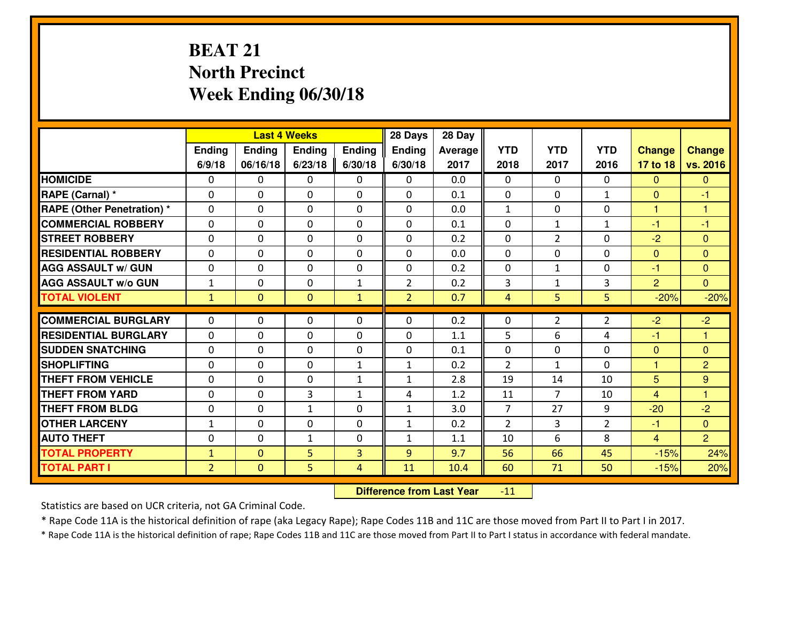# **BEAT 21 North PrecinctWeek Ending 06/30/18**

|                                   |                |                | <b>Last 4 Weeks</b> |              | 28 Days        | 28 Day     |                |                |                |                              |                |
|-----------------------------------|----------------|----------------|---------------------|--------------|----------------|------------|----------------|----------------|----------------|------------------------------|----------------|
|                                   | <b>Ending</b>  | Ending         | Ending              | Ending       | <b>Ending</b>  | Average    | <b>YTD</b>     | <b>YTD</b>     | <b>YTD</b>     | <b>Change</b>                | <b>Change</b>  |
|                                   | 6/9/18         | 06/16/18       | 6/23/18             | 6/30/18      | 6/30/18        | 2017       | 2018           | 2017           | 2016           | 17 to 18                     | vs. 2016       |
| <b>HOMICIDE</b>                   | 0              | $\Omega$       | $\Omega$            | 0            | $\Omega$       | 0.0        | $\Omega$       | $\Omega$       | 0              | $\mathbf{0}$                 | $\mathbf{0}$   |
| RAPE (Carnal) *                   | $\Omega$       | $\Omega$       | $\Omega$            | 0            | $\Omega$       | 0.1        | $\Omega$       | $\Omega$       | $\mathbf{1}$   | $\mathbf{0}$                 | -1             |
| <b>RAPE (Other Penetration) *</b> | 0              | 0              | $\mathbf 0$         | 0            | 0              | 0.0        | $\mathbf{1}$   | 0              | 0              | 1                            | 1              |
| <b>COMMERCIAL ROBBERY</b>         | 0              | 0              | $\mathbf 0$         | $\Omega$     | 0              | 0.1        | $\mathbf 0$    | $\mathbf{1}$   | $\mathbf{1}$   | $-1$                         | $-1$           |
| <b>STREET ROBBERY</b>             | 0              | 0              | 0                   | 0            | 0              | 0.2        | $\mathbf 0$    | $\overline{2}$ | 0              | $-2$                         | $\mathbf{0}$   |
| <b>RESIDENTIAL ROBBERY</b>        | 0              | 0              | 0                   | $\Omega$     | 0              | 0.0        | $\mathbf 0$    | $\mathbf 0$    | 0              | $\mathbf{0}$                 | $\mathbf{0}$   |
| <b>AGG ASSAULT W/ GUN</b>         | 0              | $\mathbf 0$    | $\mathbf 0$         | $\Omega$     | 0              | 0.2        | $\mathbf 0$    | $\mathbf{1}$   | 0              | $-1$                         | $\overline{0}$ |
| <b>AGG ASSAULT W/o GUN</b>        | $\mathbf{1}$   | 0              | $\mathbf 0$         | $\mathbf{1}$ | $\overline{2}$ | 0.2        | 3              | $\mathbf{1}$   | 3              | $\overline{2}$               | $\overline{0}$ |
| <b>TOTAL VIOLENT</b>              | $\mathbf{1}$   | $\overline{0}$ | $\overline{0}$      | $\mathbf{1}$ | $\overline{2}$ | 0.7        | $\overline{4}$ | 5 <sup>1</sup> | 5              | $-20%$                       | $-20%$         |
| <b>COMMERCIAL BURGLARY</b>        | $\Omega$       | 0              | $\mathbf{0}$        | 0            | 0              | 0.2        | $\mathbf{0}$   | $\overline{2}$ | $\overline{2}$ | $-2$                         | $-2$           |
| <b>RESIDENTIAL BURGLARY</b>       | 0              | 0              |                     | 0            | 0              |            | 5              | 6              | 4              | $-1$                         | 1              |
| <b>SUDDEN SNATCHING</b>           | 0              | 0              | 0<br>0              | $\Omega$     | 0              | 1.1<br>0.1 | $\mathbf 0$    | $\mathbf 0$    | $\Omega$       |                              | $\mathbf{0}$   |
| <b>SHOPLIFTING</b>                | 0              | $\mathbf 0$    | 0                   | $\mathbf{1}$ | $\mathbf{1}$   | 0.2        | $\overline{2}$ | $\mathbf{1}$   | $\Omega$       | $\mathbf{0}$<br>$\mathbf{1}$ | $\overline{2}$ |
| <b>THEFT FROM VEHICLE</b>         | 0              | 0              | $\mathbf 0$         | $\mathbf{1}$ | $\mathbf{1}$   | 2.8        | 19             | 14             | 10             | 5                            | 9              |
| <b>THEFT FROM YARD</b>            | 0              | 0              | 3                   | $\mathbf{1}$ | 4              | 1.2        | 11             | $\overline{7}$ | 10             | $\overline{4}$               | 1              |
| <b>THEFT FROM BLDG</b>            | 0              | 0              | $\mathbf{1}$        | $\Omega$     | $\mathbf{1}$   | 3.0        | $\overline{7}$ | 27             | 9              | $-20$                        | $-2$           |
| <b>OTHER LARCENY</b>              | $\mathbf 1$    | 0              | $\mathbf 0$         | 0            | $\mathbf{1}$   | 0.2        | $\overline{2}$ | 3              | $\overline{2}$ | $-1$                         | $\overline{0}$ |
| <b>AUTO THEFT</b>                 | 0              | 0              | $\mathbf{1}$        | 0            | $\mathbf{1}$   | 1.1        | 10             | 6              | 8              | $\overline{4}$               | $\overline{2}$ |
| <b>TOTAL PROPERTY</b>             | $\mathbf{1}$   | $\overline{0}$ | 5                   | 3            | 9              | 9.7        | 56             | 66             | 45             | $-15%$                       | 24%            |
|                                   |                |                | 5                   |              |                |            |                |                |                |                              |                |
| <b>TOTAL PART I</b>               | $\overline{2}$ | $\mathbf{0}$   |                     | 4            | 11             | 10.4       | 60             | 71             | 50             | $-15%$                       | 20%            |

 **Difference from Last Year** $-11$ 

Statistics are based on UCR criteria, not GA Criminal Code.

\* Rape Code 11A is the historical definition of rape (aka Legacy Rape); Rape Codes 11B and 11C are those moved from Part II to Part I in 2017.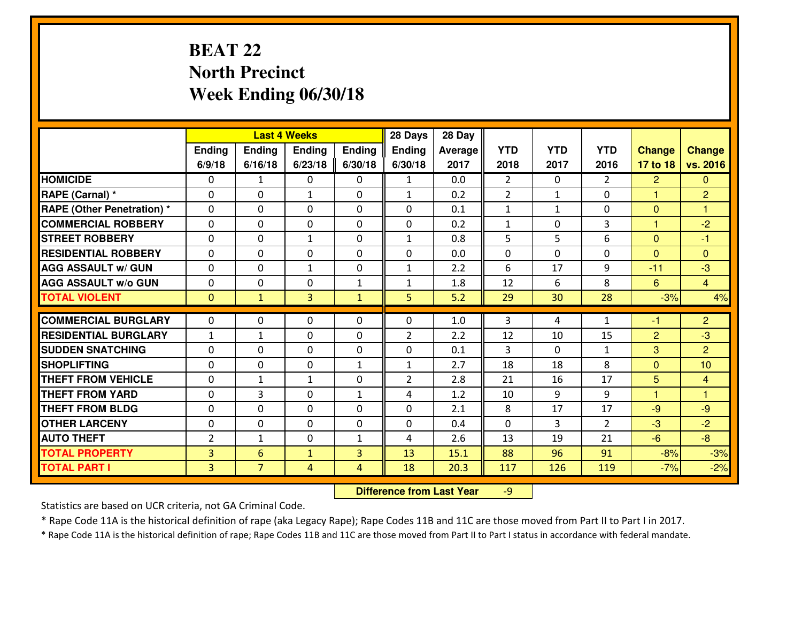# **BEAT 22 North PrecinctWeek Ending 06/30/18**

|                                   |                |                 | <b>Last 4 Weeks</b> |                | 28 Days        | 28 Day  |                |              |                |                |                |
|-----------------------------------|----------------|-----------------|---------------------|----------------|----------------|---------|----------------|--------------|----------------|----------------|----------------|
|                                   | Ending         | <b>Ending</b>   | Ending              | Ending         | <b>Ending</b>  | Average | <b>YTD</b>     | <b>YTD</b>   | <b>YTD</b>     | <b>Change</b>  | <b>Change</b>  |
|                                   | 6/9/18         | 6/16/18         | 6/23/18             | 6/30/18        | 6/30/18        | 2017    | 2018           | 2017         | 2016           | 17 to 18       | vs. 2016       |
| <b>HOMICIDE</b>                   | $\Omega$       | $\mathbf{1}$    | 0                   | 0              | $\mathbf{1}$   | 0.0     | $\overline{2}$ | $\Omega$     | $\mathcal{L}$  | $\overline{2}$ | $\mathbf{0}$   |
| RAPE (Carnal) *                   | $\Omega$       | 0               | $\mathbf{1}$        | $\Omega$       | $\mathbf{1}$   | 0.2     | 2              | $\mathbf{1}$ | $\Omega$       | $\mathbf{1}$   | $\overline{2}$ |
| <b>RAPE (Other Penetration) *</b> | 0              | 0               | $\mathbf 0$         | 0              | 0              | 0.1     | $\mathbf{1}$   | $\mathbf{1}$ | 0              | $\mathbf{0}$   | $\overline{1}$ |
| <b>COMMERCIAL ROBBERY</b>         | 0              | 0               | $\mathbf 0$         | 0              | 0              | 0.2     | $\mathbf{1}$   | $\mathbf 0$  | 3              | $\mathbf{1}$   | $-2$           |
| <b>STREET ROBBERY</b>             | 0              | 0               | $\mathbf{1}$        | 0              | $\mathbf{1}$   | 0.8     | 5              | 5            | 6              | $\overline{0}$ | $-1$           |
| <b>RESIDENTIAL ROBBERY</b>        | $\Omega$       | 0               | $\mathbf 0$         | 0              | 0              | 0.0     | $\mathbf 0$    | $\mathbf 0$  | 0              | $\mathbf{0}$   | $\overline{0}$ |
| <b>AGG ASSAULT W/ GUN</b>         | 0              | 0               | 1                   | 0              | $\mathbf{1}$   | 2.2     | 6              | 17           | 9              | $-11$          | $-3$           |
| <b>AGG ASSAULT W/o GUN</b>        | 0              | 0               | $\mathbf 0$         | $\mathbf{1}$   | $\mathbf{1}$   | 1.8     | 12             | 6            | 8              | 6              | $\overline{4}$ |
| <b>TOTAL VIOLENT</b>              | $\mathbf{O}$   | $\mathbf{1}$    | 3                   | $\mathbf{1}$   | 5              | 5.2     | 29             | 30           | 28             | $-3%$          | 4%             |
|                                   |                |                 |                     |                |                |         |                |              |                |                |                |
| <b>COMMERCIAL BURGLARY</b>        | $\Omega$       | 0               | $\mathbf{0}$        | 0              | $\Omega$       | 1.0     | 3              | 4            | $\mathbf{1}$   | $-1$           | $\overline{2}$ |
| <b>RESIDENTIAL BURGLARY</b>       | $\mathbf{1}$   | 1               | $\mathbf 0$         | 0              | $\overline{2}$ | 2.2     | 12             | 10           | 15             | $\overline{2}$ | $-3$           |
| <b>SUDDEN SNATCHING</b>           | 0              | 0               | $\mathbf 0$         | 0              | 0              | 0.1     | $\overline{3}$ | $\mathbf{0}$ | $\mathbf{1}$   | 3              | $\overline{2}$ |
| <b>SHOPLIFTING</b>                | 0              | 0               | $\mathbf 0$         | $\mathbf{1}$   | $\mathbf{1}$   | 2.7     | 18             | 18           | 8              | $\mathbf{0}$   | 10             |
| <b>THEFT FROM VEHICLE</b>         | 0              | 1               | $\mathbf{1}$        | 0              | $\overline{2}$ | 2.8     | 21             | 16           | 17             | 5              | $\overline{4}$ |
| <b>THEFT FROM YARD</b>            | $\mathbf 0$    | 3               | $\mathbf 0$         | $\mathbf{1}$   | 4              | 1.2     | 10             | 9            | 9              | $\mathbf{1}$   | 1              |
| <b>THEFT FROM BLDG</b>            | 0              | 0               | $\mathbf 0$         | 0              | 0              | 2.1     | 8              | 17           | 17             | $-9$           | $-9$           |
| <b>OTHER LARCENY</b>              | $\mathbf 0$    | $\mathbf 0$     | $\mathbf 0$         | 0              | $\mathbf 0$    | 0.4     | $\mathbf 0$    | 3            | $\overline{2}$ | $-3$           | $-2$           |
| <b>AUTO THEFT</b>                 | $\overline{2}$ | 1               | $\mathbf 0$         | $\mathbf{1}$   | 4              | 2.6     | 13             | 19           | 21             | $-6$           | $-8$           |
| <b>TOTAL PROPERTY</b>             | $\overline{3}$ | $6\overline{6}$ | $\mathbf{1}$        | $\overline{3}$ | 13             | 15.1    | 88             | 96           | 91             | $-8%$          | $-3%$          |
| <b>TOTAL PART I</b>               | $\overline{3}$ | $\overline{7}$  | 4                   | 4              | 18             | 20.3    | 117            | 126          | 119            | $-7%$          | $-2%$          |

 **Difference from Last Year**-9

Statistics are based on UCR criteria, not GA Criminal Code.

\* Rape Code 11A is the historical definition of rape (aka Legacy Rape); Rape Codes 11B and 11C are those moved from Part II to Part I in 2017.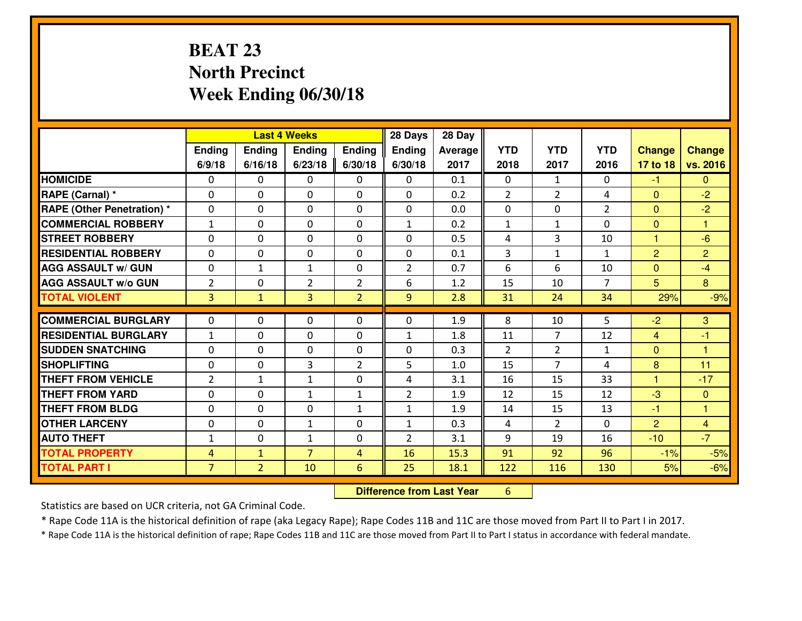# **BEAT 23 North PrecinctWeek Ending 06/30/18**

|                                  |                |                | <b>Last 4 Weeks</b> |                | 28 Days        | 28 Day  |                |                |                |                |                      |
|----------------------------------|----------------|----------------|---------------------|----------------|----------------|---------|----------------|----------------|----------------|----------------|----------------------|
|                                  | Ending         | Ending         | Ending              | <b>Ending</b>  | <b>Ending</b>  | Average | <b>YTD</b>     | <b>YTD</b>     | <b>YTD</b>     | <b>Change</b>  | <b>Change</b>        |
|                                  | 6/9/18         | 6/16/18        | 6/23/18             | 6/30/18        | 6/30/18        | 2017    | 2018           | 2017           | 2016           | 17 to 18       | vs. 2016             |
| <b>HOMICIDE</b>                  | 0              | 0              | 0                   | 0              | 0              | 0.1     | 0              | $\mathbf{1}$   | 0              | $-1$           | $\Omega$             |
| RAPE (Carnal) *                  | $\mathbf{0}$   | 0              | 0                   | $\Omega$       | 0              | 0.2     | $\overline{2}$ | $\overline{2}$ | 4              | $\Omega$       | $-2$                 |
| <b>RAPE (Other Penetration)*</b> | $\Omega$       | $\Omega$       | $\mathbf 0$         | $\Omega$       | $\Omega$       | 0.0     | $\Omega$       | $\Omega$       | $\mathcal{P}$  | $\Omega$       | $-2$                 |
| <b>COMMERCIAL ROBBERY</b>        | $\mathbf{1}$   | $\Omega$       | $\mathbf 0$         | $\Omega$       | $\mathbf{1}$   | 0.2     | $\mathbf{1}$   | $\mathbf{1}$   | $\Omega$       | $\mathbf{0}$   | $\blacktriangleleft$ |
| <b>ISTREET ROBBERY</b>           | $\mathbf{0}$   | 0              | $\mathbf{0}$        | 0              | $\Omega$       | 0.5     | 4              | 3              | 10             | 1              | $-6$                 |
| <b>RESIDENTIAL ROBBERY</b>       | 0              | 0              | $\mathbf 0$         | 0              | 0              | 0.1     | $\overline{3}$ | $\mathbf{1}$   | $\mathbf{1}$   | $\overline{2}$ | $\overline{2}$       |
| <b>AGG ASSAULT W/ GUN</b>        | 0              | $\mathbf{1}$   | $\mathbf{1}$        | 0              | $\overline{2}$ | 0.7     | 6              | 6              | 10             | $\overline{0}$ | $-4$                 |
| <b>AGG ASSAULT W/o GUN</b>       | $\overline{2}$ | 0              | $\overline{2}$      | $\overline{2}$ | 6              | 1.2     | 15             | 10             | $\overline{7}$ | 5 <sup>5</sup> | 8                    |
| <b>TOTAL VIOLENT</b>             | $\overline{3}$ | $\mathbf{1}$   | $\overline{3}$      | $\overline{2}$ | 9 <sup>°</sup> | 2.8     | 31             | 24             | 34             | 29%            | $-9%$                |
| <b>COMMERCIAL BURGLARY</b>       | $\Omega$       | 0              | $\mathbf{0}$        | $\Omega$       | $\Omega$       | 1.9     | 8              | 10             | 5              | $-2$           | 3                    |
| <b>RESIDENTIAL BURGLARY</b>      | $\mathbf{1}$   | 0              | $\mathbf 0$         | 0              | 1              | 1.8     | 11             | $\overline{7}$ | 12             | $\overline{4}$ | -1                   |
| <b>SUDDEN SNATCHING</b>          | $\Omega$       | 0              | $\mathbf 0$         | 0              | 0              | 0.3     | $\overline{2}$ | $\overline{2}$ | $\mathbf{1}$   | $\mathbf{0}$   | $\overline{1}$       |
| <b>SHOPLIFTING</b>               | 0              | 0              | 3                   | $\overline{2}$ | 5              | 1.0     | 15             | $\overline{7}$ | 4              | 8              | 11                   |
| <b>THEFT FROM VEHICLE</b>        | 2              | $\mathbf{1}$   | $\mathbf{1}$        | 0              | 4              | 3.1     | 16             | 15             | 33             | $\mathbf{1}$   | $-17$                |
| <b>THEFT FROM YARD</b>           | 0              | 0              | $\mathbf{1}$        | $\mathbf{1}$   | $\overline{2}$ | 1.9     | 12             | 15             | 12             | $-3$           | $\overline{0}$       |
| <b>THEFT FROM BLDG</b>           | $\mathbf{0}$   | 0              | $\mathbf 0$         | $\mathbf{1}$   | $\mathbf{1}$   | 1.9     | 14             | 15             | 13             | $-1$           | $\blacktriangleleft$ |
| <b>OTHER LARCENY</b>             | 0              | 0              | 1                   | 0              | $\mathbf{1}$   | 0.3     | 4              | $\overline{2}$ | 0              | $\overline{2}$ | $\overline{4}$       |
| <b>AUTO THEFT</b>                | $\mathbf{1}$   | 0              | 1                   | 0              | $\overline{2}$ | 3.1     | 9              | 19             | 16             | $-10$          | $-7$                 |
| <b>TOTAL PROPERTY</b>            | $\overline{4}$ | $\mathbf{1}$   | $\overline{7}$      | $\overline{4}$ | 16             | 15.3    | 91             | 92             | 96             | $-1%$          | $-5%$                |
| <b>TOTAL PART I</b>              | $\overline{7}$ | $\overline{2}$ | 10                  | 6              | 25             | 18.1    | 122            | 116            | 130            | 5%             | $-6%$                |

 **Difference from Last Year**<sup>6</sup>

Statistics are based on UCR criteria, not GA Criminal Code.

\* Rape Code 11A is the historical definition of rape (aka Legacy Rape); Rape Codes 11B and 11C are those moved from Part II to Part I in 2017.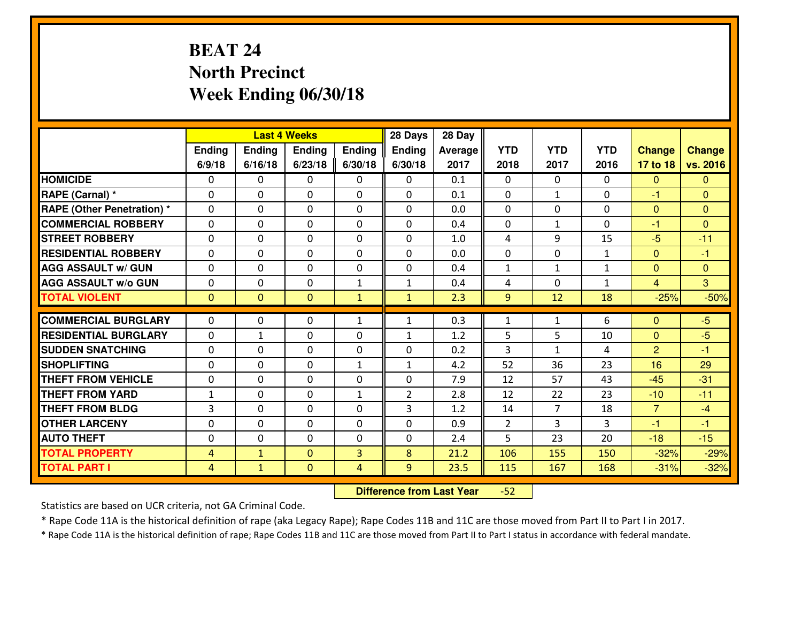# **BEAT 24 North PrecinctWeek Ending 06/30/18**

|                                              |                     |                              | <b>Last 4 Weeks</b>          |              | 28 Days        | 28 Day       |              |                |              |                  |                  |
|----------------------------------------------|---------------------|------------------------------|------------------------------|--------------|----------------|--------------|--------------|----------------|--------------|------------------|------------------|
|                                              | Ending              | <b>Ending</b>                | Ending                       | Ending       | <b>Ending</b>  | Average      | <b>YTD</b>   | <b>YTD</b>     | <b>YTD</b>   | <b>Change</b>    | <b>Change</b>    |
|                                              | 6/9/18              | 6/16/18                      | 6/23/18                      | 6/30/18      | 6/30/18        | 2017         | 2018         | 2017           | 2016         | 17 to 18         | vs. 2016         |
| <b>HOMICIDE</b>                              | 0                   | $\Omega$                     | $\Omega$                     | 0            | $\Omega$       | 0.1          | $\Omega$     | $\Omega$       | 0            | $\mathbf{0}$     | $\mathbf{0}$     |
| RAPE (Carnal) *                              | $\Omega$            | 0                            | $\mathbf{0}$                 | 0            | 0              | 0.1          | $\mathbf{0}$ | $\mathbf{1}$   | $\Omega$     | $-1$             | $\Omega$         |
| <b>RAPE (Other Penetration) *</b>            | $\Omega$            | 0                            | $\mathbf{0}$                 | $\Omega$     | 0              | 0.0          | $\Omega$     | $\Omega$       | $\Omega$     | $\mathbf{0}$     | $\Omega$         |
| <b>COMMERCIAL ROBBERY</b>                    | 0                   | 0                            | 0                            | $\Omega$     | $\mathbf{0}$   | 0.4          | $\mathbf{0}$ | $\mathbf{1}$   | $\Omega$     | $-1$             | $\Omega$         |
| <b>STREET ROBBERY</b>                        | 0                   | 0                            | $\mathbf 0$                  | 0            | 0              | 1.0          | 4            | 9              | 15           | $-5$             | $-11$            |
| <b>RESIDENTIAL ROBBERY</b>                   | $\Omega$            | $\Omega$                     | $\mathbf 0$                  | $\Omega$     | $\Omega$       | 0.0          | $\Omega$     | $\Omega$       | $\mathbf{1}$ | $\mathbf{0}$     | $-1$             |
| <b>AGG ASSAULT w/ GUN</b>                    | 0                   | $\Omega$                     | $\mathbf 0$                  | $\Omega$     | 0              | 0.4          | $\mathbf{1}$ | $\mathbf{1}$   | $\mathbf{1}$ | $\mathbf{0}$     | $\mathbf{0}$     |
| <b>AGG ASSAULT W/o GUN</b>                   | 0                   | 0                            | $\mathbf 0$                  | $\mathbf{1}$ | $\mathbf{1}$   | 0.4          | 4            | $\mathbf 0$    | $\mathbf{1}$ | $\overline{4}$   | $\mathbf{3}$     |
| <b>TOTAL VIOLENT</b>                         | $\mathbf{0}$        | $\overline{0}$               | $\mathbf{0}$                 | $\mathbf{1}$ | $\mathbf{1}$   | 2.3          | 9            | 12             | 18           | $-25%$           | $-50%$           |
| <b>COMMERCIAL BURGLARY</b>                   | $\Omega$            | $\Omega$                     | $\mathbf{0}$                 | $\mathbf{1}$ | $\mathbf{1}$   | 0.3          | $\mathbf{1}$ | $\mathbf{1}$   | 6            | $\mathbf{0}$     | $-5$             |
| <b>RESIDENTIAL BURGLARY</b>                  | 0                   | $\mathbf{1}$                 | $\mathbf 0$                  | 0            | $\mathbf{1}$   | 1.2          | 5            | 5              | 10           | $\mathbf{0}$     | $-5$             |
| <b>SUDDEN SNATCHING</b>                      | 0                   | 0                            | 0                            | $\Omega$     | 0              | 0.2          | 3            | $\mathbf{1}$   | 4            | $\overline{2}$   | $-1$             |
| <b>SHOPLIFTING</b>                           | 0                   | 0                            | $\mathbf 0$                  | $\mathbf{1}$ | $\mathbf{1}$   | 4.2          | 52           | 36             | 23           | 16               | 29               |
| <b>THEFT FROM VEHICLE</b>                    | 0                   | 0                            | 0                            | $\Omega$     | 0              | 7.9          | 12           | 57             | 43           | $-45$            | $-31$            |
| <b>THEFT FROM YARD</b>                       |                     |                              |                              | $\mathbf{1}$ | $\overline{2}$ | 2.8          | 12           | 22             | 23           | $-10$            | $-11$            |
|                                              |                     |                              |                              |              |                |              |              |                |              |                  |                  |
|                                              | $\mathbf{1}$        | $\mathbf 0$                  | $\mathbf 0$                  |              |                |              |              |                |              |                  |                  |
| <b>THEFT FROM BLDG</b>                       | 3                   | 0                            | $\mathbf 0$                  | $\Omega$     | 3              | 1.2          | 14           | $\overline{7}$ | 18           | $\overline{7}$   | $-4$             |
| <b>OTHER LARCENY</b>                         | 0                   | 0                            | $\mathbf 0$                  | 0            | 0              | 0.9          | 2            | 3              | 3            | $-1$             | $-1$             |
| <b>AUTO THEFT</b>                            | $\Omega$            | 0                            | $\mathbf{0}$                 | $\Omega$     | 0              | 2.4          | 5            | 23             | 20           | $-18$            | $-15$            |
| <b>TOTAL PROPERTY</b><br><b>TOTAL PART I</b> | 4<br>$\overline{4}$ | $\mathbf{1}$<br>$\mathbf{1}$ | $\mathbf{0}$<br>$\mathbf{0}$ | 3<br>4       | 8<br>9         | 21.2<br>23.5 | 106<br>115   | 155<br>167     | 150<br>168   | $-32%$<br>$-31%$ | $-29%$<br>$-32%$ |

 **Difference from Last Year**-52

Statistics are based on UCR criteria, not GA Criminal Code.

\* Rape Code 11A is the historical definition of rape (aka Legacy Rape); Rape Codes 11B and 11C are those moved from Part II to Part I in 2017.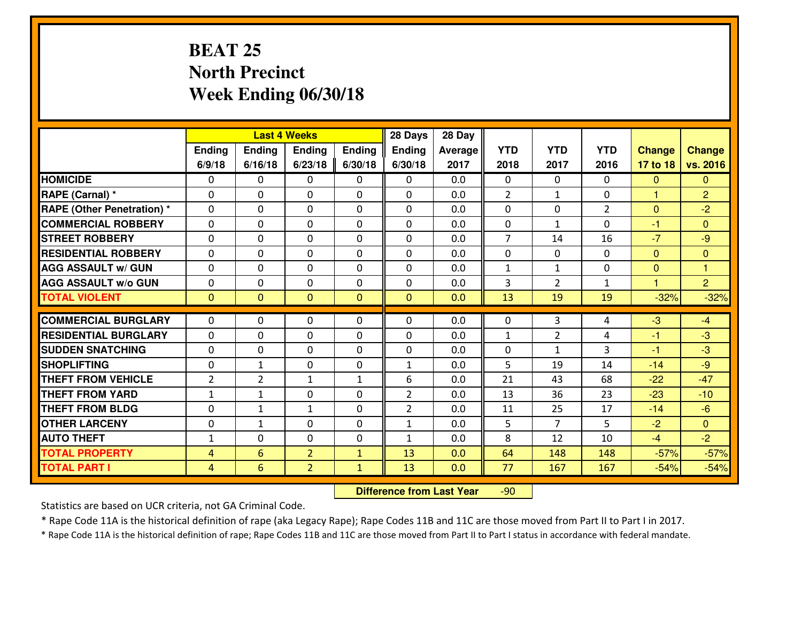# **BEAT 25 North PrecinctWeek Ending 06/30/18**

|                                   |                |                | <b>Last 4 Weeks</b> |                | 28 Days        | 28 Day         |                |                |                |                      |                |
|-----------------------------------|----------------|----------------|---------------------|----------------|----------------|----------------|----------------|----------------|----------------|----------------------|----------------|
|                                   | Ending         | Ending         | <b>Ending</b>       | Ending         | <b>Ending</b>  | <b>Average</b> | <b>YTD</b>     | <b>YTD</b>     | <b>YTD</b>     | <b>Change</b>        | <b>Change</b>  |
|                                   | 6/9/18         | 6/16/18        | 6/23/18             | 6/30/18        | 6/30/18        | 2017           | 2018           | 2017           | 2016           | 17 to 18             | vs. 2016       |
| <b>HOMICIDE</b>                   | 0              | 0              | $\Omega$            | $\mathbf{0}$   | 0              | 0.0            | 0              | $\Omega$       | 0              | $\mathbf{0}$         | $\mathbf{0}$   |
| RAPE (Carnal) *                   | $\mathbf{0}$   | 0              | $\mathbf{0}$        | 0              | 0              | 0.0            | $\overline{2}$ | $\mathbf{1}$   | 0              | 1.                   | $\overline{2}$ |
| <b>RAPE (Other Penetration) *</b> | $\Omega$       | 0              | $\mathbf{0}$        | $\Omega$       | $\Omega$       | 0.0            | $\Omega$       | $\Omega$       | $\overline{2}$ | $\mathbf{0}$         | $-2$           |
| <b>COMMERCIAL ROBBERY</b>         | $\mathbf{0}$   | 0              | 0                   | 0              | $\Omega$       | 0.0            | $\mathbf{0}$   | $\mathbf{1}$   | $\Omega$       | $-1$                 | $\Omega$       |
| <b>STREET ROBBERY</b>             | 0              | 0              | $\mathbf 0$         | 0              | $\Omega$       | 0.0            | $\overline{7}$ | 14             | 16             | $-7$                 | $-9$           |
| <b>RESIDENTIAL ROBBERY</b>        | $\Omega$       | $\Omega$       | $\mathbf 0$         | 0              | 0              | 0.0            | $\mathbf 0$    | $\Omega$       | 0              | $\Omega$             | $\overline{0}$ |
| <b>AGG ASSAULT w/ GUN</b>         | $\mathbf 0$    | 0              | $\mathbf 0$         | 0              | 0              | 0.0            | $\mathbf{1}$   | $\mathbf{1}$   | 0              | $\mathbf{0}$         | $\mathbf{1}$   |
| <b>AGG ASSAULT W/o GUN</b>        | 0              | 0              | 0                   | $\Omega$       | 0              | 0.0            | 3              | $\overline{2}$ | $\mathbf{1}$   | $\blacktriangleleft$ | $\overline{2}$ |
| <b>TOTAL VIOLENT</b>              | $\mathbf{0}$   | $\overline{0}$ | $\mathbf{0}$        | $\overline{0}$ | $\overline{0}$ | 0.0            | 13             | 19             | 19             | $-32%$               | $-32%$         |
| <b>COMMERCIAL BURGLARY</b>        | $\Omega$       | 0              | $\mathbf{0}$        | $\mathbf{0}$   | $\Omega$       | 0.0            | $\mathbf{0}$   | 3              | 4              | $-3$                 | $-4$           |
| <b>RESIDENTIAL BURGLARY</b>       | 0              | 0              | $\mathbf 0$         | 0              | 0              | 0.0            | $\mathbf{1}$   | $\overline{2}$ | 4              | $-1$                 | $-3$           |
| <b>SUDDEN SNATCHING</b>           | $\Omega$       | $\Omega$       | $\mathbf 0$         | $\Omega$       | $\Omega$       | 0.0            | $\mathbf 0$    | $\mathbf{1}$   | 3              | $-1$                 | $-3$           |
| <b>SHOPLIFTING</b>                | 0              | 1              | $\mathbf 0$         | 0              | $\mathbf{1}$   | 0.0            | 5              | 19             | 14             | $-14$                | $-9$           |
| <b>THEFT FROM VEHICLE</b>         | $\overline{2}$ | $\overline{2}$ | $\mathbf{1}$        | $\mathbf{1}$   | 6              | 0.0            | 21             | 43             | 68             | $-22$                | $-47$          |
| <b>THEFT FROM YARD</b>            | $\mathbf{1}$   | 1              | 0                   | 0              | $\overline{2}$ | 0.0            | 13             | 36             | 23             | $-23$                | $-10$          |
| <b>THEFT FROM BLDG</b>            | 0              | 1              | $\mathbf{1}$        | 0              | $\overline{2}$ | 0.0            | 11             | 25             | 17             | $-14$                | $-6$           |
| <b>OTHER LARCENY</b>              | 0              | $\mathbf{1}$   | $\mathbf 0$         | 0              | $\mathbf{1}$   | 0.0            | 5              | $\overline{7}$ | 5              | $-2$                 | $\overline{0}$ |
| <b>AUTO THEFT</b>                 | $\mathbf{1}$   | 0              | $\mathbf{0}$        | 0              | $\mathbf{1}$   | 0.0            | 8              | 12             | 10             | $-4$                 | $-2$           |
| <b>TOTAL PROPERTY</b>             | $\overline{4}$ | 6              | $\overline{2}$      | $\mathbf{1}$   | 13             | 0.0            | 64             | 148            | 148            | $-57%$               | $-57%$         |
| <b>TOTAL PART I</b>               |                | 6              | $\overline{2}$      |                | 13             |                | 77             |                |                |                      |                |
|                                   | 4              |                |                     | $\mathbf{1}$   |                | 0.0            |                | 167            | 167            | $-54%$               | $-54%$         |

 **Difference from Last Year**-90

Statistics are based on UCR criteria, not GA Criminal Code.

\* Rape Code 11A is the historical definition of rape (aka Legacy Rape); Rape Codes 11B and 11C are those moved from Part II to Part I in 2017.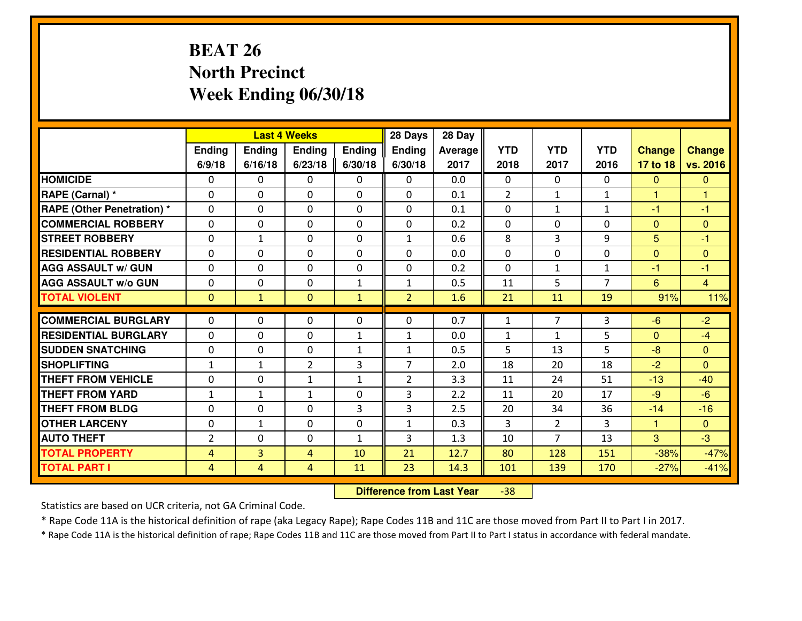# **BEAT 26 North PrecinctWeek Ending 06/30/18**

|                                   |                |                | <b>Last 4 Weeks</b> |              | 28 Days        | 28 Day  |              |                |                |               |                |
|-----------------------------------|----------------|----------------|---------------------|--------------|----------------|---------|--------------|----------------|----------------|---------------|----------------|
|                                   | Ending         | Ending         | <b>Ending</b>       | Ending       | <b>Ending</b>  | Average | <b>YTD</b>   | <b>YTD</b>     | <b>YTD</b>     | <b>Change</b> | <b>Change</b>  |
|                                   | 6/9/18         | 6/16/18        | 6/23/18             | 6/30/18      | 6/30/18        | 2017    | 2018         | 2017           | 2016           | 17 to 18      | vs. 2016       |
| <b>HOMICIDE</b>                   | $\Omega$       | 0              | $\Omega$            | 0            | $\Omega$       | 0.0     | 0            | $\Omega$       | 0              | $\Omega$      | $\mathbf{0}$   |
| RAPE (Carnal) *                   | $\mathbf{0}$   | 0              | $\mathbf{0}$        | 0            | $\Omega$       | 0.1     | 2            | $\mathbf{1}$   | $\mathbf{1}$   | 1             | 1              |
| <b>RAPE (Other Penetration) *</b> | $\Omega$       | 0              | $\mathbf{0}$        | $\Omega$     | $\Omega$       | 0.1     | $\Omega$     | $\mathbf{1}$   | $\mathbf{1}$   | $-1$          | $-1$           |
| <b>COMMERCIAL ROBBERY</b>         | 0              | 0              | $\mathbf 0$         | 0            | 0              | 0.2     | $\mathbf{0}$ | 0              | 0              | $\mathbf{0}$  | $\mathbf{0}$   |
| <b>STREET ROBBERY</b>             | 0              | $\mathbf{1}$   | $\mathbf 0$         | 0            | $\mathbf{1}$   | 0.6     | 8            | $\overline{3}$ | 9              | 5             | $-1$           |
| <b>RESIDENTIAL ROBBERY</b>        | $\Omega$       | $\Omega$       | $\mathbf 0$         | $\Omega$     | 0              | 0.0     | 0            | $\Omega$       | 0              | $\mathbf{0}$  | $\Omega$       |
| <b>AGG ASSAULT w/ GUN</b>         | 0              | 0              | $\mathbf 0$         | 0            | 0              | 0.2     | 0            | $\mathbf{1}$   | $\mathbf{1}$   | $-1$          | $-1$           |
| <b>AGG ASSAULT W/o GUN</b>        | 0              | 0              | $\mathbf 0$         | $\mathbf{1}$ | $\mathbf{1}$   | 0.5     | 11           | 5              | $\overline{7}$ | 6             | $\overline{4}$ |
| <b>TOTAL VIOLENT</b>              | $\mathbf{0}$   | $\mathbf{1}$   | $\mathbf{O}$        | $\mathbf{1}$ | $\overline{2}$ | 1.6     | 21           | 11             | 19             | 91%           | 11%            |
| <b>COMMERCIAL BURGLARY</b>        | $\Omega$       | 0              | $\mathbf{0}$        | $\Omega$     | $\Omega$       | 0.7     | $\mathbf{1}$ | $\overline{7}$ | 3              | $-6$          | $-2$           |
| <b>RESIDENTIAL BURGLARY</b>       | 0              | 0              | 0                   | $\mathbf{1}$ | 1              | 0.0     | $\mathbf{1}$ | $\mathbf{1}$   | 5              | $\Omega$      | $-4$           |
| <b>SUDDEN SNATCHING</b>           | 0              | 0              | $\mathbf 0$         | $\mathbf{1}$ | $\mathbf{1}$   | 0.5     | 5            | 13             | 5              | $-8$          | $\overline{0}$ |
| <b>SHOPLIFTING</b>                | $\mathbf{1}$   | $\mathbf{1}$   | $\overline{2}$      | 3            | $\overline{7}$ | 2.0     | 18           | 20             | 18             | $-2$          | $\Omega$       |
| <b>THEFT FROM VEHICLE</b>         | 0              | 0              | $\mathbf{1}$        | $\mathbf{1}$ | $\overline{2}$ | 3.3     | 11           | 24             | 51             | $-13$         | $-40$          |
| <b>THEFT FROM YARD</b>            | $1\,$          | $\mathbf{1}$   | $\mathbf{1}$        | 0            | 3              | 2.2     | 11           | 20             | 17             | $-9$          | $-6$           |
| <b>THEFT FROM BLDG</b>            | 0              | 0              | $\mathbf 0$         | 3            | 3              | 2.5     | 20           | 34             | 36             | $-14$         | $-16$          |
| <b>OTHER LARCENY</b>              | 0              | $\mathbf{1}$   | $\mathbf 0$         | 0            | $\mathbf{1}$   | 0.3     | 3            | $\overline{2}$ | 3              | $\mathbf{1}$  | $\overline{0}$ |
| <b>AUTO THEFT</b>                 | $\overline{2}$ | 0              | $\mathbf{0}$        | $\mathbf{1}$ | 3              | 1.3     | 10           | $\overline{7}$ | 13             | 3             | $-3$           |
| <b>TOTAL PROPERTY</b>             | 4              | 3              | 4                   | 10           | 21             | 12.7    | 80           | 128            | 151            | $-38%$        | $-47%$         |
| <b>TOTAL PART I</b>               | $\overline{4}$ | $\overline{4}$ | 4                   | 11           | 23             | 14.3    | 101          | 139            | 170            | $-27%$        | $-41%$         |

 **Difference from Last Year**-38

Statistics are based on UCR criteria, not GA Criminal Code.

\* Rape Code 11A is the historical definition of rape (aka Legacy Rape); Rape Codes 11B and 11C are those moved from Part II to Part I in 2017.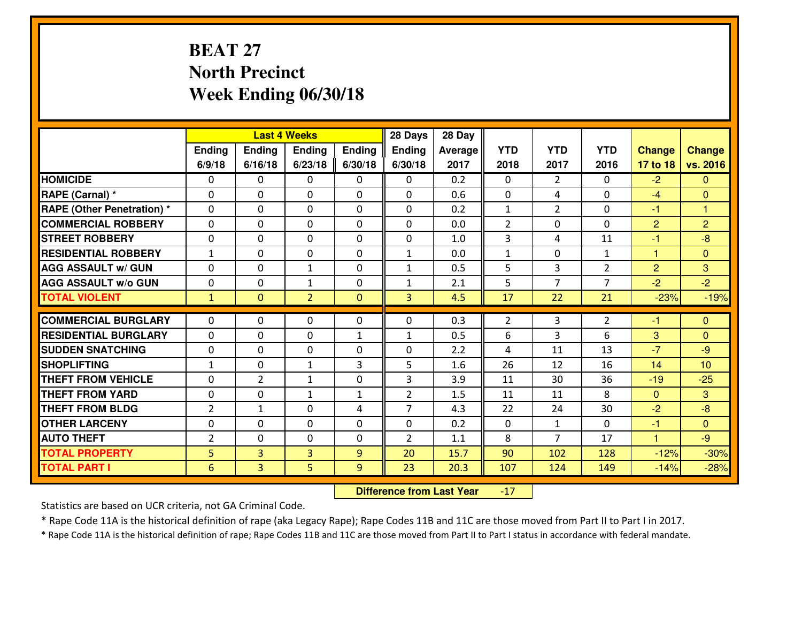# **BEAT 27 North PrecinctWeek Ending 06/30/18**

|                                  |                |                | <b>Last 4 Weeks</b> |              | 28 Days        | 28 Day     |                |                |                |                |                |
|----------------------------------|----------------|----------------|---------------------|--------------|----------------|------------|----------------|----------------|----------------|----------------|----------------|
|                                  | Ending         | Ending         | <b>Ending</b>       | Ending       | <b>Ending</b>  | Average    | <b>YTD</b>     | <b>YTD</b>     | <b>YTD</b>     | <b>Change</b>  | <b>Change</b>  |
|                                  | 6/9/18         | 6/16/18        | 6/23/18             | 6/30/18      | 6/30/18        | 2017       | 2018           | 2017           | 2016           | 17 to 18       | vs. 2016       |
| <b>HOMICIDE</b>                  | $\Omega$       | 0              | $\Omega$            | 0            | $\Omega$       | 0.2        | 0              | $\overline{2}$ | 0              | $-2$           | $\Omega$       |
| RAPE (Carnal) *                  | $\Omega$       | 0              | $\mathbf{0}$        | $\Omega$     | $\Omega$       | 0.6        | $\Omega$       | 4              | 0              | $-4$           | $\Omega$       |
| <b>RAPE (Other Penetration)*</b> | 0              | 0              | $\mathbf 0$         | 0            | 0              | 0.2        | $\mathbf{1}$   | $\overline{2}$ | 0              | $-1$           | 1              |
| <b>COMMERCIAL ROBBERY</b>        | 0              | 0              | $\mathbf 0$         | 0            | 0              | 0.0        | $\overline{2}$ | 0              | 0              | $\overline{2}$ | 2              |
| <b>STREET ROBBERY</b>            | 0              | 0              | $\mathbf 0$         | 0            | 0              | 1.0        | 3              | 4              | 11             | $-1$           | $-8$           |
| <b>RESIDENTIAL ROBBERY</b>       | $\mathbf{1}$   | 0              | $\mathbf 0$         | $\mathbf{0}$ | $\mathbf{1}$   | 0.0        | $\mathbf 1$    | $\mathbf{0}$   | $\mathbf{1}$   | 1              | $\mathbf{0}$   |
| <b>AGG ASSAULT W/ GUN</b>        | 0              | 0              | 1                   | 0            | $\mathbf{1}$   | 0.5        | 5              | $\overline{3}$ | $\overline{2}$ | $\overline{2}$ | 3              |
| <b>AGG ASSAULT W/o GUN</b>       | 0              | 0              | 1                   | $\mathbf{0}$ | $\mathbf{1}$   | 2.1        | 5              | $\overline{7}$ | $\overline{7}$ | $-2$           | $-2$           |
| <b>TOTAL VIOLENT</b>             | $\mathbf{1}$   | $\overline{0}$ | $\overline{2}$      | $\mathbf{0}$ | $\overline{3}$ | 4.5        | 17             | 22             | 21             | $-23%$         | $-19%$         |
| <b>COMMERCIAL BURGLARY</b>       | $\Omega$       | 0              | $\mathbf{0}$        | 0            | $\Omega$       | 0.3        | 2              | 3              | $\overline{2}$ | $-1$           | $\mathbf{0}$   |
| <b>RESIDENTIAL BURGLARY</b>      | $\mathbf{0}$   | 0              |                     |              |                | 0.5        |                |                | 6              | 3              | $\mathbf{0}$   |
| <b>SUDDEN SNATCHING</b>          |                |                | 0                   | $\mathbf{1}$ | $\mathbf{1}$   |            | 6              | 3              |                | $-7$           | $-9$           |
| <b>SHOPLIFTING</b>               | $\mathbf{0}$   | 0              | $\mathbf 0$         | 0<br>3       | 0<br>5         | 2.2<br>1.6 | 4<br>26        | 11             | 13<br>16       |                | 10             |
|                                  | $\mathbf{1}$   | 0              | 1                   |              |                |            |                | 12             |                | 14             |                |
| <b>THEFT FROM VEHICLE</b>        | 0              | $\overline{2}$ | 1                   | 0            | 3              | 3.9        | 11             | 30             | 36             | $-19$          | $-25$          |
| <b>THEFT FROM YARD</b>           | 0              | 0              | 1                   | $\mathbf{1}$ | $\overline{2}$ | 1.5        | 11             | 11             | 8              | $\mathbf{0}$   | 3              |
| <b>THEFT FROM BLDG</b>           | 2              | $\mathbf{1}$   | $\mathbf 0$         | 4            | $\overline{7}$ | 4.3        | 22             | 24             | 30             | $-2$           | $-8$           |
| <b>OTHER LARCENY</b>             | 0              | 0              | $\mathbf 0$         | 0            | 0              | 0.2        | $\mathbf 0$    | $\mathbf{1}$   | 0              | $-1$           | $\overline{0}$ |
| <b>AUTO THEFT</b>                | $\overline{2}$ | 0              | $\mathbf 0$         | $\mathbf 0$  | $\overline{2}$ | 1.1        | 8              | $\overline{7}$ | 17             | $\mathbf{1}$   | $-9$           |
| <b>TOTAL PROPERTY</b>            | 5              | 3              | 3                   | 9            | 20             | 15.7       | 90             | 102            | 128            | $-12%$         | $-30%$         |
| <b>TOTAL PART I</b>              | 6              | 3              | 5                   | 9            | 23             | 20.3       | 107            | 124            | 149            | $-14%$         | $-28%$         |

 **Difference from Last Year** $-17$ 

Statistics are based on UCR criteria, not GA Criminal Code.

\* Rape Code 11A is the historical definition of rape (aka Legacy Rape); Rape Codes 11B and 11C are those moved from Part II to Part I in 2017.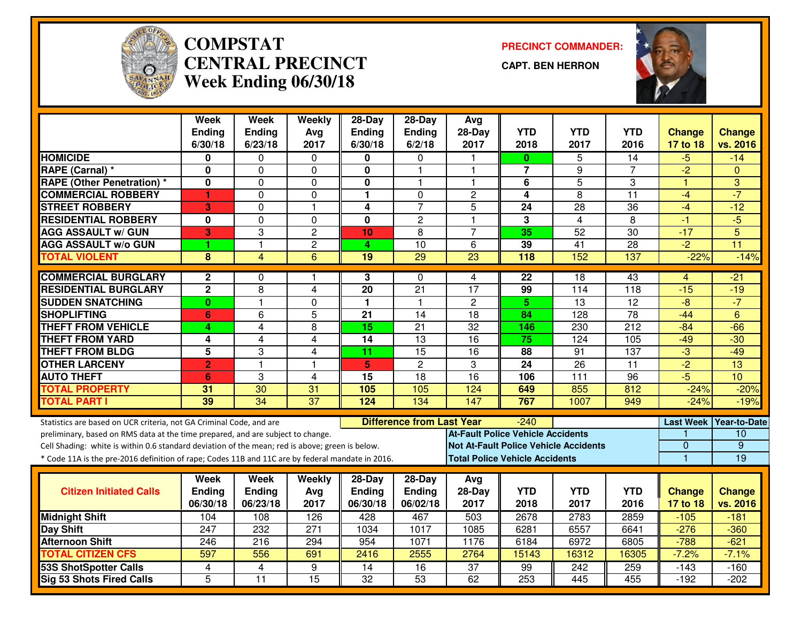

#### **COMPSTAT PRECINCT COMMANDER: CENTRAL PRECINCTWeek Ending 06/30/18**

**CAPT. BEN HERRON**



|                                                                                                  | Week<br><b>Ending</b> | <b>Week</b><br><b>Ending</b> | Weekly<br>Avg    | $28-Day$<br><b>Ending</b> | $28 - Day$<br><b>Ending</b>      | Avg<br>$28-Day$ | <b>YTD</b>                               | <b>YTD</b>                                   | <b>YTD</b>       | <b>Change</b>        | <b>Change</b>       |
|--------------------------------------------------------------------------------------------------|-----------------------|------------------------------|------------------|---------------------------|----------------------------------|-----------------|------------------------------------------|----------------------------------------------|------------------|----------------------|---------------------|
|                                                                                                  | 6/30/18               | 6/23/18                      | 2017             | 6/30/18                   | 6/2/18                           | 2017            | 2018                                     | 2017                                         | 2016             | 17 to 18             | vs. 2016            |
| <b>HOMICIDE</b>                                                                                  | 0                     | 0                            | 0                | 0                         | 0                                | -1              | $\mathbf{0}$                             | 5                                            | 14               | $-5$                 | $-14$               |
| RAPE (Carnal) *                                                                                  | 0                     | 0                            | $\Omega$         | 0                         | 1                                | $\mathbf{1}$    | $\overline{7}$                           | 9                                            | $\overline{7}$   | $\overline{2}$       | $\mathbf{0}$        |
| <b>RAPE (Other Penetration) *</b>                                                                | 0                     | $\Omega$                     | $\Omega$         | 0                         | 1                                | -1              | 6                                        | $\overline{5}$                               | 3                | $\blacktriangleleft$ | 3                   |
| <b>COMMERCIAL ROBBERY</b>                                                                        | 1                     | $\Omega$                     | $\Omega$         | 1                         | $\Omega$                         | $\mathbf{2}$    | $\overline{\mathbf{4}}$                  | 8                                            | 11               | $-4$                 | $-7$                |
| <b>STREET ROBBERY</b>                                                                            | 3                     | $\mathbf{0}$                 | $\overline{1}$   | 4                         | $\overline{7}$                   | 5               | 24                                       | $\overline{28}$                              | 36               | $-4$                 | $-12$               |
| <b>RESIDENTIAL ROBBERY</b>                                                                       | $\mathbf 0$           | $\mathbf{0}$                 | $\Omega$         | 0                         | $\overline{c}$                   | $\overline{1}$  | 3                                        | $\overline{4}$                               | 8                | $-1$                 | $-5$                |
| <b>AGG ASSAULT w/ GUN</b>                                                                        | 3                     | 3                            | $\overline{2}$   | 10                        | 8                                | $\overline{7}$  | 35                                       | 52                                           | 30               | $-17$                | 5                   |
| <b>AGG ASSAULT w/o GUN</b>                                                                       |                       | $\overline{1}$               | $\overline{2}$   | 4                         | 10                               | $\overline{6}$  | 39                                       | 41                                           | $\overline{28}$  | $-2$                 | 11                  |
| <b>TOTAL VIOLENT</b>                                                                             | 8                     | 4                            | $\overline{6}$   | 19                        | $\overline{29}$                  | 23              | 118                                      | 152                                          | 137              | $-22%$               | $-14%$              |
| <b>COMMERCIAL BURGLARY</b>                                                                       | $\mathbf{2}$          | 0                            |                  | 3                         | $\Omega$                         | 4               | 22                                       | 18                                           | $\overline{43}$  | 4                    | $-21$               |
| <b>RESIDENTIAL BURGLARY</b>                                                                      | $\mathbf 2$           | 8                            | 4                | 20                        | 21                               | 17              | 99                                       | 114                                          | 118              | $-15$                | $-19$               |
| <b>SUDDEN SNATCHING</b>                                                                          | $\mathbf{0}$          | 1                            | $\mathbf 0$      | 1                         | 1                                | 2               | 5                                        | $\overline{13}$                              | $\overline{12}$  | $-8$                 | $-7$                |
| <b>SHOPLIFTING</b>                                                                               | 6                     | 6                            | 5                | 21                        | 14                               | 18              | 84                                       | 128                                          | $\overline{78}$  | $-44$                | 6                   |
| <b>THEFT FROM VEHICLE</b>                                                                        | 4                     | 4                            | 8                | 15                        | $\overline{21}$                  | $\overline{32}$ | 146                                      | 230                                          | $\overline{212}$ | $-84$                | $-66$               |
| <b>THEFT FROM YARD</b>                                                                           | 4                     | 4                            | 4                | $\overline{14}$           | $\overline{13}$                  | 16              | 75                                       | 124                                          | 105              | $-49$                | $-30$               |
| <b>THEFT FROM BLDG</b>                                                                           | 5                     | 3                            | $\overline{4}$   | 11                        | 15                               | 16              | 88                                       | 91                                           | 137              | $\overline{3}$       | $-49$               |
| <b>OTHER LARCENY</b>                                                                             | $\overline{2}$        | 1                            | $\mathbf{1}$     | 5                         | $\overline{c}$                   | 3               | 24                                       | 26                                           | 11               | $\overline{2}$       | 13                  |
| <b>AUTO THEFT</b>                                                                                | 6                     | 3                            | $\overline{4}$   | 15                        | 18                               | 16              | 106                                      | 111                                          | 96               | $-5$                 | 10                  |
| <b>TOTAL PROPERTY</b>                                                                            | 31                    | 30                           | 31               | 105                       | 105                              | 124             | 649                                      | 855                                          | 812              | $-24%$               | $-20%$              |
| <b>TOTAL PART I</b>                                                                              | 39                    | $\overline{34}$              | $\overline{37}$  | 124                       | $\frac{1}{34}$                   | 147             | 767                                      | 1007                                         | 949              | $-24%$               | $-19%$              |
| Statistics are based on UCR criteria, not GA Criminal Code, and are                              |                       |                              |                  |                           | <b>Difference from Last Year</b> |                 | -240                                     |                                              |                  | <b>Last Week</b>     | <b>Year-to-Date</b> |
| preliminary, based on RMS data at the time prepared, and are subject to change.                  |                       |                              |                  |                           |                                  |                 | <b>At-Fault Police Vehicle Accidents</b> |                                              |                  |                      | 10                  |
| Cell Shading: white is within 0.6 standard deviation of the mean; red is above; green is below.  |                       |                              |                  |                           |                                  |                 |                                          | <b>Not At-Fault Police Vehicle Accidents</b> |                  | $\mathbf{0}$         | $\overline{9}$      |
| * Code 11A is the pre-2016 definition of rape; Codes 11B and 11C are by federal mandate in 2016. |                       |                              |                  |                           |                                  |                 | <b>Total Police Vehicle Accidents</b>    |                                              |                  | $\blacktriangleleft$ | 19                  |
|                                                                                                  | Week                  | Week                         | Weekly           | $28-Day$                  | $28-Day$                         | Avg             |                                          |                                              |                  |                      |                     |
| <b>Citizen Initiated Calls</b>                                                                   | <b>Ending</b>         | <b>Ending</b>                | Avg              | <b>Ending</b>             | Ending                           | $28-Day$        | <b>YTD</b>                               | <b>YTD</b>                                   | <b>YTD</b>       | <b>Change</b>        | <b>Change</b>       |
|                                                                                                  | 06/30/18              | 06/23/18                     | 2017             | 06/30/18                  | 06/02/18                         | 2017            | 2018                                     | 2017                                         | 2016             | 17 to 18             | vs. 2016            |
| <b>Midnight Shift</b>                                                                            | 104                   | 108                          | 126              | 428                       | 467                              | 503             | 2678                                     | 2783                                         | 2859             | $-105$               | $-181$              |
| <b>Day Shift</b>                                                                                 | $\overline{247}$      | 232                          | $\overline{271}$ | 1034                      | 1017                             | 1085            | 6281                                     | 6557                                         | 6641             | $-276$               | $-360$              |
| <b>Afternoon Shift</b>                                                                           | 246                   | 216                          | 294              | 954                       | 1071                             | 1176            | 6184                                     | 6972                                         | 6805             | $-788$               | $-621$              |
| <b>TOTAL CITIZEN CFS</b>                                                                         | 597                   | 556                          | 691              | 2416                      | 2555                             | 2764            | 15143                                    | 16312                                        | 16305            | $-7.2%$              | $-7.1%$             |
| <b>53S ShotSpotter Calls</b>                                                                     | 4                     | 4                            | 9                | 14                        | 16                               | $\overline{37}$ | 99                                       | $\overline{242}$                             | 259              | $-143$               | $-160$              |
| <b>Sig 53 Shots Fired Calls</b>                                                                  | 5                     | $\overline{11}$              | 15               | $\overline{32}$           | 53                               | 62              | 253                                      | 445                                          | 455              | $-192$               | $-202$              |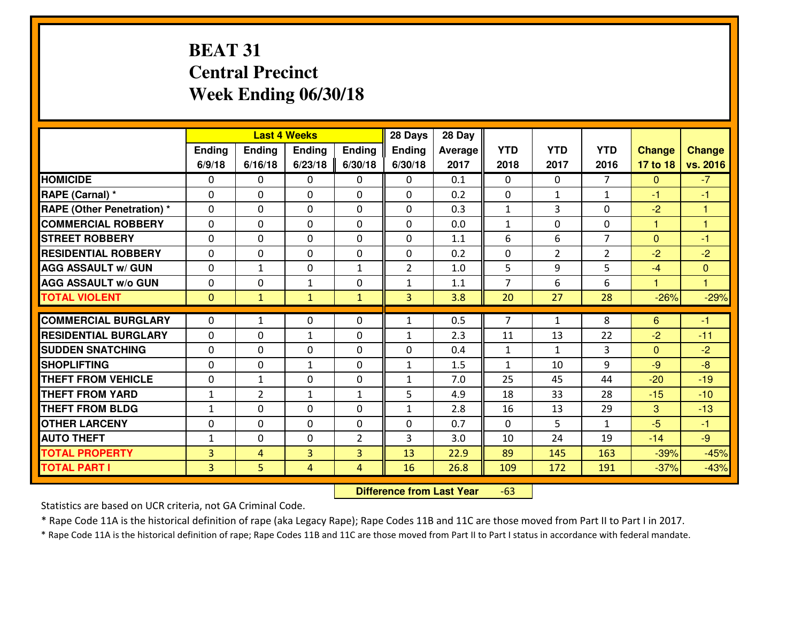# **BEAT 31 Central PrecinctWeek Ending 06/30/18**

|                                   |                |                | <b>Last 4 Weeks</b> |                | 28 Days        | 28 Day  |                |                |                |                      |                |
|-----------------------------------|----------------|----------------|---------------------|----------------|----------------|---------|----------------|----------------|----------------|----------------------|----------------|
|                                   | <b>Ending</b>  | Ending         | <b>Ending</b>       | Ending         | <b>Ending</b>  | Average | <b>YTD</b>     | <b>YTD</b>     | <b>YTD</b>     | <b>Change</b>        | <b>Change</b>  |
|                                   | 6/9/18         | 6/16/18        | 6/23/18             | 6/30/18        | 6/30/18        | 2017    | 2018           | 2017           | 2016           | 17 to 18             | vs. 2016       |
| <b>HOMICIDE</b>                   | 0              | $\Omega$       | $\Omega$            | 0              | $\Omega$       | 0.1     | $\Omega$       | $\Omega$       | $\overline{7}$ | $\mathbf{0}$         | $-7$           |
| RAPE (Carnal) *                   | $\Omega$       | $\Omega$       | $\Omega$            | 0              | 0              | 0.2     | $\Omega$       | $\mathbf{1}$   | $\mathbf{1}$   | $-1$                 | -1             |
| <b>RAPE (Other Penetration) *</b> | 0              | 0              | $\mathbf 0$         | 0              | 0              | 0.3     | $\mathbf{1}$   | 3              | 0              | $-2$                 | 1              |
| <b>COMMERCIAL ROBBERY</b>         | 0              | 0              | $\mathbf 0$         | $\Omega$       | 0              | 0.0     | $\mathbf{1}$   | $\mathbf 0$    | 0              | $\mathbf{1}$         | $\overline{1}$ |
| <b>STREET ROBBERY</b>             | 0              | 0              | 0                   | $\Omega$       | 0              | 1.1     | 6              | 6              | $\overline{7}$ | $\overline{0}$       | $-1$           |
| <b>RESIDENTIAL ROBBERY</b>        | 0              | 0              | 0                   | $\Omega$       | 0              | 0.2     | $\mathbf 0$    | $\overline{2}$ | $\overline{2}$ | $-2$                 | $-2$           |
| <b>AGG ASSAULT W/ GUN</b>         | 0              | $\mathbf{1}$   | 0                   | $\mathbf{1}$   | $\overline{2}$ | 1.0     | 5              | 9              | 5              | $-4$                 | $\overline{0}$ |
| <b>AGG ASSAULT W/o GUN</b>        | 0              | 0              | $\mathbf{1}$        | $\Omega$       | $\mathbf{1}$   | 1.1     | $\overline{7}$ | 6              | 6              | $\blacktriangleleft$ | 1              |
| <b>TOTAL VIOLENT</b>              | $\mathbf 0$    | $\mathbf{1}$   | $\mathbf{1}$        | $\mathbf{1}$   | 3              | 3.8     | 20             | 27             | 28             | $-26%$               | $-29%$         |
| <b>COMMERCIAL BURGLARY</b>        | $\Omega$       | $\mathbf{1}$   | $\mathbf{0}$        | 0              | $\mathbf{1}$   | 0.5     | $\overline{7}$ | $\mathbf{1}$   | 8              | 6                    | $-1$           |
| <b>RESIDENTIAL BURGLARY</b>       | 0              | 0              | 1                   | 0              | $\mathbf{1}$   | 2.3     | 11             | 13             | 22             | $-2$                 | $-11$          |
| <b>SUDDEN SNATCHING</b>           | 0              | 0              | 0                   | $\Omega$       | 0              | 0.4     | $\mathbf{1}$   | $\mathbf{1}$   | 3              | $\mathbf{0}$         | $-2$           |
| <b>SHOPLIFTING</b>                | 0              | $\mathbf 0$    | $\mathbf{1}$        | 0              | $\mathbf{1}$   | 1.5     | $\mathbf{1}$   | 10             | 9              | $-9$                 | $-8$           |
| <b>THEFT FROM VEHICLE</b>         | 0              | $\mathbf{1}$   | $\mathbf 0$         | $\Omega$       | $\mathbf{1}$   | 7.0     | 25             | 45             | 44             | $-20$                | $-19$          |
| <b>THEFT FROM YARD</b>            | $\mathbf 1$    | $\overline{2}$ | $\mathbf{1}$        | $\mathbf 1$    | 5              | 4.9     | 18             | 33             | 28             | $-15$                | $-10$          |
| <b>THEFT FROM BLDG</b>            | $\mathbf{1}$   | 0              | $\mathbf 0$         | $\Omega$       | $\mathbf{1}$   | 2.8     | 16             | 13             | 29             | 3                    | $-13$          |
| <b>OTHER LARCENY</b>              | 0              | 0              | $\mathbf 0$         | 0              | 0              | 0.7     | $\mathbf 0$    | 5              | $\mathbf{1}$   | $-5$                 | $-1$           |
| <b>AUTO THEFT</b>                 | $\mathbf{1}$   | 0              | $\mathbf 0$         | $\overline{2}$ | 3              | 3.0     | 10             | 24             | 19             | $-14$                | $-9$           |
| <b>TOTAL PROPERTY</b>             | $\overline{3}$ | 4              | $\overline{3}$      | 3              | 13             | 22.9    | 89             | 145            | 163            | $-39%$               | $-45%$         |
| <b>TOTAL PART I</b>               | $\overline{3}$ | 5              | 4                   | 4              | 16             | 26.8    | 109            | 172            | 191            | $-37%$               | $-43%$         |

 **Difference from Last Year**-63

Statistics are based on UCR criteria, not GA Criminal Code.

\* Rape Code 11A is the historical definition of rape (aka Legacy Rape); Rape Codes 11B and 11C are those moved from Part II to Part I in 2017.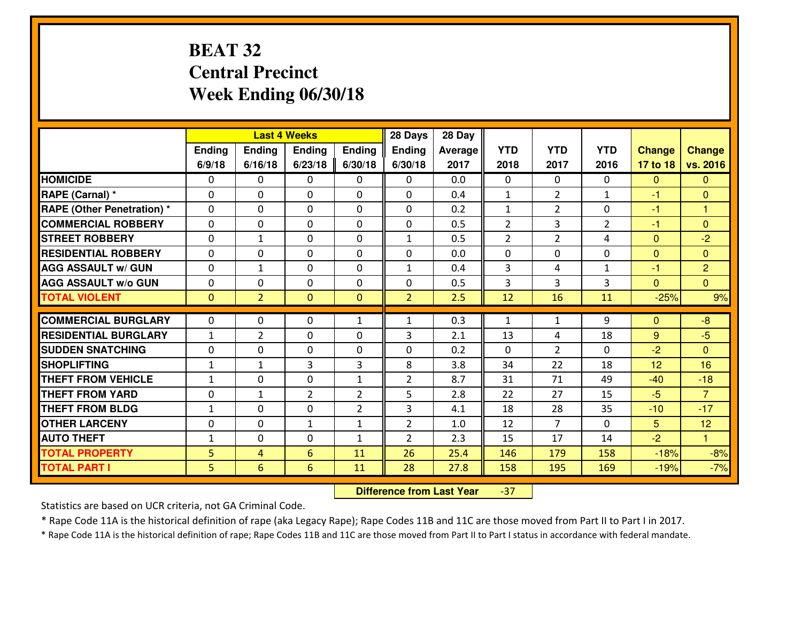# **BEAT 32 Central PrecinctWeek Ending 06/30/18**

|                                              |              |                | <b>Last 4 Weeks</b> |                | 28 Days        | 28 Day         |                |                |                |                  |                |
|----------------------------------------------|--------------|----------------|---------------------|----------------|----------------|----------------|----------------|----------------|----------------|------------------|----------------|
|                                              | Ending       | Ending         | <b>Ending</b>       | <b>Ending</b>  | <b>Ending</b>  | <b>Average</b> | <b>YTD</b>     | <b>YTD</b>     | <b>YTD</b>     | <b>Change</b>    | <b>Change</b>  |
|                                              | 6/9/18       | 6/16/18        | 6/23/18             | 6/30/18        | 6/30/18        | 2017           | 2018           | 2017           | 2016           | 17 to 18         | vs. 2016       |
| <b>HOMICIDE</b>                              | $\Omega$     | 0              | $\Omega$            | $\mathbf{0}$   | 0              | 0.0            | $\Omega$       | $\Omega$       | $\Omega$       | $\mathbf{0}$     | $\Omega$       |
| RAPE (Carnal) *                              | $\mathbf{0}$ | 0              | $\mathbf{0}$        | 0              | 0              | 0.4            | $\mathbf{1}$   | $\overline{2}$ | $\mathbf{1}$   | $-1$             | $\mathbf{0}$   |
| <b>RAPE (Other Penetration) *</b>            | $\mathbf{0}$ | 0              | $\mathbf{0}$        | 0              | 0              | 0.2            | $\mathbf{1}$   | $\overline{2}$ | $\Omega$       | -1               | $\mathbf{1}$   |
| <b>COMMERCIAL ROBBERY</b>                    | $\mathbf{0}$ | 0              | $\mathbf{0}$        | 0              | $\Omega$       | 0.5            | $\overline{2}$ | 3              | $\overline{2}$ | -1               | $\mathbf{0}$   |
| <b>STREET ROBBERY</b>                        | $\mathbf{0}$ | 1              | $\mathbf{0}$        | 0              | $\mathbf{1}$   | 0.5            | $\overline{2}$ | $\overline{2}$ | 4              | $\mathbf{0}$     | $-2$           |
| <b>RESIDENTIAL ROBBERY</b>                   | $\Omega$     | 0              | $\mathbf 0$         | 0              | 0              | 0.0            | $\mathbf 0$    | $\Omega$       | 0              | $\mathbf{0}$     | $\overline{0}$ |
| <b>AGG ASSAULT w/ GUN</b>                    | 0            | 1              | $\mathbf 0$         | 0              | $\mathbf{1}$   | 0.4            | 3              | 4              | $\mathbf{1}$   | $-1$             | $\overline{2}$ |
| <b>AGG ASSAULT W/o GUN</b>                   | 0            | 0              | $\mathbf 0$         | 0              | 0              | 0.5            | 3              | 3              | 3              | $\mathbf{0}$     | $\overline{0}$ |
| <b>TOTAL VIOLENT</b>                         | $\mathbf{0}$ | $\overline{2}$ | $\mathbf{0}$        | $\overline{0}$ | $\overline{2}$ | 2.5            | 12             | 16             | 11             | $-25%$           | 9%             |
| <b>COMMERCIAL BURGLARY</b>                   | $\mathbf{0}$ | 0              | 0                   | $\mathbf{1}$   | 1              | 0.3            | 1              | $\mathbf{1}$   | 9              | $\mathbf{0}$     | $-8$           |
| <b>RESIDENTIAL BURGLARY</b>                  | $\mathbf{1}$ |                |                     |                |                |                |                |                |                |                  |                |
|                                              |              |                |                     |                |                |                |                |                |                |                  |                |
|                                              |              | $\overline{2}$ | $\mathbf{0}$        | 0              | 3              | 2.1            | 13             | 4              | 18             | 9                | $-5$           |
| <b>SUDDEN SNATCHING</b>                      | $\mathbf{0}$ | 0              | 0                   | 0              | 0              | 0.2            | $\Omega$       | $\overline{2}$ | $\Omega$       | $-2$             | $\Omega$       |
| <b>SHOPLIFTING</b>                           | $\mathbf{1}$ | $\mathbf{1}$   | 3                   | 3              | 8              | 3.8            | 34             | 22             | 18             | 12               | 16             |
| <b>THEFT FROM VEHICLE</b>                    | $\mathbf{1}$ | 0              | 0                   | $\mathbf{1}$   | $\overline{2}$ | 8.7            | 31             | 71             | 49             | $-40$            | $-18$          |
| <b>THEFT FROM YARD</b>                       | 0            | 1              | $\overline{2}$      | $\overline{2}$ | 5              | 2.8            | 22             | 27             | 15             | $-5$             | $\overline{7}$ |
| <b>THEFT FROM BLDG</b>                       | $\mathbf{1}$ | 0              | 0                   | $\overline{2}$ | 3              | 4.1            | 18             | 28             | 35             | $-10$            | $-17$          |
| <b>OTHER LARCENY</b>                         | 0            | 0              | $\mathbf{1}$        | $\mathbf{1}$   | $\overline{2}$ | 1.0            | 12             | $\overline{7}$ | $\Omega$       | $5\phantom{.}$   | 12             |
| <b>AUTO THEFT</b>                            | $\mathbf{1}$ | 0              | 0                   | $\mathbf{1}$   | $\overline{2}$ | 2.3            | 15             | 17             | 14             | $-2$             | $\mathbf{1}$   |
| <b>TOTAL PROPERTY</b><br><b>TOTAL PART I</b> | 5<br>5       | 4<br>6         | 6<br>$6\phantom{1}$ | 11<br>11       | 26<br>28       | 25.4<br>27.8   | 146<br>158     | 179<br>195     | 158<br>169     | $-18%$<br>$-19%$ | $-8%$<br>$-7%$ |

 **Difference from Last Year**-37

Statistics are based on UCR criteria, not GA Criminal Code.

\* Rape Code 11A is the historical definition of rape (aka Legacy Rape); Rape Codes 11B and 11C are those moved from Part II to Part I in 2017.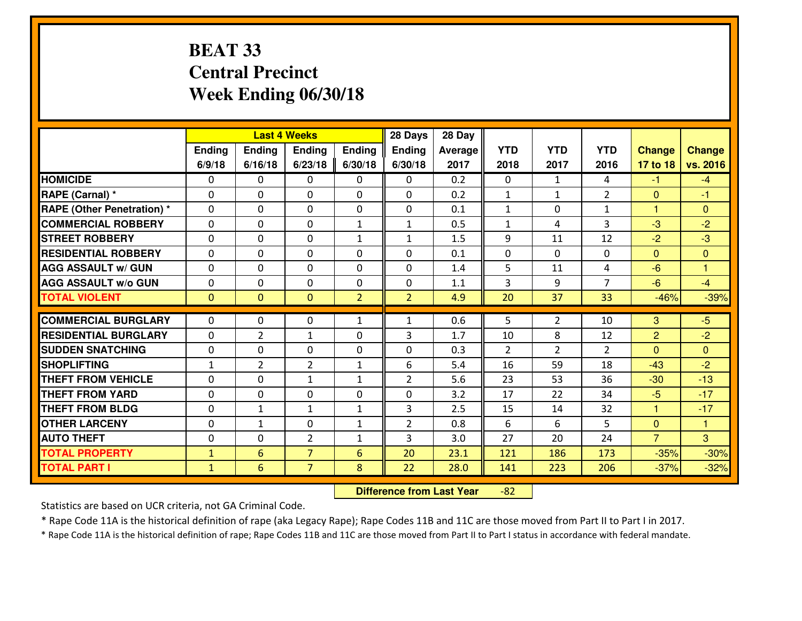# **BEAT 33 Central PrecinctWeek Ending 06/30/18**

|                                  |              |                | <b>Last 4 Weeks</b> |                | 28 Days        | 28 Day  |                |                |                      |                |                  |
|----------------------------------|--------------|----------------|---------------------|----------------|----------------|---------|----------------|----------------|----------------------|----------------|------------------|
|                                  | Ending       | Ending         | Ending              | <b>Ending</b>  | <b>Ending</b>  | Average | <b>YTD</b>     | <b>YTD</b>     | <b>YTD</b>           | <b>Change</b>  | <b>Change</b>    |
|                                  | 6/9/18       | 6/16/18        | 6/23/18             | 6/30/18        | 6/30/18        | 2017    | 2018           | 2017           | 2016                 | 17 to 18       | vs. 2016         |
| <b>HOMICIDE</b>                  | 0            | 0              | 0                   | 0              | 0              | 0.2     | 0              | $\mathbf{1}$   | 4                    | $-1$           | $-4$             |
| RAPE (Carnal) *                  | $\mathbf{0}$ | 0              | 0                   | $\Omega$       | 0              | 0.2     | $\mathbf{1}$   | $\mathbf{1}$   | $\overline{2}$       | $\Omega$       | $-1$             |
| <b>RAPE (Other Penetration)*</b> | $\Omega$     | $\Omega$       | $\mathbf 0$         | $\Omega$       | $\Omega$       | 0.1     | $\mathbf{1}$   | 0              | $\mathbf{1}$         | $\mathbf{1}$   | $\Omega$         |
| <b>COMMERCIAL ROBBERY</b>        | $\Omega$     | $\Omega$       | $\mathbf 0$         | $\mathbf{1}$   | $\mathbf{1}$   | 0.5     | $\mathbf{1}$   | 4              | 3                    | $-3$           | $-2$             |
| <b>ISTREET ROBBERY</b>           | $\mathbf{0}$ | 0              | $\mathbf{0}$        | $\mathbf{1}$   | $\mathbf{1}$   | 1.5     | 9              | 11             | 12                   | $-2$           | $-3$             |
| <b>RESIDENTIAL ROBBERY</b>       | 0            | 0              | $\mathbf 0$         | 0              | 0              | 0.1     | 0              | $\Omega$       | 0                    | $\Omega$       | $\overline{0}$   |
| <b>AGG ASSAULT W/ GUN</b>        | 0            | 0              | $\mathbf 0$         | 0              | 0              | 1.4     | 5              | 11             | 4                    | $-6$           | $\mathbf{1}$     |
| <b>AGG ASSAULT W/o GUN</b>       | 0            | 0              | $\mathbf 0$         | 0              | 0              | 1.1     | 3              | 9              | $\overline{7}$       | $-6$           | $-4$             |
| <b>TOTAL VIOLENT</b>             | $\mathbf{0}$ | $\overline{0}$ | $\mathbf{O}$        | $\overline{2}$ | $\overline{2}$ | 4.9     | 20             | 37             | 33                   | $-46%$         | $-39%$           |
| <b>COMMERCIAL BURGLARY</b>       | $\Omega$     | 0              | $\mathbf{0}$        | $\mathbf{1}$   | $\mathbf{1}$   | 0.6     | 5              | $\overline{2}$ | 10                   | 3              | $-5$             |
| <b>RESIDENTIAL BURGLARY</b>      | $\Omega$     |                |                     |                |                |         |                |                |                      |                |                  |
| <b>SUDDEN SNATCHING</b>          |              | $\overline{2}$ | 1                   | $\Omega$       | 3              | 1.7     | 10             | 8              | 12                   | $\overline{2}$ | $-2$             |
| <b>SHOPLIFTING</b>               | 0            | 0              | $\mathbf 0$         | $\Omega$       | 0<br>6         | 0.3     | $\overline{2}$ | $\overline{2}$ | $\overline{2}$<br>18 | $\Omega$       | $\Omega$<br>$-2$ |
|                                  | $\mathbf{1}$ | $\overline{2}$ | $\overline{2}$      | $\mathbf{1}$   |                | 5.4     | 16             | 59             |                      | $-43$          |                  |
| <b>THEFT FROM VEHICLE</b>        | 0            | 0              | $\mathbf{1}$        | $\mathbf{1}$   | $\overline{2}$ | 5.6     | 23             | 53             | 36                   | $-30$          | $-13$            |
| <b>THEFT FROM YARD</b>           | 0            | 0              | $\mathbf 0$         | 0              | 0              | 3.2     | 17             | 22             | 34                   | $-5$           | $-17$            |
| <b>THEFT FROM BLDG</b>           | $\mathbf{0}$ | $\mathbf{1}$   | 1                   | $\mathbf{1}$   | 3              | 2.5     | 15             | 14             | 32                   | $\mathbf{1}$   | $-17$            |
| <b>OTHER LARCENY</b>             | 0            | 1              | $\mathbf 0$         | $\mathbf{1}$   | $\overline{2}$ | 0.8     | 6              | 6              | 5                    | $\mathbf{0}$   | $\overline{1}$   |
| <b>AUTO THEFT</b>                | 0            | 0              | $\overline{2}$      | $\mathbf{1}$   | 3              | 3.0     | 27             | 20             | 24                   | $\overline{7}$ | 3                |
| <b>TOTAL PROPERTY</b>            | $\mathbf{1}$ | 6              | $\overline{7}$      | 6              | 20             | 23.1    | 121            | 186            | 173                  | $-35%$         | $-30%$           |
| <b>TOTAL PART I</b>              | $\mathbf{1}$ | 6              | $\overline{7}$      | 8              | 22             | 28.0    | 141            | 223            | 206                  | $-37%$         | $-32%$           |

 **Difference from Last Year**-82

Statistics are based on UCR criteria, not GA Criminal Code.

\* Rape Code 11A is the historical definition of rape (aka Legacy Rape); Rape Codes 11B and 11C are those moved from Part II to Part I in 2017.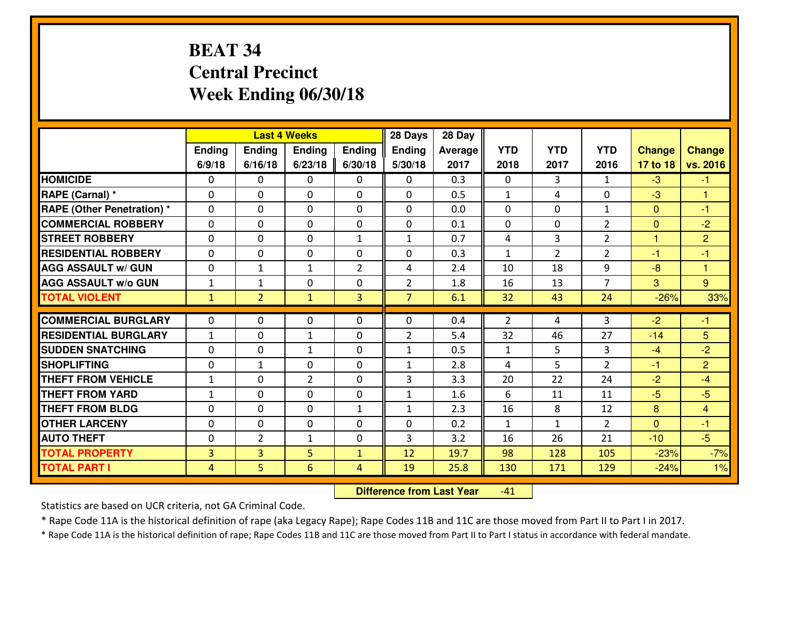# **BEAT 34 Central PrecinctWeek Ending 06/30/18**

|                             |                |                | <b>Last 4 Weeks</b> |                | 28 Days        | 28 Day         |                |                |                |               |                |
|-----------------------------|----------------|----------------|---------------------|----------------|----------------|----------------|----------------|----------------|----------------|---------------|----------------|
|                             | Ending         | <b>Ending</b>  | <b>Ending</b>       | Ending         | <b>Ending</b>  | <b>Average</b> | <b>YTD</b>     | <b>YTD</b>     | <b>YTD</b>     | <b>Change</b> | <b>Change</b>  |
|                             | 6/9/18         | 6/16/18        | 6/23/18             | 6/30/18        | 5/30/18        | 2017           | 2018           | 2017           | 2016           | 17 to 18      | vs. 2016       |
| <b>HOMICIDE</b>             | $\Omega$       | 0              | $\Omega$            | $\Omega$       | $\Omega$       | 0.3            | $\Omega$       | 3              | $\mathbf{1}$   | $-3$          | $-1$           |
| RAPE (Carnal) *             | $\mathbf{0}$   | 0              | $\mathbf{0}$        | 0              | $\Omega$       | 0.5            | $\mathbf{1}$   | 4              | $\Omega$       | $-3$          | $\mathbf{1}$   |
| RAPE (Other Penetration) *  | $\Omega$       | 0              | $\mathbf{0}$        | $\Omega$       | $\Omega$       | 0.0            | $\Omega$       | $\Omega$       | $\mathbf{1}$   | $\mathbf{0}$  | $-1$           |
| <b>COMMERCIAL ROBBERY</b>   | $\mathbf{0}$   | 0              | 0                   | 0              | 0              | 0.1            | $\mathbf{0}$   | 0              | $\overline{2}$ | $\mathbf{0}$  | $-2$           |
| <b>STREET ROBBERY</b>       | 0              | 0              | $\mathbf 0$         | $\mathbf{1}$   | $\mathbf{1}$   | 0.7            | 4              | 3              | $\overline{2}$ | $\mathbf{1}$  | $\overline{2}$ |
| <b>RESIDENTIAL ROBBERY</b>  | $\Omega$       | $\Omega$       | $\mathbf 0$         | 0              | 0              | 0.3            | $\mathbf{1}$   | $\overline{2}$ | $\overline{2}$ | $-1$          | $-1$           |
| <b>AGG ASSAULT w/ GUN</b>   | 0              | 1              | $\mathbf{1}$        | $\overline{2}$ | 4              | 2.4            | 10             | 18             | 9              | $-8$          | $\mathbf{1}$   |
| <b>AGG ASSAULT W/o GUN</b>  | $1\,$          | $\mathbf{1}$   | 0                   | 0              | $\overline{2}$ | 1.8            | 16             | 13             | $\overline{7}$ | 3             | 9 <sup>°</sup> |
| <b>TOTAL VIOLENT</b>        | $\mathbf{1}$   | $\overline{2}$ | $\mathbf{1}$        | 3              | $\overline{7}$ | 6.1            | 32             | 43             | 24             | $-26%$        | 33%            |
| <b>COMMERCIAL BURGLARY</b>  | $\Omega$       | 0              | $\Omega$            | $\Omega$       | $\Omega$       | 0.4            | $\overline{2}$ | 4              | 3              | $-2$          | $-1$           |
| <b>RESIDENTIAL BURGLARY</b> | $\mathbf{1}$   | 0              | $\mathbf{1}$        | 0              | $\overline{2}$ | 5.4            | 32             | 46             | 27             | $-14$         | 5              |
| <b>SUDDEN SNATCHING</b>     | 0              | 0              | $\mathbf{1}$        | 0              | $\mathbf{1}$   | 0.5            | $\mathbf{1}$   | 5              | 3              | $-4$          | $-2$           |
| <b>SHOPLIFTING</b>          | 0              | $\mathbf{1}$   | $\mathbf 0$         | 0              | $\mathbf{1}$   | 2.8            | 4              | 5              | $\overline{2}$ | $-1$          | $\overline{2}$ |
| <b>THEFT FROM VEHICLE</b>   | $\mathbf{1}$   | 0              | $\overline{2}$      | 0              | 3              | 3.3            | 20             | 22             | 24             | $-2$          | $-4$           |
| <b>THEFT FROM YARD</b>      | $1\,$          | 0              | $\mathbf 0$         | 0              | $\mathbf{1}$   | 1.6            | 6              | 11             | 11             | $-5$          | $-5$           |
| <b>THEFT FROM BLDG</b>      | 0              | 0              | $\mathbf 0$         | $\mathbf{1}$   | $\mathbf{1}$   | 2.3            | 16             | 8              | 12             | 8             | $\overline{4}$ |
| <b>OTHER LARCENY</b>        | 0              | 0              | 0                   | 0              | 0              | 0.2            | $\mathbf{1}$   | $\mathbf{1}$   | $\overline{2}$ | $\mathbf{0}$  | $-1$           |
| <b>AUTO THEFT</b>           | $\mathbf{0}$   | $\overline{2}$ | $\mathbf{1}$        | 0              | 3              | 3.2            | 16             | 26             | 21             | $-10$         | $-5$           |
| <b>TOTAL PROPERTY</b>       | 3              | $\overline{3}$ | 5                   | $\mathbf{1}$   | 12             | 19.7           | 98             | 128            | 105            | $-23%$        | $-7%$          |
| <b>TOTAL PART I</b>         | $\overline{4}$ | 5              | $6\phantom{1}$      | $\overline{4}$ | 19             | 25.8           | 130            | 171            | 129            | $-24%$        | 1%             |

 **Difference from Last Year** $-41$ 

Statistics are based on UCR criteria, not GA Criminal Code.

\* Rape Code 11A is the historical definition of rape (aka Legacy Rape); Rape Codes 11B and 11C are those moved from Part II to Part I in 2017.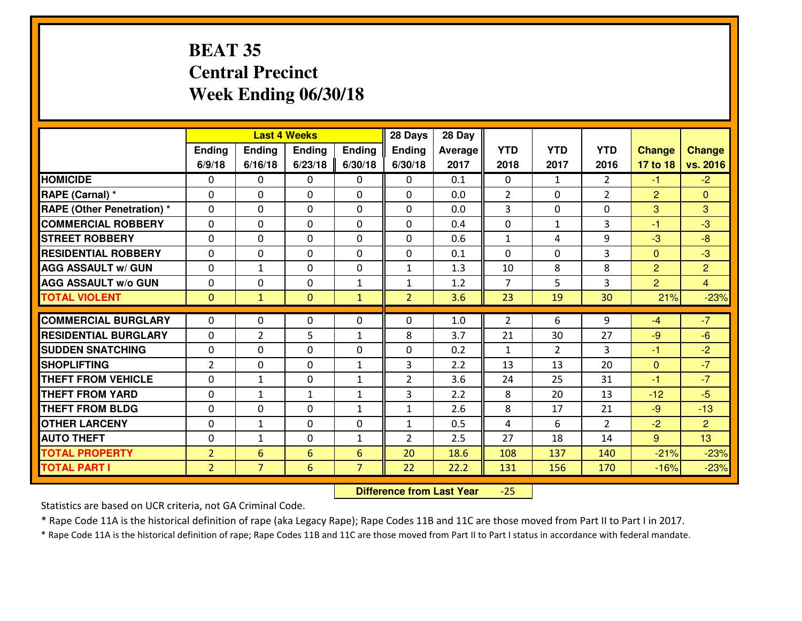# **BEAT 35 Central PrecinctWeek Ending 06/30/18**

|                                   |                | <b>Last 4 Weeks</b> |               |                | 28 Days        | 28 Day  |                |                |                |                |                |
|-----------------------------------|----------------|---------------------|---------------|----------------|----------------|---------|----------------|----------------|----------------|----------------|----------------|
|                                   | Ending         | Ending              | <b>Ending</b> | Ending         | <b>Ending</b>  | Average | <b>YTD</b>     | <b>YTD</b>     | <b>YTD</b>     | <b>Change</b>  | <b>Change</b>  |
|                                   | 6/9/18         | 6/16/18             | 6/23/18       | 6/30/18        | 6/30/18        | 2017    | 2018           | 2017           | 2016           | 17 to 18       | vs. 2016       |
| <b>HOMICIDE</b>                   | $\Omega$       | 0                   | $\Omega$      | 0              | $\Omega$       | 0.1     | 0              | $\mathbf{1}$   | $\mathfrak{D}$ | $-1$           | $-2$           |
| RAPE (Carnal) *                   | $\mathbf{0}$   | 0                   | $\mathbf{0}$  | 0              | $\Omega$       | 0.0     | 2              | $\mathbf{0}$   | $\overline{2}$ | 2              | $\mathbf{0}$   |
| <b>RAPE (Other Penetration) *</b> | $\Omega$       | 0                   | $\mathbf{0}$  | $\Omega$       | $\Omega$       | 0.0     | 3              | 0              | 0              | 3              | 3              |
| <b>COMMERCIAL ROBBERY</b>         | $\mathbf{0}$   | 0                   | 0             | 0              | $\Omega$       | 0.4     | $\mathbf{0}$   | $\mathbf{1}$   | 3              | $-1$           | $-3$           |
| <b>STREET ROBBERY</b>             | 0              | 0                   | $\mathbf 0$   | 0              | 0              | 0.6     | $\mathbf{1}$   | 4              | 9              | $-3$           | $-8$           |
| <b>RESIDENTIAL ROBBERY</b>        | $\Omega$       | $\Omega$            | $\mathbf 0$   | $\Omega$       | 0              | 0.1     | $\Omega$       | $\Omega$       | 3              | $\mathbf{0}$   | $-3$           |
| <b>AGG ASSAULT w/ GUN</b>         | 0              | $\mathbf{1}$        | $\mathbf 0$   | 0              | $\mathbf{1}$   | 1.3     | 10             | 8              | 8              | $\overline{2}$ | $\overline{2}$ |
| <b>AGG ASSAULT W/o GUN</b>        | 0              | 0                   | $\mathbf 0$   | $\mathbf{1}$   | $\mathbf{1}$   | 1.2     | $\overline{7}$ | 5              | 3              | 2              | $\overline{4}$ |
| <b>TOTAL VIOLENT</b>              | $\mathbf{0}$   | $\mathbf{1}$        | $\mathbf{O}$  | $\mathbf{1}$   | $\overline{2}$ | 3.6     | 23             | 19             | 30             | 21%            | $-23%$         |
| <b>COMMERCIAL BURGLARY</b>        | $\Omega$       | 0                   | $\mathbf{0}$  | $\Omega$       | $\Omega$       | 1.0     | 2              | 6              | 9              | $-4$           | $-7$           |
| <b>RESIDENTIAL BURGLARY</b>       | 0              | $\overline{2}$      | 5             | $\mathbf{1}$   | 8              | 3.7     | 21             | 30             | 27             | $-9$           | $-6$           |
| <b>SUDDEN SNATCHING</b>           | 0              | 0                   | 0             | 0              | 0              | 0.2     | $\mathbf{1}$   | $\overline{2}$ | 3              | $-1$           | $-2$           |
| <b>SHOPLIFTING</b>                | $\overline{2}$ | 0                   | $\mathbf 0$   | $\mathbf{1}$   | 3              | 2.2     | 13             | 13             | 20             | $\mathbf{0}$   | $-7$           |
| <b>THEFT FROM VEHICLE</b>         | $\Omega$       | $\mathbf{1}$        | $\mathbf 0$   | $\mathbf{1}$   | $\overline{2}$ | 3.6     | 24             | 25             | 31             | $-1$           | $-7$           |
| <b>THEFT FROM YARD</b>            | 0              | $\mathbf{1}$        | $\mathbf{1}$  | $\mathbf{1}$   | 3              | 2.2     | 8              | 20             | 13             | $-12$          | $-5$           |
| <b>THEFT FROM BLDG</b>            | 0              | 0                   | $\mathbf 0$   | $\mathbf{1}$   | $\mathbf{1}$   | 2.6     | 8              | 17             | 21             | $-9$           | $-13$          |
| <b>OTHER LARCENY</b>              | 0              | $\mathbf{1}$        | $\mathbf 0$   | 0              | $\mathbf{1}$   | 0.5     | 4              | 6              | $\overline{2}$ | $-2$           | $\overline{2}$ |
| <b>AUTO THEFT</b>                 | $\mathbf{0}$   | $\mathbf{1}$        | $\mathbf{0}$  | $\mathbf{1}$   | $\overline{2}$ | 2.5     | 27             | 18             | 14             | 9              | 13             |
| <b>TOTAL PROPERTY</b>             | $\overline{2}$ | 6                   | 6             | 6              | 20             | 18.6    | 108            | 137            | 140            | $-21%$         | $-23%$         |
| <b>TOTAL PART I</b>               | $\overline{2}$ | $\overline{7}$      | 6             | $\overline{7}$ | 22             | 22.2    | 131            | 156            | 170            | $-16%$         | $-23%$         |

 **Difference from Last Year**-25

Statistics are based on UCR criteria, not GA Criminal Code.

\* Rape Code 11A is the historical definition of rape (aka Legacy Rape); Rape Codes 11B and 11C are those moved from Part II to Part I in 2017.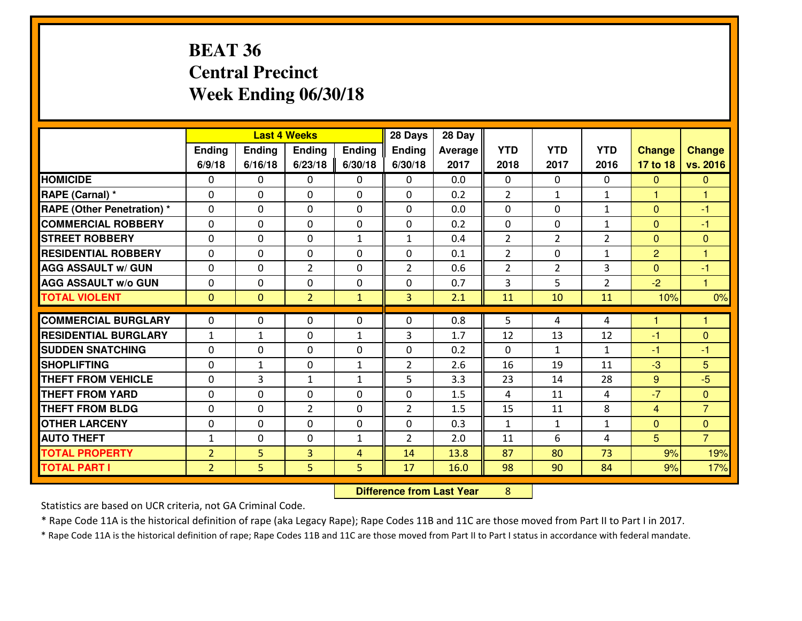# **BEAT 36 Central PrecinctWeek Ending 06/30/18**

|                                              |                                  |                | <b>Last 4 Weeks</b> |                     | 28 Days        | 28 Day         |                |                |                |                |                |
|----------------------------------------------|----------------------------------|----------------|---------------------|---------------------|----------------|----------------|----------------|----------------|----------------|----------------|----------------|
|                                              | Ending                           | <b>Ending</b>  | <b>Ending</b>       | Ending              | <b>Ending</b>  | <b>Average</b> | <b>YTD</b>     | <b>YTD</b>     | <b>YTD</b>     | <b>Change</b>  | <b>Change</b>  |
|                                              | 6/9/18                           | 6/16/18        | 6/23/18             | 6/30/18             | 6/30/18        | 2017           | 2018           | 2017           | 2016           | 17 to 18       | vs. 2016       |
| <b>HOMICIDE</b>                              | $\Omega$                         | 0              | $\Omega$            | $\mathbf{0}$        | 0              | 0.0            | $\mathbf{0}$   | $\Omega$       | 0              | $\mathbf{0}$   | $\Omega$       |
| RAPE (Carnal) *                              | $\mathbf{0}$                     | 0              | $\mathbf{0}$        | 0                   | $\Omega$       | 0.2            | $\overline{2}$ | $\mathbf{1}$   | $\mathbf{1}$   | $\mathbf{1}$   | 1              |
| <b>RAPE (Other Penetration) *</b>            | $\Omega$                         | 0              | $\Omega$            | $\Omega$            | $\Omega$       | 0.0            | $\Omega$       | 0              | $\mathbf{1}$   | $\Omega$       | -1             |
| <b>COMMERCIAL ROBBERY</b>                    | $\Omega$                         | $\Omega$       | $\mathbf 0$         | 0                   | 0              | 0.2            | $\mathbf 0$    | $\Omega$       | $\mathbf{1}$   | $\Omega$       | $-1$           |
| <b>ISTREET ROBBERY</b>                       | 0                                | 0              | $\mathbf 0$         | $\mathbf{1}$        | $\mathbf{1}$   | 0.4            | $\overline{2}$ | $\overline{2}$ | $\overline{2}$ | $\mathbf{0}$   | $\overline{0}$ |
| <b>RESIDENTIAL ROBBERY</b>                   | $\mathbf{0}$                     | 0              | $\mathbf 0$         | 0                   | 0              | 0.1            | $\overline{2}$ | $\Omega$       | $\mathbf{1}$   | $\overline{2}$ | $\mathbf{1}$   |
| <b>AGG ASSAULT w/ GUN</b>                    | 0                                | 0              | $\overline{2}$      | 0                   | $\overline{2}$ | 0.6            | $\overline{2}$ | $\overline{2}$ | 3              | $\mathbf{0}$   | $-1$           |
| <b>AGG ASSAULT W/o GUN</b>                   | 0                                | 0              | $\mathbf 0$         | 0                   | 0              | 0.7            | 3              | 5              | $\overline{2}$ | $-2$           | $\mathbf{1}$   |
| <b>TOTAL VIOLENT</b>                         | $\mathbf{0}$                     | $\overline{0}$ | $\overline{2}$      | $\mathbf{1}$        | 3              | 2.1            | 11             | 10             | 11             | 10%            | 0%             |
| <b>COMMERCIAL BURGLARY</b>                   | $\Omega$                         |                |                     |                     |                |                |                |                |                |                |                |
|                                              |                                  |                |                     |                     |                |                |                |                |                |                |                |
|                                              |                                  | 0              | $\mathbf{0}$        | $\mathbf{0}$        | $\Omega$       | 0.8            | 5              | 4              | 4              | 1              | 1.             |
| <b>RESIDENTIAL BURGLARY</b>                  | $\mathbf{1}$                     | 1              | $\mathbf{0}$        | $\mathbf{1}$        | 3              | 1.7            | 12             | 13             | 12             | -1             | $\Omega$       |
| <b>SUDDEN SNATCHING</b>                      | $\Omega$                         | 0              | $\mathbf{0}$        | $\Omega$            | $\Omega$       | 0.2            | $\Omega$       | $\mathbf{1}$   | $\mathbf{1}$   | $-1$           | $-1$           |
| <b>SHOPLIFTING</b>                           | $\Omega$                         | $\mathbf{1}$   | $\mathbf{0}$        | $\mathbf{1}$        | $\overline{2}$ | 2.6            | 16             | 19             | 11             | $-3$           | 5              |
| <b>THEFT FROM VEHICLE</b>                    | $\mathbf{0}$                     | 3              | $\mathbf{1}$        | $\mathbf{1}$        | 5              | 3.3            | 23             | 14             | 28             | 9              | $-5$           |
| <b>THEFT FROM YARD</b>                       | 0                                | 0              | $\mathbf 0$         | 0                   | 0              | 1.5            | 4              | 11             | 4              | $-7$           | $\overline{0}$ |
| <b>THEFT FROM BLDG</b>                       | 0                                | 0              | $\overline{2}$      | 0                   | $\overline{2}$ | 1.5            | 15             | 11             | 8              | $\overline{4}$ | $\overline{7}$ |
| <b>OTHER LARCENY</b>                         | 0                                | 0              | 0                   | 0                   | 0              | 0.3            | $\mathbf{1}$   | $\mathbf{1}$   | $\mathbf{1}$   | $\mathbf{0}$   | $\overline{0}$ |
| <b>AUTO THEFT</b>                            | $\mathbf{1}$                     | 0              | 0                   | $\mathbf{1}$        | $\overline{2}$ | 2.0            | 11             | 6              | 4              | $5\phantom{.}$ | $\overline{7}$ |
| <b>TOTAL PROPERTY</b><br><b>TOTAL PART I</b> | $\overline{2}$<br>$\overline{2}$ | 5<br>5         | 3<br>5              | $\overline{4}$<br>5 | 14<br>17       | 13.8<br>16.0   | 87<br>98       | 80<br>90       | 73<br>84       | 9%<br>9%       | 19%<br>17%     |

**Difference from Last Year** 8

Statistics are based on UCR criteria, not GA Criminal Code.

\* Rape Code 11A is the historical definition of rape (aka Legacy Rape); Rape Codes 11B and 11C are those moved from Part II to Part I in 2017.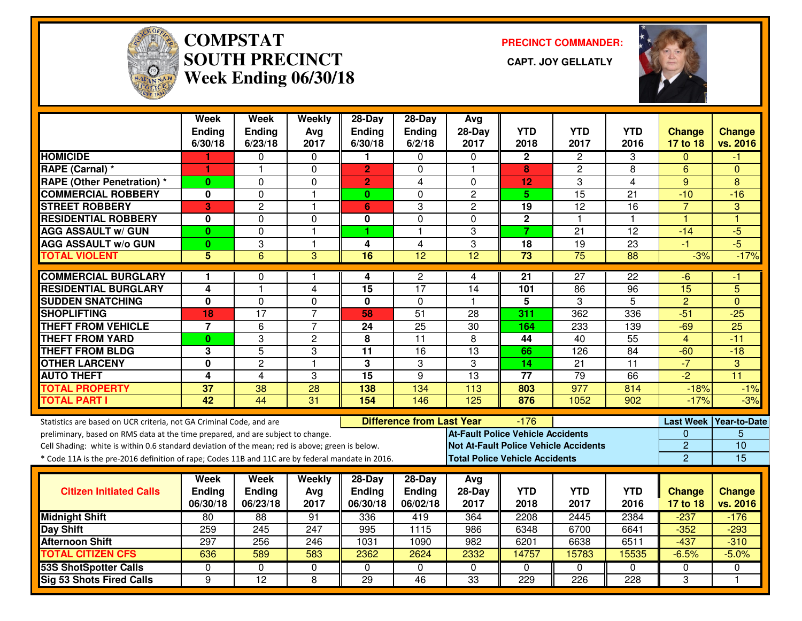

# **COMPSTAT PRECINCT COMMANDER: SOUTH PRECINCT CAPT. JOY GELLATLYWeek Ending 06/30/18**



|                                                                                                  | <b>Week</b><br><b>Ending</b> | <b>Week</b><br><b>Ending</b>    | Weekly<br>Avg           | 28-Day<br><b>Ending</b>   | 28-Day<br>Ending                 | Avg<br>$28-Day$                          | <b>YTD</b>                            | <b>YTD</b>                                   | <b>YTD</b>         | <b>Change</b>             | <b>Change</b>             |
|--------------------------------------------------------------------------------------------------|------------------------------|---------------------------------|-------------------------|---------------------------|----------------------------------|------------------------------------------|---------------------------------------|----------------------------------------------|--------------------|---------------------------|---------------------------|
|                                                                                                  | 6/30/18                      | 6/23/18                         | 2017                    | 6/30/18                   | 6/2/18                           | 2017                                     | 2018                                  | 2017                                         | 2016               | 17 to 18                  | vs. 2016                  |
| <b>HOMICIDE</b>                                                                                  | 1                            | 0                               | $\mathbf{0}$            | 1                         | 0                                | $\Omega$                                 | $\mathbf{2}$                          | $\overline{2}$                               | 3                  | $\Omega$                  | -1                        |
| <b>RAPE (Carnal)</b> *                                                                           | 1.                           | 1                               | 0                       | $\overline{2}$            | 0                                | $\mathbf{1}$                             | 8                                     | $\overline{c}$                               | 8                  | 6                         | $\Omega$                  |
| <b>RAPE (Other Penetration) *</b>                                                                | $\bf{0}$                     | 0                               | $\mathbf 0$             | $\overline{2}$            | 4                                | $\Omega$                                 | 12                                    | 3                                            | $\overline{4}$     | 9                         | 8                         |
| <b>COMMERCIAL ROBBERY</b>                                                                        | $\mathbf 0$                  | $\Omega$                        | $\mathbf{1}$            | $\mathbf{0}$              | $\Omega$                         | $\mathbf{2}$                             | 5                                     | 15                                           | 21                 | $-10$                     | $-16$                     |
| <b>STREET ROBBERY</b>                                                                            | 3                            | $\overline{c}$                  | $\mathbf{1}$            | 6                         | 3                                | $\overline{c}$                           | 19                                    | 12                                           | 16                 | $\overline{7}$            | 3                         |
| <b>RESIDENTIAL ROBBERY</b>                                                                       | 0                            | $\Omega$                        | 0                       | 0                         | $\Omega$                         | $\Omega$                                 | $\mathbf{2}$                          | $\overline{\mathbf{1}}$                      | 1.                 | $\overline{1}$            | $\overline{1}$            |
| <b>AGG ASSAULT w/ GUN</b>                                                                        | $\mathbf{0}$                 | $\mathbf 0$                     | $\mathbf{1}$            | 1                         | $\mathbf{1}$                     | 3                                        | $\overline{7}$                        | $\overline{21}$                              | 12                 | $-14$                     | $-5$                      |
| <b>AGG ASSAULT w/o GUN</b>                                                                       | $\mathbf{0}$                 | 3                               | $\mathbf{1}$            | 4                         | $\overline{4}$                   | 3                                        | 18                                    | 19                                           | 23                 | $-1$                      | $-5$                      |
| <b>TOTAL VIOLENT</b>                                                                             | 5                            | 6                               | 3                       | $\overline{16}$           | $\overline{12}$                  | $\overline{12}$                          | $\overline{73}$                       | $\overline{75}$                              | 88                 | $-3%$                     | $-17%$                    |
| <b>COMMERCIAL BURGLARY</b>                                                                       | 1                            | 0                               | $\mathbf{1}$            | 4                         | $\overline{2}$                   | 4                                        | 21                                    | 27                                           | 22                 | $-6$                      | -1                        |
| <b>RESIDENTIAL BURGLARY</b>                                                                      | 4                            | $\mathbf{1}$                    | $\overline{\mathbf{4}}$ | $\overline{15}$           | $\overline{17}$                  | $\overline{14}$                          | 101                                   | $\overline{86}$                              | 96                 | $\overline{15}$           | 5                         |
| <b>SUDDEN SNATCHING</b>                                                                          | $\mathbf{0}$                 | $\mathbf 0$                     | $\mathbf 0$             | $\mathbf{0}$              | $\mathbf{0}$                     | $\overline{1}$                           | 5                                     | 3                                            | $\overline{5}$     | $\overline{2}$            | $\Omega$                  |
| <b>SHOPLIFTING</b>                                                                               | 18                           | 17                              | $\overline{7}$          | 58                        | $\overline{51}$                  | 28                                       | 311                                   | 362                                          | 336                | $-51$                     | $-25$                     |
| <b>THEFT FROM VEHICLE</b>                                                                        | $\overline{7}$               | 6                               | $\overline{7}$          | 24                        | 25                               | 30                                       | 164                                   | 233                                          | 139                | $-69$                     | 25                        |
| <b>THEFT FROM YARD</b>                                                                           | $\bf{0}$                     | 3                               | $\overline{2}$          | 8                         | $\overline{11}$                  | $\overline{8}$                           | 44                                    | 40                                           | 55                 | $\overline{\mathbf{4}}$   | $-11$                     |
| <b>THEFT FROM BLDG</b>                                                                           | 3                            | 5                               | 3                       | 11                        | 16                               | 13                                       | 66                                    | 126                                          | 84                 | $-60$                     | $-18$                     |
| <b>OTHER LARCENY</b>                                                                             | 0                            | $\overline{2}$                  | $\mathbf{1}$            | $\overline{\mathbf{3}}$   | 3                                | 3                                        | 14                                    | $\overline{21}$                              | 11                 | $-7$                      | $\overline{3}$            |
| <b>AUTO THEFT</b>                                                                                | 4                            | 4                               | 3                       | $\overline{15}$           | 9                                | $\overline{13}$                          | 77                                    | 79                                           | 66                 | $\overline{2}$            | $\overline{11}$           |
| <b>TOTAL PROPERTY</b>                                                                            | $\overline{37}$              | 38                              | 28                      | 138                       | 134                              | 113                                      | 803                                   | 977                                          | 814                | $-18%$                    | $-1%$                     |
| <b>TOTAL PART I</b>                                                                              | 42                           | 44                              | $\overline{31}$         | 154                       | 146                              | $\overline{125}$                         | 876                                   | 1052                                         | 902                | $-17%$                    | $-3%$                     |
| Statistics are based on UCR criteria, not GA Criminal Code, and are                              |                              |                                 |                         |                           | <b>Difference from Last Year</b> |                                          | $-176$                                |                                              |                    | <b>Last Week</b>          | <b>Year-to-Date</b>       |
| preliminary, based on RMS data at the time prepared, and are subject to change.                  |                              |                                 |                         |                           |                                  | <b>At-Fault Police Vehicle Accidents</b> |                                       |                                              |                    | 0                         | 5                         |
| Cell Shading: white is within 0.6 standard deviation of the mean; red is above; green is below.  |                              |                                 |                         |                           |                                  |                                          |                                       | <b>Not At-Fault Police Vehicle Accidents</b> |                    | $\overline{2}$            | $\overline{10}$           |
| * Code 11A is the pre-2016 definition of rape; Codes 11B and 11C are by federal mandate in 2016. |                              |                                 |                         |                           |                                  |                                          | <b>Total Police Vehicle Accidents</b> |                                              |                    | $\overline{2}$            | 15                        |
|                                                                                                  |                              |                                 |                         |                           |                                  |                                          |                                       |                                              |                    |                           |                           |
|                                                                                                  | Week                         | <b>Week</b>                     | Weekly                  | $28-Day$                  | $28-Day$                         | Avg                                      |                                       |                                              |                    |                           |                           |
| <b>Citizen Initiated Calls</b>                                                                   | <b>Ending</b><br>06/30/18    | <b>Ending</b><br>06/23/18       | Avg<br>2017             | <b>Ending</b><br>06/30/18 | <b>Ending</b><br>06/02/18        | $28-Day$<br>2017                         | <b>YTD</b><br>2018                    | <b>YTD</b><br>2017                           | <b>YTD</b><br>2016 | <b>Change</b><br>17 to 18 | <b>Change</b><br>vs. 2016 |
|                                                                                                  |                              |                                 |                         |                           |                                  |                                          | 2208                                  | 2445                                         |                    | $-237$                    | $-176$                    |
| <b>Midnight Shift</b><br>Day Shift                                                               | 80<br>259                    | 88<br>245                       | 91<br>247               | 336<br>995                | 419<br>1115                      | 364                                      |                                       | 6700                                         | 2384<br>6641       | $-352$                    | $-293$                    |
| <b>Afternoon Shift</b>                                                                           | 297                          | 256                             | 246                     | 1031                      | 1090                             | 986<br>982                               | 6348<br>6201                          | 6638                                         | 6511               | $-437$                    | $-310$                    |
| <b>TOTAL CITIZEN CFS</b>                                                                         | 636                          | 589                             | 583                     | 2362                      | 2624                             | 2332                                     | 14757                                 | 15783                                        | 15535              | $-6.5%$                   | $-5.0%$                   |
|                                                                                                  |                              |                                 |                         |                           |                                  |                                          |                                       |                                              |                    |                           |                           |
| <b>53S ShotSpotter Calls</b>                                                                     | $\mathbf 0$<br>9             | $\mathbf{0}$<br>$\overline{12}$ | 0                       | $\mathbf{0}$<br>29        | $\mathbf{0}$<br>46               | $\mathbf{0}$<br>$\overline{33}$          | $\mathbf 0$<br>229                    | $\mathbf 0$<br>$\overline{226}$              | 0<br>228           | 0<br>3                    | 0<br>-1                   |
| Sig 53 Shots Fired Calls                                                                         |                              |                                 | 8                       |                           |                                  |                                          |                                       |                                              |                    |                           |                           |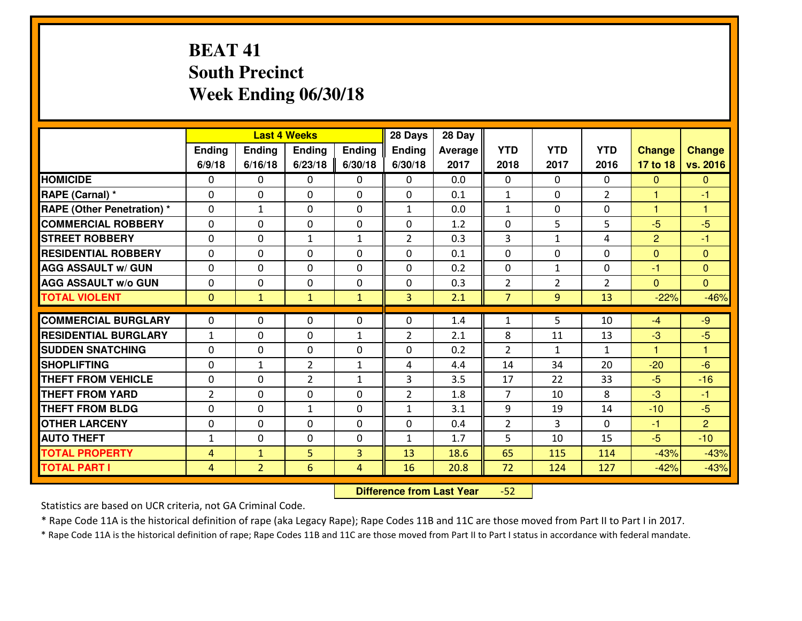# **BEAT 41 South PrecinctWeek Ending 06/30/18**

|                                   |                |                | <b>Last 4 Weeks</b> |                | 28 Days        | 28 Day         |                |                |                |                |                |
|-----------------------------------|----------------|----------------|---------------------|----------------|----------------|----------------|----------------|----------------|----------------|----------------|----------------|
|                                   | Ending         | <b>Ending</b>  | <b>Ending</b>       | Ending         | <b>Ending</b>  | <b>Average</b> | <b>YTD</b>     | <b>YTD</b>     | <b>YTD</b>     | <b>Change</b>  | <b>Change</b>  |
|                                   | 6/9/18         | 6/16/18        | 6/23/18             | 6/30/18        | 6/30/18        | 2017           | 2018           | 2017           | 2016           | 17 to 18       | vs. 2016       |
| <b>HOMICIDE</b>                   | $\Omega$       | 0              | $\Omega$            | $\Omega$       | $\Omega$       | 0.0            | $\Omega$       | $\Omega$       | $\Omega$       | $\mathbf{0}$   | $\Omega$       |
| RAPE (Carnal) *                   | $\Omega$       | 0              | $\Omega$            | $\Omega$       | $\Omega$       | 0.1            | $\mathbf{1}$   | $\Omega$       | $\overline{2}$ | $\mathbf{1}$   | $-1$           |
| <b>RAPE (Other Penetration) *</b> | 0              | 1              | 0                   | 0              | $\mathbf{1}$   | 0.0            | $\mathbf{1}$   | $\Omega$       | 0              | $\mathbf{1}$   | 1              |
| <b>COMMERCIAL ROBBERY</b>         | 0              | 0              | $\mathbf 0$         | 0              | 0              | 1.2            | $\mathbf 0$    | 5              | 5              | $-5$           | $-5$           |
| <b>STREET ROBBERY</b>             | 0              | 0              | $\mathbf{1}$        | $\mathbf{1}$   | $\overline{2}$ | 0.3            | 3              | $\mathbf{1}$   | 4              | $\overline{2}$ | $-1$           |
| <b>RESIDENTIAL ROBBERY</b>        | $\Omega$       | 0              | $\mathbf 0$         | 0              | 0              | 0.1            | $\mathbf 0$    | $\mathbf 0$    | 0              | $\mathbf{0}$   | $\overline{0}$ |
| <b>AGG ASSAULT w/ GUN</b>         | 0              | 0              | 0                   | 0              | 0              | 0.2            | $\mathbf 0$    | $\mathbf{1}$   | 0              | $-1$           | $\overline{0}$ |
| <b>AGG ASSAULT W/o GUN</b>        | 0              | 0              | 0                   | 0              | 0              | 0.3            | $\overline{2}$ | $\overline{2}$ | $\overline{2}$ | $\mathbf{0}$   | $\overline{0}$ |
| <b>TOTAL VIOLENT</b>              | $\mathbf{0}$   | $\mathbf{1}$   | $\mathbf{1}$        | $\mathbf{1}$   | $\overline{3}$ | 2.1            | $\overline{7}$ | 9              | 13             | $-22%$         | $-46%$         |
| <b>COMMERCIAL BURGLARY</b>        | $\Omega$       | 0              | $\mathbf{0}$        | $\mathbf{0}$   | $\Omega$       | 1.4            | $\mathbf{1}$   | 5              | 10             | $-4$           | $-9$           |
| <b>RESIDENTIAL BURGLARY</b>       | $\mathbf{1}$   | 0              | 0                   | $\mathbf{1}$   | $\overline{2}$ | 2.1            | 8              | 11             | 13             | $-3$           | $-5$           |
| <b>SUDDEN SNATCHING</b>           | $\mathbf{0}$   | 0              | 0                   | 0              | 0              | 0.2            | $\overline{2}$ | $\mathbf{1}$   | $\mathbf{1}$   | $\mathbf{1}$   | $\mathbf{1}$   |
| <b>SHOPLIFTING</b>                | 0              | $\mathbf{1}$   | $\overline{2}$      | $\mathbf{1}$   | 4              | 4.4            | 14             | 34             | 20             | $-20$          | $-6$           |
| <b>THEFT FROM VEHICLE</b>         | 0              | 0              | $\overline{2}$      | $\mathbf{1}$   | 3              | 3.5            | 17             | 22             | 33             | $-5$           | $-16$          |
| <b>THEFT FROM YARD</b>            | $\overline{2}$ | 0              | 0                   | 0              | $\overline{2}$ | 1.8            | $\overline{7}$ | 10             | 8              | $-3$           | $-1$           |
| <b>THEFT FROM BLDG</b>            | 0              | 0              | $\mathbf{1}$        | 0              | $\mathbf{1}$   | 3.1            | 9              | 19             | 14             | $-10$          | $-5$           |
| <b>OTHER LARCENY</b>              | 0              | 0              | 0                   | 0              | 0              | 0.4            | $\overline{2}$ | 3              | 0              | $-1$           | $\overline{2}$ |
| <b>AUTO THEFT</b>                 | $\mathbf{1}$   | 0              | $\mathbf 0$         | 0              | $\mathbf{1}$   | 1.7            | 5              | 10             | 15             | $-5$           | $-10$          |
| <b>TOTAL PROPERTY</b>             | $\overline{4}$ | $\mathbf{1}$   | 5                   | 3              | 13             | 18.6           | 65             | 115            | 114            | $-43%$         | $-43%$         |
| <b>TOTAL PART I</b>               | $\overline{4}$ | $\overline{2}$ | 6                   | $\overline{4}$ | 16             | 20.8           | 72             | 124            | 127            | $-42%$         | $-43%$         |

 **Difference from Last Year** $-52$ 

Statistics are based on UCR criteria, not GA Criminal Code.

\* Rape Code 11A is the historical definition of rape (aka Legacy Rape); Rape Codes 11B and 11C are those moved from Part II to Part I in 2017.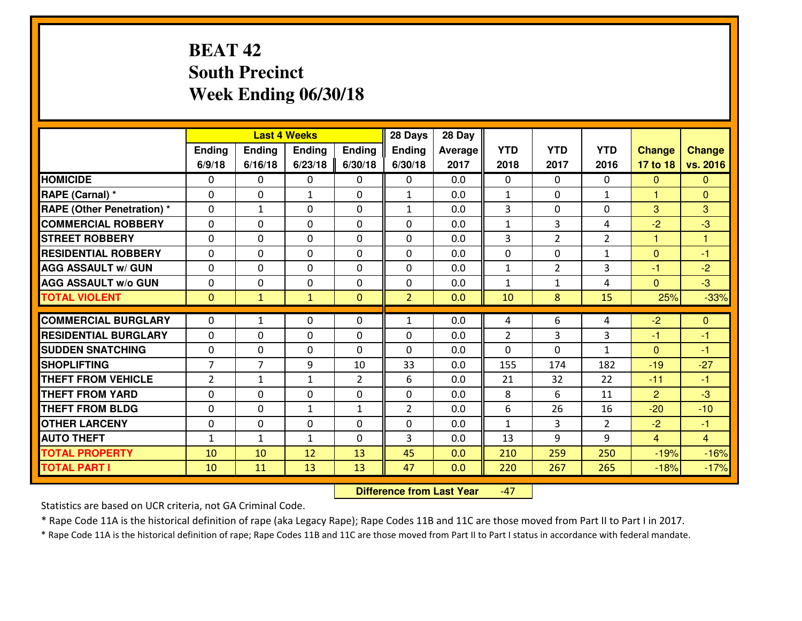# **BEAT 42 South PrecinctWeek Ending 06/30/18**

|                                  |                |                | <b>Last 4 Weeks</b> |                | 28 Days        | 28 Day  |                |                |                |                |                |
|----------------------------------|----------------|----------------|---------------------|----------------|----------------|---------|----------------|----------------|----------------|----------------|----------------|
|                                  | Ending         | Ending         | <b>Ending</b>       | <b>Ending</b>  | <b>Ending</b>  | Average | <b>YTD</b>     | <b>YTD</b>     | <b>YTD</b>     | <b>Change</b>  | <b>Change</b>  |
|                                  | 6/9/18         | 6/16/18        | 6/23/18             | 6/30/18        | 6/30/18        | 2017    | 2018           | 2017           | 2016           | 17 to 18       | vs. 2016       |
| <b>HOMICIDE</b>                  | 0              | 0              | $\mathbf{0}$        | 0              | 0              | 0.0     | $\mathbf{0}$   | $\Omega$       | $\Omega$       | $\mathbf{0}$   | $\mathbf{0}$   |
| RAPE (Carnal) *                  | $\mathbf{0}$   | 0              | 1                   | 0              | $\mathbf{1}$   | 0.0     | 1              | $\Omega$       | $\mathbf{1}$   | 1              | $\mathbf{0}$   |
| <b>RAPE (Other Penetration)*</b> | $\Omega$       | $\mathbf{1}$   | $\Omega$            | $\Omega$       | $\mathbf{1}$   | 0.0     | 3              | 0              | $\Omega$       | 3              | 3              |
| <b>COMMERCIAL ROBBERY</b>        | 0              | 0              | $\mathbf 0$         | 0              | 0              | 0.0     | $\mathbf{1}$   | 3              | 4              | $-2$           | $-3$           |
| <b>ISTREET ROBBERY</b>           | $\mathbf{0}$   | 0              | $\mathbf{0}$        | $\Omega$       | $\Omega$       | 0.0     | $\overline{3}$ | $\overline{2}$ | $\overline{2}$ | 1              | $\overline{1}$ |
| <b>RESIDENTIAL ROBBERY</b>       | $\Omega$       | $\Omega$       | $\mathbf 0$         | $\Omega$       | 0              | 0.0     | 0              | $\Omega$       | $\mathbf{1}$   | $\mathbf{0}$   | $-1$           |
| <b>AGG ASSAULT w/ GUN</b>        | $\Omega$       | $\Omega$       | $\mathbf 0$         | $\Omega$       | $\Omega$       | 0.0     | $\mathbf{1}$   | $\overline{2}$ | 3              | $-1$           | $-2$           |
| <b>AGG ASSAULT W/o GUN</b>       | 0              | 0              | $\mathbf 0$         | 0              | 0              | 0.0     | $\mathbf{1}$   | $\mathbf{1}$   | 4              | $\overline{0}$ | $-3$           |
| <b>TOTAL VIOLENT</b>             | $\mathbf{0}$   | $\mathbf{1}$   | $\mathbf{1}$        | $\mathbf{0}$   | $\overline{2}$ | 0.0     | 10             | 8              | 15             | 25%            | $-33%$         |
| <b>COMMERCIAL BURGLARY</b>       | $\mathbf{0}$   | $\mathbf{1}$   | 0                   | 0              | 1              | 0.0     | 4              | 6              | 4              | $-2$           | $\mathbf{0}$   |
| <b>RESIDENTIAL BURGLARY</b>      | $\mathbf{0}$   | 0              | $\mathbf{0}$        | 0              | $\Omega$       | 0.0     | $\overline{2}$ | 3              | 3              | -1             | -1             |
| <b>SUDDEN SNATCHING</b>          | $\mathbf{0}$   | 0              | $\mathbf{0}$        | 0              | $\Omega$       | 0.0     | $\Omega$       | 0              | $\mathbf{1}$   | $\Omega$       | -1             |
| <b>SHOPLIFTING</b>               | $\overline{7}$ | $\overline{7}$ | 9                   | 10             | 33             | 0.0     | 155            | 174            | 182            | $-19$          | $-27$          |
| <b>THEFT FROM VEHICLE</b>        | 2              | $\mathbf{1}$   | $\mathbf{1}$        | $\overline{2}$ | 6              | 0.0     | 21             | 32             | 22             | $-11$          | $-1$           |
| <b>THEFT FROM YARD</b>           | 0              | 0              | $\mathbf 0$         | 0              | 0              | 0.0     | 8              | 6              | 11             | 2              | $-3$           |
| <b>THEFT FROM BLDG</b>           | 0              | 0              | $\mathbf{1}$        | $\mathbf{1}$   | $\overline{2}$ | 0.0     | 6              | 26             | 16             | $-20$          | $-10$          |
| <b>OTHER LARCENY</b>             | 0              | 0              | $\mathbf 0$         | 0              | 0              | 0.0     | $\mathbf{1}$   | 3              | $\overline{2}$ | $-2$           | $-1$           |
| <b>AUTO THEFT</b>                | $\mathbf{1}$   | $\mathbf{1}$   | $\mathbf{1}$        | 0              | 3              | 0.0     | 13             | 9              | 9              | $\overline{4}$ | $\overline{4}$ |
| <b>TOTAL PROPERTY</b>            | 10             | 10             | 12                  | 13             | 45             | 0.0     | 210            | 259            | 250            | $-19%$         | $-16%$         |
| <b>TOTAL PART I</b>              | 10             | 11             | 13                  | 13             | 47             | 0.0     | 220            | 267            | 265            | $-18%$         | $-17%$         |

 **Difference from Last Year**-47

Statistics are based on UCR criteria, not GA Criminal Code.

\* Rape Code 11A is the historical definition of rape (aka Legacy Rape); Rape Codes 11B and 11C are those moved from Part II to Part I in 2017.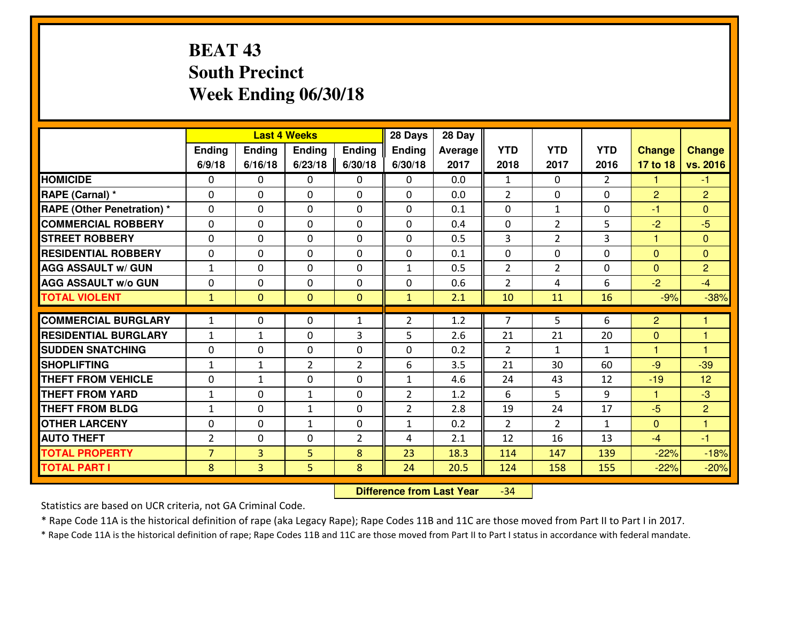# **BEAT 43 South PrecinctWeek Ending 06/30/18**

|                                  |                |                | <b>Last 4 Weeks</b> |                | 28 Days        | 28 Day  |                |                |                |                |                      |
|----------------------------------|----------------|----------------|---------------------|----------------|----------------|---------|----------------|----------------|----------------|----------------|----------------------|
|                                  | Ending         | Ending         | <b>Ending</b>       | Ending         | <b>Ending</b>  | Average | <b>YTD</b>     | <b>YTD</b>     | <b>YTD</b>     | <b>Change</b>  | <b>Change</b>        |
|                                  | 6/9/18         | 6/16/18        | 6/23/18             | 6/30/18        | 6/30/18        | 2017    | 2018           | 2017           | 2016           | 17 to 18       | vs. 2016             |
| <b>HOMICIDE</b>                  | $\Omega$       | 0              | $\Omega$            | $\mathbf{0}$   | 0              | 0.0     | 1              | $\Omega$       | $\overline{2}$ | 1.             | $-1$                 |
| RAPE (Carnal) *                  | $\Omega$       | 0              | $\mathbf 0$         | 0              | $\Omega$       | 0.0     | $\overline{2}$ | $\Omega$       | 0              | 2              | $\overline{2}$       |
| <b>RAPE (Other Penetration)*</b> | $\Omega$       | $\Omega$       | $\Omega$            | $\Omega$       | $\Omega$       | 0.1     | $\Omega$       | $\mathbf{1}$   | $\Omega$       | $-1$           | $\Omega$             |
| <b>COMMERCIAL ROBBERY</b>        | $\Omega$       | $\Omega$       | $\mathbf 0$         | $\Omega$       | $\Omega$       | 0.4     | $\Omega$       | $\overline{2}$ | 5              | $-2$           | $-5$                 |
| <b>ISTREET ROBBERY</b>           | $\mathbf{0}$   | 0              | $\mathbf{0}$        | 0              | $\Omega$       | 0.5     | 3              | $\overline{2}$ | 3              | $\mathbf{1}$   | $\mathbf{0}$         |
| <b>RESIDENTIAL ROBBERY</b>       | 0              | 0              | $\mathbf 0$         | 0              | 0              | 0.1     | $\mathbf 0$    | $\mathbf 0$    | 0              | $\mathbf{0}$   | $\mathbf{0}$         |
| <b>AGG ASSAULT w/ GUN</b>        | $\mathbf{1}$   | 0              | $\mathbf 0$         | 0              | $\mathbf{1}$   | 0.5     | $\overline{2}$ | $\overline{2}$ | 0              | $\mathbf{0}$   | $\overline{2}$       |
| <b>AGG ASSAULT W/o GUN</b>       | 0              | 0              | $\mathbf 0$         | 0              | 0              | 0.6     | $\overline{2}$ | 4              | 6              | $-2$           | $-4$                 |
| <b>TOTAL VIOLENT</b>             | $\mathbf{1}$   | $\overline{0}$ | $\mathbf{0}$        | $\overline{0}$ | $\mathbf{1}$   | 2.1     | 10             | 11             | 16             | $-9%$          | $-38%$               |
| <b>COMMERCIAL BURGLARY</b>       | $\mathbf{1}$   | 0              | $\mathbf{0}$        | $\mathbf{1}$   | $\overline{2}$ | 1.2     | $\overline{7}$ | 5              | 6              | $\overline{2}$ | 1                    |
| <b>RESIDENTIAL BURGLARY</b>      | $\mathbf{1}$   | $\mathbf{1}$   | $\mathbf{0}$        | 3              | 5              | 2.6     | 21             | 21             | 20             | $\mathbf{0}$   | $\mathbf{1}$         |
| <b>SUDDEN SNATCHING</b>          | 0              | 0              | $\mathbf 0$         | 0              | 0              | 0.2     | $\overline{2}$ | $\mathbf{1}$   | $\mathbf{1}$   | 1              | $\blacktriangleleft$ |
| <b>SHOPLIFTING</b>               | $\mathbf{1}$   | $\mathbf{1}$   | $\overline{2}$      | $\overline{2}$ | 6              | 3.5     | 21             | 30             | 60             | $-9$           | $-39$                |
| <b>THEFT FROM VEHICLE</b>        | 0              | 1              | $\mathbf 0$         | 0              | $\mathbf{1}$   | 4.6     | 24             | 43             | 12             | $-19$          | 12                   |
| <b>THEFT FROM YARD</b>           | $1\,$          | 0              | $\mathbf{1}$        | 0              | $\overline{2}$ | 1.2     | 6              | 5              | 9              | $\mathbf{1}$   | $-3$                 |
| <b>THEFT FROM BLDG</b>           | $\mathbf{1}$   | 0              | $\mathbf{1}$        | 0              | $\overline{2}$ | 2.8     | 19             | 24             | 17             | $-5$           | $\overline{2}$       |
| <b>OTHER LARCENY</b>             | 0              | 0              | $\mathbf{1}$        | 0              | $\mathbf{1}$   | 0.2     | $\overline{2}$ | $\overline{2}$ | $\mathbf{1}$   | $\mathbf{0}$   | $\mathbf{1}$         |
| <b>AUTO THEFT</b>                | $\overline{2}$ | 0              | 0                   | $\overline{2}$ | 4              | 2.1     | 12             | 16             | 13             | $-4$           | $-1$                 |
| <b>TOTAL PROPERTY</b>            | $\overline{7}$ | $\overline{3}$ | 5                   | 8              | 23             | 18.3    | 114            | 147            | 139            | $-22%$         | $-18%$               |
| <b>TOTAL PART I</b>              | 8              | $\overline{3}$ | 5                   | 8              | 24             | 20.5    | 124            | 158            | 155            | $-22%$         | $-20%$               |
|                                  |                |                |                     |                |                |         |                |                |                |                |                      |

 **Difference from Last Year**-34

Statistics are based on UCR criteria, not GA Criminal Code.

\* Rape Code 11A is the historical definition of rape (aka Legacy Rape); Rape Codes 11B and 11C are those moved from Part II to Part I in 2017.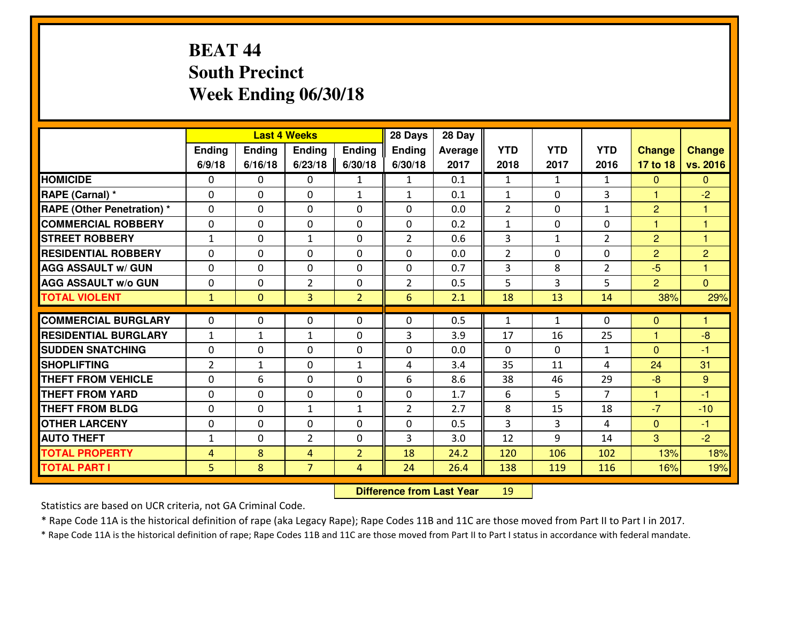# **BEAT 44 South PrecinctWeek Ending 06/30/18**

|                                   |                |                | <b>Last 4 Weeks</b> |                | 28 Days        | 28 Day  |                |              |                |                |                      |
|-----------------------------------|----------------|----------------|---------------------|----------------|----------------|---------|----------------|--------------|----------------|----------------|----------------------|
|                                   | Ending         | Ending         | <b>Ending</b>       | Ending         | <b>Ending</b>  | Average | <b>YTD</b>     | <b>YTD</b>   | <b>YTD</b>     | <b>Change</b>  | <b>Change</b>        |
|                                   | 6/9/18         | 6/16/18        | 6/23/18             | 6/30/18        | 6/30/18        | 2017    | 2018           | 2017         | 2016           | 17 to 18       | vs. 2016             |
| <b>HOMICIDE</b>                   | $\Omega$       | 0              | $\Omega$            | $\mathbf{1}$   | $\mathbf{1}$   | 0.1     | 1              | $\mathbf{1}$ | $\mathbf{1}$   | $\Omega$       | $\Omega$             |
| RAPE (Carnal) *                   | $\mathbf{0}$   | 0              | $\mathbf{0}$        | $\mathbf{1}$   | $\mathbf{1}$   | 0.1     | $\mathbf{1}$   | $\mathbf{0}$ | 3              | $\mathbf{1}$   | $-2$                 |
| <b>RAPE (Other Penetration) *</b> | $\Omega$       | 0              | $\mathbf{0}$        | $\Omega$       | $\Omega$       | 0.0     | $\overline{2}$ | 0            | $\mathbf{1}$   | $\overline{2}$ | 1                    |
| <b>COMMERCIAL ROBBERY</b>         | 0              | 0              | $\mathbf 0$         | 0              | 0              | 0.2     | $\mathbf{1}$   | 0            | 0              | $\mathbf{1}$   | $\blacktriangleleft$ |
| <b>STREET ROBBERY</b>             | $\mathbf{1}$   | 0              | 1                   | 0              | $\overline{2}$ | 0.6     | 3              | $\mathbf{1}$ | $\overline{2}$ | $\overline{2}$ | $\overline{1}$       |
| <b>RESIDENTIAL ROBBERY</b>        | $\Omega$       | $\Omega$       | $\mathbf 0$         | $\Omega$       | 0              | 0.0     | $\overline{2}$ | $\Omega$     | 0              | $\overline{2}$ | $\overline{2}$       |
| <b>AGG ASSAULT w/ GUN</b>         | 0              | 0              | $\mathbf 0$         | 0              | 0              | 0.7     | 3              | 8            | $\overline{2}$ | $-5$           | $\mathbf{1}$         |
| <b>AGG ASSAULT W/o GUN</b>        | 0              | 0              | $\overline{2}$      | $\mathbf 0$    | $\overline{2}$ | 0.5     | 5              | 3            | 5              | $\overline{2}$ | $\overline{0}$       |
| <b>TOTAL VIOLENT</b>              | $\mathbf{1}$   | $\overline{0}$ | $\overline{3}$      | $\overline{2}$ | 6              | 2.1     | 18             | 13           | 14             | 38%            | 29%                  |
| <b>COMMERCIAL BURGLARY</b>        | $\Omega$       | 0              | $\mathbf{0}$        | $\Omega$       | $\Omega$       | 0.5     | $\mathbf{1}$   | $\mathbf{1}$ | 0              | $\mathbf{0}$   | 1                    |
| <b>RESIDENTIAL BURGLARY</b>       | $\mathbf{1}$   | $\mathbf{1}$   | $\mathbf{1}$        | 0              | 3              | 3.9     | 17             | 16           | 25             | $\mathbf{1}$   | $-8$                 |
| <b>SUDDEN SNATCHING</b>           | 0              | 0              | 0                   | 0              | 0              | 0.0     | 0              | 0            | $\mathbf{1}$   | $\overline{0}$ | $-1$                 |
| <b>SHOPLIFTING</b>                | $\overline{2}$ | 1              | $\mathbf 0$         | $\mathbf{1}$   | 4              | 3.4     | 35             | 11           | 4              | 24             | 31                   |
| <b>THEFT FROM VEHICLE</b>         | $\Omega$       | 6              | $\mathbf 0$         | 0              | 6              | 8.6     | 38             | 46           | 29             | $-8$           | 9                    |
| <b>THEFT FROM YARD</b>            | 0              | 0              | $\mathbf 0$         | 0              | 0              | 1.7     | 6              | 5            | $\overline{7}$ | $\mathbf{1}$   | $-1$                 |
| <b>THEFT FROM BLDG</b>            | 0              | 0              | 1                   | $\mathbf{1}$   | $\overline{2}$ | 2.7     | 8              | 15           | 18             | $-7$           | $-10$                |
| <b>OTHER LARCENY</b>              | 0              | 0              | $\mathbf 0$         | 0              | 0              | 0.5     | $\overline{3}$ | 3            | 4              | $\overline{0}$ | $-1$                 |
| <b>AUTO THEFT</b>                 | $\mathbf{1}$   | 0              | $\overline{2}$      | 0              | 3              | 3.0     | 12             | 9            | 14             | 3              | $-2$                 |
| <b>TOTAL PROPERTY</b>             | 4              | 8              | 4                   | $\overline{2}$ | 18             | 24.2    | 120            | 106          | 102            | 13%            | 18%                  |
| <b>TOTAL PART I</b>               | 5              | 8              | $\overline{7}$      | 4              | 24             | 26.4    | 138            | 119          | 116            | 16%            | 19%                  |

 **Difference from Last Year**<sup>19</sup>

Statistics are based on UCR criteria, not GA Criminal Code.

\* Rape Code 11A is the historical definition of rape (aka Legacy Rape); Rape Codes 11B and 11C are those moved from Part II to Part I in 2017.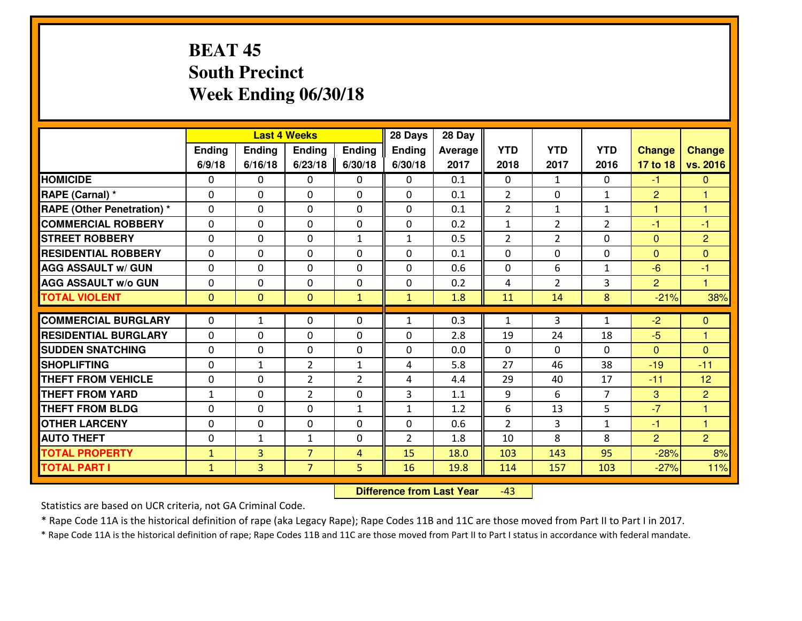# **BEAT 45 South PrecinctWeek Ending 06/30/18**

|                                  |              |                | <b>Last 4 Weeks</b> |                | 28 Days        | 28 Day  |                |                |                |                |                         |
|----------------------------------|--------------|----------------|---------------------|----------------|----------------|---------|----------------|----------------|----------------|----------------|-------------------------|
|                                  | Ending       | Ending         | Ending              | <b>Ending</b>  | <b>Ending</b>  | Average | <b>YTD</b>     | <b>YTD</b>     | <b>YTD</b>     | <b>Change</b>  | <b>Change</b>           |
|                                  | 6/9/18       | 6/16/18        | 6/23/18             | 6/30/18        | 6/30/18        | 2017    | 2018           | 2017           | 2016           | 17 to 18       | vs. 2016                |
| <b>HOMICIDE</b>                  | 0            | 0              | 0                   | 0              | 0              | 0.1     | 0              | $\mathbf{1}$   | 0              | $-1$           | $\mathbf{0}$            |
| RAPE (Carnal) *                  | $\mathbf{0}$ | 0              | 0                   | 0              | 0              | 0.1     | $\overline{2}$ | $\mathbf{0}$   | $\mathbf{1}$   | $\overline{2}$ | 1                       |
| <b>RAPE (Other Penetration)*</b> | $\Omega$     | $\Omega$       | $\mathbf 0$         | $\Omega$       | $\Omega$       | 0.1     | $\overline{2}$ | $\mathbf{1}$   | $\mathbf{1}$   | $\mathbf{1}$   | $\overline{\mathbf{1}}$ |
| <b>COMMERCIAL ROBBERY</b>        | $\Omega$     | $\Omega$       | $\mathbf 0$         | $\Omega$       | 0              | 0.2     | $\mathbf{1}$   | $\overline{2}$ | $\overline{2}$ | $-1$           | $-1$                    |
| <b>ISTREET ROBBERY</b>           | $\mathbf{0}$ | 0              | $\mathbf{0}$        | $\mathbf{1}$   | $\mathbf{1}$   | 0.5     | 2              | $\overline{2}$ | 0              | $\Omega$       | $\overline{2}$          |
| <b>RESIDENTIAL ROBBERY</b>       | 0            | 0              | $\mathbf 0$         | 0              | 0              | 0.1     | 0              | 0              | 0              | $\mathbf{0}$   | $\overline{0}$          |
| <b>AGG ASSAULT W/ GUN</b>        | 0            | 0              | $\mathbf 0$         | 0              | 0              | 0.6     | 0              | 6              | $\mathbf{1}$   | $-6$           | $-1$                    |
| <b>AGG ASSAULT W/o GUN</b>       | 0            | 0              | $\mathbf 0$         | $\mathbf{0}$   | 0              | 0.2     | 4              | $\overline{2}$ | 3              | $\overline{2}$ | $\overline{\mathbf{1}}$ |
| <b>TOTAL VIOLENT</b>             | $\mathbf{0}$ | $\overline{0}$ | $\overline{0}$      | $\mathbf{1}$   | $\mathbf{1}$   | 1.8     | 11             | 14             | 8              | $-21%$         | 38%                     |
| <b>COMMERCIAL BURGLARY</b>       | $\Omega$     | $\mathbf{1}$   | $\mathbf{0}$        | $\Omega$       | $\mathbf{1}$   | 0.3     | $\mathbf{1}$   | 3              | $\mathbf{1}$   | $-2$           | $\mathbf{0}$            |
| <b>RESIDENTIAL BURGLARY</b>      | $\Omega$     | 0              | $\mathbf 0$         | 0              | 0              | 2.8     | 19             | 24             | 18             | $-5$           | 1                       |
| <b>SUDDEN SNATCHING</b>          | 0            | 0              | $\mathbf 0$         | 0              | 0              | 0.0     | $\Omega$       | $\Omega$       | $\Omega$       | $\mathbf{0}$   | $\Omega$                |
| <b>SHOPLIFTING</b>               | 0            | $\mathbf{1}$   | $\overline{2}$      | $\mathbf{1}$   | 4              | 5.8     | 27             | 46             | 38             | $-19$          | $-11$                   |
| <b>THEFT FROM VEHICLE</b>        | 0            | 0              | $\overline{2}$      | $\overline{2}$ | 4              | 4.4     | 29             | 40             | 17             | $-11$          | 12                      |
| <b>THEFT FROM YARD</b>           | $1\,$        | 0              | $\overline{2}$      | 0              | 3              | 1.1     | 9              | 6              | $\overline{7}$ | 3              | $\overline{2}$          |
| <b>THEFT FROM BLDG</b>           | $\mathbf{0}$ | 0              | $\mathbf 0$         | $\mathbf{1}$   | $\mathbf{1}$   | 1.2     | 6              | 13             | 5              | $-7$           | 1                       |
| <b>OTHER LARCENY</b>             | 0            | 0              | $\mathbf 0$         | 0              | 0              | 0.6     | $\overline{2}$ | 3              | $\mathbf{1}$   | $-1$           | $\overline{1}$          |
| <b>AUTO THEFT</b>                | 0            | $\mathbf{1}$   | 1                   | 0              | $\overline{2}$ | 1.8     | 10             | 8              | 8              | $\overline{2}$ | $\overline{2}$          |
| <b>TOTAL PROPERTY</b>            | $\mathbf{1}$ | $\overline{3}$ | $\overline{7}$      | $\overline{4}$ | 15             | 18.0    | 103            | 143            | 95             | $-28%$         | 8%                      |
| <b>TOTAL PART I</b>              | $\mathbf{1}$ | $\overline{3}$ | $\overline{7}$      | 5              | 16             | 19.8    | 114            | 157            | 103            | $-27%$         | 11%                     |

 **Difference from Last Year**-43

Statistics are based on UCR criteria, not GA Criminal Code.

\* Rape Code 11A is the historical definition of rape (aka Legacy Rape); Rape Codes 11B and 11C are those moved from Part II to Part I in 2017.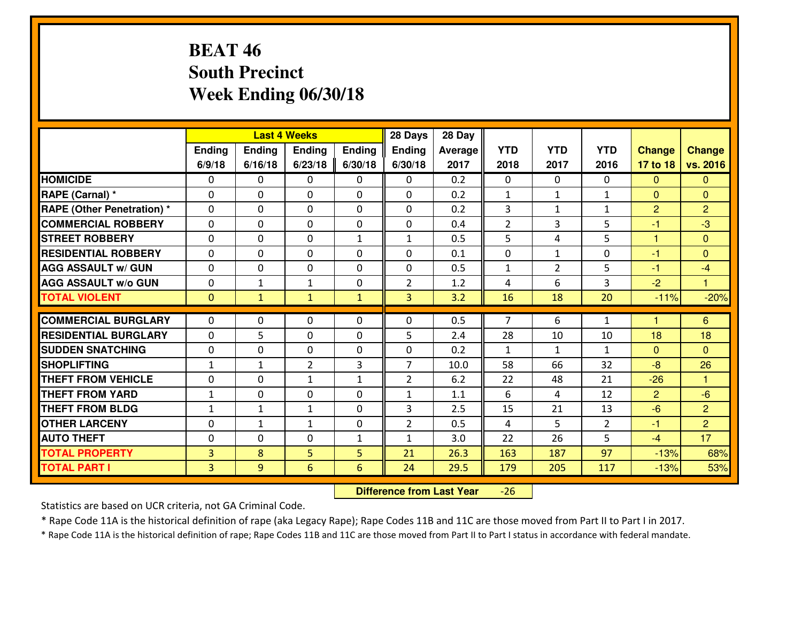# **BEAT 46 South PrecinctWeek Ending 06/30/18**

|                                  |                |              | <b>Last 4 Weeks</b> |               | 28 Days        | 28 Day  |                |                |                |                      |                |
|----------------------------------|----------------|--------------|---------------------|---------------|----------------|---------|----------------|----------------|----------------|----------------------|----------------|
|                                  | Ending         | Ending       | Ending              | <b>Ending</b> | <b>Ending</b>  | Average | <b>YTD</b>     | <b>YTD</b>     | <b>YTD</b>     | <b>Change</b>        | <b>Change</b>  |
|                                  | 6/9/18         | 6/16/18      | 6/23/18             | 6/30/18       | 6/30/18        | 2017    | 2018           | 2017           | 2016           | 17 to 18             | vs. 2016       |
| <b>HOMICIDE</b>                  | 0              | 0            | 0                   | 0             | 0              | 0.2     | 0              | $\Omega$       | 0              | $\Omega$             | $\Omega$       |
| RAPE (Carnal) *                  | $\mathbf{0}$   | 0            | 0                   | $\Omega$      | 0              | 0.2     | $\mathbf{1}$   | $\mathbf{1}$   | $\mathbf{1}$   | $\Omega$             | $\overline{0}$ |
| <b>RAPE (Other Penetration)*</b> | $\Omega$       | $\Omega$     | $\mathbf 0$         | $\Omega$      | $\Omega$       | 0.2     | 3              | $\mathbf{1}$   | $\mathbf{1}$   | $\overline{2}$       | $\overline{2}$ |
| <b>COMMERCIAL ROBBERY</b>        | $\Omega$       | $\Omega$     | $\mathbf 0$         | $\Omega$      | 0              | 0.4     | $\overline{2}$ | 3              | 5              | $-1$                 | $-3$           |
| <b>ISTREET ROBBERY</b>           | $\mathbf{0}$   | 0            | $\mathbf{0}$        | $\mathbf{1}$  | $\mathbf{1}$   | 0.5     | 5              | 4              | 5              | 1                    | $\mathbf{0}$   |
| <b>RESIDENTIAL ROBBERY</b>       | 0              | 0            | $\mathbf 0$         | 0             | 0              | 0.1     | 0              | $\mathbf{1}$   | 0              | $-1$                 | $\overline{0}$ |
| <b>AGG ASSAULT W/ GUN</b>        | 0              | 0            | $\mathbf 0$         | 0             | 0              | 0.5     | $\mathbf{1}$   | $\overline{2}$ | 5              | $-1$                 | $-4$           |
| <b>AGG ASSAULT W/o GUN</b>       | 0              | 1            | $\mathbf{1}$        | $\mathbf{0}$  | $\overline{2}$ | 1.2     | 4              | 6              | 3              | $-2$                 | $\overline{1}$ |
| <b>TOTAL VIOLENT</b>             | $\mathbf{0}$   | $\mathbf{1}$ | $\mathbf{1}$        | $\mathbf{1}$  | $\overline{3}$ | 3.2     | 16             | 18             | 20             | $-11%$               | $-20%$         |
| <b>COMMERCIAL BURGLARY</b>       | $\Omega$       | 0            | $\mathbf{0}$        | $\Omega$      | $\Omega$       | 0.5     | $\overline{7}$ | 6              | $\mathbf{1}$   | $\blacktriangleleft$ | 6              |
| <b>RESIDENTIAL BURGLARY</b>      | $\Omega$       | 5            | $\mathbf 0$         | 0             | 5              | 2.4     | 28             | 10             | 10             | 18                   | 18             |
| <b>SUDDEN SNATCHING</b>          | 0              | 0            | $\mathbf 0$         | 0             | 0              | 0.2     | $\mathbf{1}$   | $\mathbf{1}$   | $\mathbf{1}$   | $\mathbf{0}$         | $\Omega$       |
| <b>SHOPLIFTING</b>               | $\mathbf{1}$   | $\mathbf{1}$ | $\overline{2}$      | 3             | $\overline{7}$ | 10.0    | 58             | 66             | 32             | $-8$                 | 26             |
| <b>THEFT FROM VEHICLE</b>        | 0              | 0            | $\mathbf{1}$        | $\mathbf{1}$  | $\overline{2}$ | 6.2     | 22             | 48             | 21             | $-26$                | $\overline{1}$ |
| <b>THEFT FROM YARD</b>           | $1\,$          | 0            | $\mathbf 0$         | 0             | $\mathbf{1}$   | 1.1     | 6              | 4              | 12             | $\overline{2}$       | $-6$           |
| <b>THEFT FROM BLDG</b>           | $\mathbf{1}$   | $\mathbf{1}$ | 1                   | $\mathbf{0}$  | 3              | 2.5     | 15             | 21             | 13             | $-6$                 | $\overline{2}$ |
| <b>OTHER LARCENY</b>             | 0              | 1            | 1                   | 0             | $\overline{2}$ | 0.5     | 4              | 5              | $\overline{2}$ | $-1$                 | $\overline{2}$ |
| <b>AUTO THEFT</b>                | 0              | 0            | 0                   | $\mathbf{1}$  | 1              | 3.0     | 22             | 26             | 5              | $-4$                 | 17             |
| <b>TOTAL PROPERTY</b>            | $\overline{3}$ | 8            | 5                   | 5             | 21             | 26.3    | 163            | 187            | 97             | $-13%$               | 68%            |
| <b>TOTAL PART I</b>              | $\overline{3}$ | 9            | $6\phantom{1}$      | 6             | 24             | 29.5    | 179            | 205            | 117            | $-13%$               | 53%            |

 **Difference from Last Year**-26

Statistics are based on UCR criteria, not GA Criminal Code.

\* Rape Code 11A is the historical definition of rape (aka Legacy Rape); Rape Codes 11B and 11C are those moved from Part II to Part I in 2017.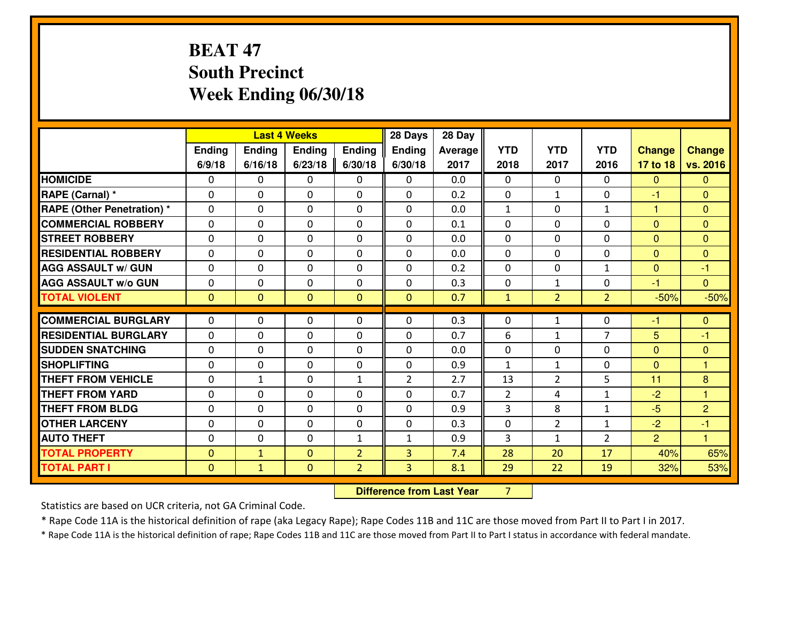# **BEAT 47 South PrecinctWeek Ending 06/30/18**

|                                   |              |                | <b>Last 4 Weeks</b> |                | 28 Days        | 28 Day  |              |                |                |                |                |
|-----------------------------------|--------------|----------------|---------------------|----------------|----------------|---------|--------------|----------------|----------------|----------------|----------------|
|                                   | Ending       | <b>Ending</b>  | Ending              | <b>Ending</b>  | <b>Ending</b>  | Average | <b>YTD</b>   | <b>YTD</b>     | <b>YTD</b>     | <b>Change</b>  | <b>Change</b>  |
|                                   | 6/9/18       | 6/16/18        | 6/23/18             | 6/30/18        | 6/30/18        | 2017    | 2018         | 2017           | 2016           | 17 to 18       | vs. 2016       |
| <b>HOMICIDE</b>                   | 0            | 0              | $\mathbf{0}$        | 0              | $\mathbf{0}$   | 0.0     | $\mathbf{0}$ | $\Omega$       | 0              | $\Omega$       | $\Omega$       |
| RAPE (Carnal) *                   | $\mathbf{0}$ | 0              | $\mathbf 0$         | 0              | 0              | 0.2     | $\mathbf{0}$ | $\mathbf{1}$   | 0              | -1             | $\mathbf{0}$   |
| <b>RAPE (Other Penetration) *</b> | $\mathbf{0}$ | 0              | $\mathbf 0$         | $\Omega$       | 0              | 0.0     | 1            | 0              | $\mathbf{1}$   | 1              | $\mathbf{0}$   |
| <b>COMMERCIAL ROBBERY</b>         | $\Omega$     | 0              | $\mathbf 0$         | $\Omega$       | $\Omega$       | 0.1     | $\Omega$     | 0              | 0              | $\Omega$       | $\mathbf{0}$   |
| <b>ISTREET ROBBERY</b>            | $\mathbf{0}$ | 0              | $\mathbf 0$         | 0              | 0              | 0.0     | $\mathbf{0}$ | 0              | 0              | $\Omega$       | $\mathbf{0}$   |
| <b>RESIDENTIAL ROBBERY</b>        | 0            | 0              | $\mathbf 0$         | 0              | 0              | 0.0     | 0            | 0              | 0              | $\overline{0}$ | $\overline{0}$ |
| <b>AGG ASSAULT W/ GUN</b>         | 0            | 0              | $\mathbf 0$         | 0              | 0              | 0.2     | $\mathbf{0}$ | 0              | $\mathbf{1}$   | $\Omega$       | $-1$           |
| <b>AGG ASSAULT W/o GUN</b>        | 0            | 0              | $\mathbf 0$         | 0              | 0              | 0.3     | 0            | $\mathbf{1}$   | 0              | $-1$           | $\overline{0}$ |
| <b>TOTAL VIOLENT</b>              | $\mathbf{0}$ | $\overline{0}$ | $\overline{0}$      | $\mathbf{0}$   | $\mathbf{0}$   | 0.7     | $\mathbf{1}$ | $\overline{2}$ | $\overline{2}$ | $-50%$         | $-50%$         |
| <b>COMMERCIAL BURGLARY</b>        | $\mathbf{0}$ | 0              | $\mathbf{0}$        | 0              | $\Omega$       | 0.3     | $\mathbf{0}$ | $\mathbf{1}$   | 0              | -1             | $\mathbf{0}$   |
| <b>RESIDENTIAL BURGLARY</b>       | $\mathbf{0}$ | 0              | $\mathbf{0}$        | 0              | $\Omega$       | 0.7     | 6            | $\mathbf{1}$   | $\overline{7}$ | 5              | -1             |
| <b>SUDDEN SNATCHING</b>           | $\mathbf{0}$ | 0              | $\mathbf{0}$        | $\Omega$       | $\Omega$       | 0.0     | $\mathbf{0}$ | 0              | 0              | $\Omega$       | $\mathbf{0}$   |
| <b>SHOPLIFTING</b>                | $\Omega$     | 0              | $\Omega$            | $\Omega$       | $\Omega$       | 0.9     | $\mathbf{1}$ | $\mathbf{1}$   | 0              | $\Omega$       | 1              |
| <b>THEFT FROM VEHICLE</b>         | $\Omega$     | $\mathbf{1}$   | $\mathbf 0$         | $\mathbf{1}$   | $\overline{2}$ | 2.7     | 13           | $\overline{2}$ | 5              | 11             | 8              |
| <b>THEFT FROM YARD</b>            | 0            | 0              | $\mathbf 0$         | $\Omega$       | 0              | 0.7     | 2            | 4              | $\mathbf{1}$   | $-2$           | $\overline{1}$ |
| <b>THEFT FROM BLDG</b>            | 0            | 0              | $\mathbf 0$         | 0              | 0              | 0.9     | 3            | 8              | $\mathbf{1}$   | $-5$           | $\overline{2}$ |
| <b>OTHER LARCENY</b>              | 0            | 0              | $\mathbf 0$         | 0              | 0              | 0.3     | 0            | $\overline{2}$ | $\mathbf{1}$   | $-2$           | $-1$           |
| <b>AUTO THEFT</b>                 | $\mathbf{0}$ | 0              | $\mathbf 0$         | $\mathbf{1}$   | $\mathbf{1}$   | 0.9     | 3            | $\mathbf{1}$   | $\overline{2}$ | $\overline{2}$ | $\overline{1}$ |
| <b>TOTAL PROPERTY</b>             | $\mathbf{0}$ | $\mathbf{1}$   | $\mathbf{O}$        | $\overline{2}$ | 3              | 7.4     | 28           | 20             | 17             | 40%            | 65%            |
| <b>TOTAL PART I</b>               | $\mathbf{0}$ | $\mathbf{1}$   | $\mathbf{0}$        | $\overline{2}$ | 3              | 8.1     | 29           | 22             | 19             | 32%            | 53%            |

 **Difference from Last Year**<sup>7</sup>

Statistics are based on UCR criteria, not GA Criminal Code.

\* Rape Code 11A is the historical definition of rape (aka Legacy Rape); Rape Codes 11B and 11C are those moved from Part II to Part I in 2017.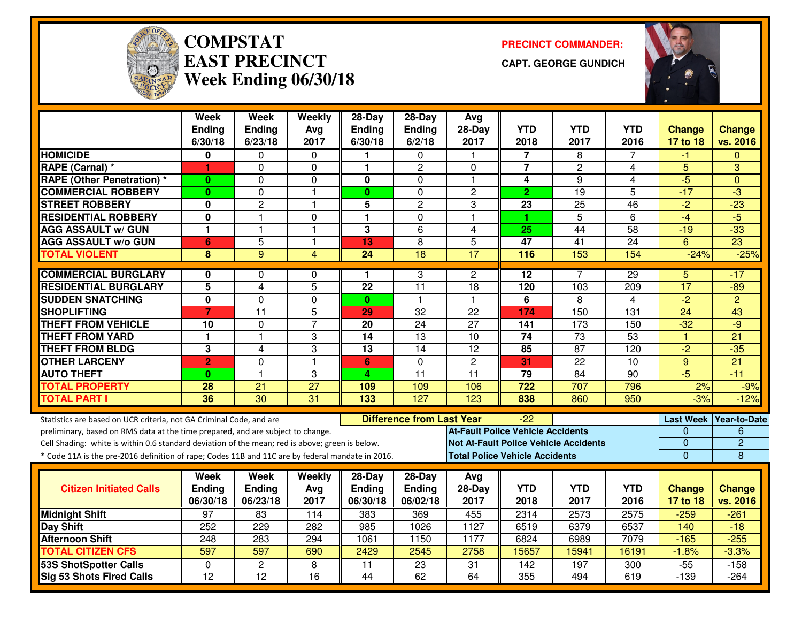

#### **COMPSTATEAST PRECINCTWeek Ending 06/30/18**

**PRECINCT COMMANDER:**

**CAPT. GEORGE GUNDICH**



|                                                                                                  | Week<br><b>Ending</b><br>6/30/18 | Week<br>Ending<br>6/23/18 | Weekly<br>Avg<br>2017 | 28-Day<br>Ending<br>6/30/18             | 28-Day<br><b>Ending</b><br>6/2/18 | Avg<br>$28-Day$<br>2017                  | <b>YTD</b><br>2018                    | <b>YTD</b><br>2017                           | <b>YTD</b><br>2016 | <b>Change</b><br>17 to 18 | <b>Change</b><br>vs. 2016 |
|--------------------------------------------------------------------------------------------------|----------------------------------|---------------------------|-----------------------|-----------------------------------------|-----------------------------------|------------------------------------------|---------------------------------------|----------------------------------------------|--------------------|---------------------------|---------------------------|
| <b>HOMICIDE</b>                                                                                  | 0                                | 0                         | $\Omega$              |                                         | $\Omega$                          | -1                                       | $\overline{7}$                        | 8                                            | 7                  | -1                        | $\Omega$                  |
| RAPE (Carnal) *                                                                                  | 1                                | 0                         | $\Omega$              | 1                                       | $\overline{c}$                    | $\Omega$                                 | $\overline{7}$                        | $\overline{c}$                               | 4                  | 5                         | 3                         |
| <b>RAPE (Other Penetration)</b> *                                                                | 0                                | $\Omega$                  | $\Omega$              | $\mathbf 0$                             | $\Omega$                          | $\overline{1}$                           | 4                                     | 9                                            | 4                  | $-5$                      | $\Omega$                  |
| <b>COMMERCIAL ROBBERY</b>                                                                        | $\mathbf{0}$                     | $\Omega$                  | $\mathbf{1}$          | $\mathbf{0}$                            | $\Omega$                          | $\overline{2}$                           | $\overline{2}$                        | $\overline{19}$                              | 5                  | $-17$                     | $\overline{3}$            |
| <b>STREET ROBBERY</b>                                                                            | 0                                | $\overline{2}$            | $\mathbf{1}$          | 5                                       | $\overline{c}$                    | 3                                        | 23                                    | 25                                           | 46                 | $-2$                      | $-23$                     |
| <b>RESIDENTIAL ROBBERY</b>                                                                       | 0                                | 1                         | $\mathbf 0$           | 1                                       | 0                                 | $\mathbf{1}$                             | 1                                     | 5                                            | 6                  | $-4$                      | $-5$                      |
| <b>AGG ASSAULT w/ GUN</b>                                                                        | $\mathbf{1}$                     | 1                         | $\mathbf{1}$          | 3                                       | 6                                 | 4                                        | 25                                    | 44                                           | $\overline{58}$    | $-19$                     | $-33$                     |
| <b>AGG ASSAULT w/o GUN</b>                                                                       | 6                                | 5                         | $\mathbf{1}$          | 13                                      | 8                                 | 5                                        | $\overline{47}$                       | $\overline{41}$                              | $\overline{24}$    | 6                         | $\overline{23}$           |
| <b>TOTAL VIOLENT</b>                                                                             | 8                                | $\overline{9}$            | $\overline{4}$        | $\overline{24}$                         | 18                                | 17                                       | 116                                   | 153                                          | 154                | $-24%$                    | $-25%$                    |
| <b>COMMERCIAL BURGLARY</b>                                                                       | 0                                | 0                         | 0                     | 1                                       | 3                                 | 2                                        | 12                                    | 7                                            | 29                 | 5                         | -17                       |
| <b>RESIDENTIAL BURGLARY</b>                                                                      | 5                                | 4                         | $\overline{5}$        | $\overline{22}$                         | $\overline{11}$                   | $\overline{18}$                          | 120                                   | 103                                          | $\overline{209}$   | 17                        | $-89$                     |
| <b>SUDDEN SNATCHING</b>                                                                          | 0                                | 0                         | $\Omega$              | $\bf{0}$                                | $\mathbf{1}$                      | $\mathbf{1}$                             | 6                                     | 8                                            | 4                  | $\overline{2}$            | $\overline{2}$            |
| <b>SHOPLIFTING</b>                                                                               | $\overline{7}$                   | 11                        | $\overline{5}$        | 29                                      | $\overline{32}$                   | 22                                       | 174                                   | 150                                          | 131                | $\overline{24}$           | $\overline{43}$           |
| <b>THEFT FROM VEHICLE</b>                                                                        | $\overline{10}$                  | 0                         | $\overline{7}$        | $\overline{20}$                         | $\overline{24}$                   | $\overline{27}$                          | 141                                   | $\overline{173}$                             | 150                | $-32$                     | $-9$                      |
| <b>THEFT FROM YARD</b>                                                                           | 1                                | $\blacktriangleleft$      | 3                     | $\overline{14}$                         | 13                                | 10                                       | $\overline{74}$                       | $\overline{73}$                              | $\overline{53}$    | $\overline{1}$            | $\overline{21}$           |
| <b>THEFT FROM BLDG</b>                                                                           | 3                                | $\overline{4}$            | 3                     | $\overline{13}$                         | 14                                | $\overline{12}$                          | 85                                    | $\overline{87}$                              | 120                | $-2$                      | $-35$                     |
| <b>OTHER LARCENY</b>                                                                             | $\overline{2}$                   | $\overline{0}$            | $\overline{1}$        | 6                                       | $\mathbf 0$                       | $\overline{2}$                           | 31                                    | $\overline{22}$                              | $\overline{10}$    | $\overline{9}$            | $\overline{21}$           |
| <b>AUTO THEFT</b>                                                                                | 0                                | $\blacksquare$            | 3                     | 4                                       | 11                                | 11                                       | 79                                    | 84                                           | 90                 | $-5$                      | $-11$                     |
| <b>TOTAL PROPERTY</b>                                                                            | 28                               | 21                        | $\overline{27}$       | 109                                     | 109                               | 106                                      | $\overline{722}$                      | 707                                          | 796                | 2%                        | $-9%$                     |
| <b>TOTAL PART I</b>                                                                              | 36                               | $\overline{30}$           | $\overline{31}$       | $\overline{133}$                        | 127                               | 123                                      | 838                                   | 860                                          | 950                | $-3%$                     | $-12%$                    |
| Statistics are based on UCR criteria, not GA Criminal Code, and are                              |                                  |                           |                       | <b>Difference from Last Year</b><br>-22 |                                   |                                          |                                       |                                              |                    |                           | Last Week   Year-to-Date  |
| preliminary, based on RMS data at the time prepared, and are subject to change.                  |                                  |                           |                       |                                         |                                   | <b>At-Fault Police Vehicle Accidents</b> |                                       |                                              |                    | $\overline{0}$            | 6                         |
| Cell Shading: white is within 0.6 standard deviation of the mean; red is above; green is below.  |                                  |                           |                       |                                         |                                   |                                          |                                       | <b>Not At-Fault Police Vehicle Accidents</b> |                    | $\overline{0}$            | $\overline{2}$            |
| * Code 11A is the pre-2016 definition of rape; Codes 11B and 11C are by federal mandate in 2016. |                                  |                           |                       |                                         |                                   |                                          | <b>Total Police Vehicle Accidents</b> |                                              |                    | $\Omega$                  | 8                         |
|                                                                                                  | Week                             | Week                      | Weekly                | $28-Day$                                | $28$ -Day                         | Avg                                      |                                       |                                              |                    |                           |                           |
| <b>Citizen Initiated Calls</b>                                                                   | <b>Ending</b>                    | Ending                    | Avg                   | <b>Ending</b>                           | Ending                            | $28-Day$                                 | <b>YTD</b>                            | <b>YTD</b>                                   | <b>YTD</b>         | <b>Change</b>             | <b>Change</b>             |
|                                                                                                  | 06/30/18                         | 06/23/18                  | 2017                  | 06/30/18                                | 06/02/18                          | 2017                                     | 2018                                  | 2017                                         | 2016               | 17 to 18                  | vs. 2016                  |
| <b>Midnight Shift</b>                                                                            | 97                               | 83                        | 114                   | 383                                     | 369                               | 455                                      | 2314                                  | 2573                                         | 2575               | $-259$                    | $-261$                    |
| Day Shift                                                                                        | 252                              | 229                       | 282                   | 985                                     | 1026                              | 1127                                     | 6519                                  | 6379                                         | 6537               | 140                       | $-18$                     |
| <b>Afternoon Shift</b>                                                                           | 248                              | 283                       | 294                   | 1061                                    | 1150                              | 1177                                     | 6824                                  | 6989                                         | 7079               | $-165$                    | $-255$                    |
| <b>TOTAL CITIZEN CFS</b>                                                                         | 597                              | 597                       | 690                   | 2429                                    | 2545                              | 2758                                     | 15657                                 | 15941                                        | 16191              | $-1.8%$                   | $-3.3%$                   |
| <b>53S ShotSpotter Calls</b>                                                                     | $\Omega$                         | 2                         | 8                     | $\overline{11}$                         | $\overline{23}$                   | 31                                       | $\overline{142}$                      | 197                                          | 300                | $-55$                     | $-158$                    |
| <b>Sig 53 Shots Fired Calls</b>                                                                  | $\overline{12}$                  | $\overline{12}$           | $\overline{16}$       | 44                                      | 62                                | 64                                       | 355                                   | 494                                          | 619                | $-139$                    | $-264$                    |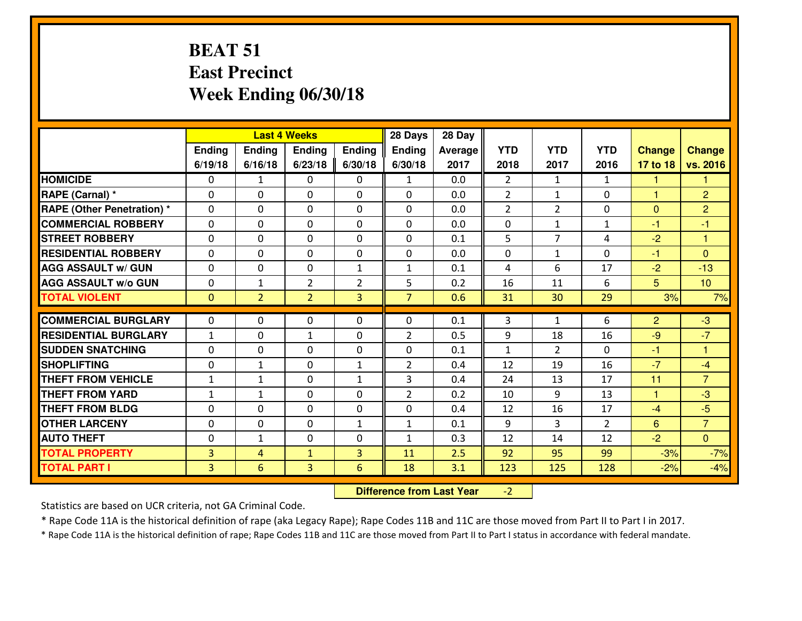## **BEAT 51 East PrecinctWeek Ending 06/30/18**

|                                  |              |                | <b>Last 4 Weeks</b> |                | 28 Days        | 28 Day  |                |                |                |                |                      |
|----------------------------------|--------------|----------------|---------------------|----------------|----------------|---------|----------------|----------------|----------------|----------------|----------------------|
|                                  | Ending       | Ending         | <b>Ending</b>       | <b>Ending</b>  | <b>Ending</b>  | Average | <b>YTD</b>     | <b>YTD</b>     | <b>YTD</b>     | <b>Change</b>  | <b>Change</b>        |
|                                  | 6/19/18      | 6/16/18        | 6/23/18             | 6/30/18        | 6/30/18        | 2017    | 2018           | 2017           | 2016           | 17 to 18       | vs. 2016             |
| <b>HOMICIDE</b>                  | $\Omega$     | $\mathbf{1}$   | 0                   | 0              | $\mathbf{1}$   | 0.0     | $\overline{2}$ | $\mathbf{1}$   | $\mathbf{1}$   | 1              | 1                    |
| RAPE (Carnal) *                  | $\Omega$     | 0              | $\mathbf{0}$        | 0              | $\Omega$       | 0.0     | $\overline{2}$ | $\mathbf{1}$   | 0              | 1              | $\overline{2}$       |
| <b>RAPE (Other Penetration)*</b> | $\Omega$     | $\Omega$       | $\mathbf 0$         | $\Omega$       | $\Omega$       | 0.0     | 2              | $\overline{2}$ | 0              | $\Omega$       | $\overline{2}$       |
| <b>COMMERCIAL ROBBERY</b>        | $\Omega$     | 0              | $\mathbf 0$         | $\Omega$       | 0              | 0.0     | 0              | $\mathbf{1}$   | $\mathbf{1}$   | $-1$           | $-1$                 |
| <b>STREET ROBBERY</b>            | $\Omega$     | $\Omega$       | $\mathbf 0$         | $\Omega$       | 0              | 0.1     | 5              | $\overline{7}$ | 4              | $-2$           | $\blacktriangleleft$ |
| <b>RESIDENTIAL ROBBERY</b>       | $\Omega$     | $\Omega$       | $\mathbf 0$         | $\Omega$       | 0              | 0.0     | 0              | $\mathbf{1}$   | 0              | $-1$           | $\Omega$             |
| <b>AGG ASSAULT w/ GUN</b>        | $\Omega$     | 0              | $\mathbf 0$         | $\mathbf{1}$   | $\mathbf{1}$   | 0.1     | 4              | 6              | 17             | $-2$           | $-13$                |
| <b>AGG ASSAULT W/o GUN</b>       | 0            | $\mathbf{1}$   | $\overline{2}$      | $\overline{2}$ | 5              | 0.2     | 16             | 11             | 6              | 5              | 10                   |
| <b>TOTAL VIOLENT</b>             | $\mathbf{0}$ | $\overline{2}$ | $\overline{2}$      | 3              | $\overline{7}$ | 0.6     | 31             | 30             | 29             | 3%             | 7%                   |
| <b>COMMERCIAL BURGLARY</b>       | $\Omega$     | 0              | 0                   | $\Omega$       | $\Omega$       | 0.1     | 3              | $\mathbf{1}$   | 6              | $\overline{2}$ | $-3$                 |
| <b>RESIDENTIAL BURGLARY</b>      | $\mathbf{1}$ | 0              | 1                   | 0              | $\overline{2}$ | 0.5     | 9              | 18             | 16             | $-9$           | $-7$                 |
| <b>SUDDEN SNATCHING</b>          | 0            | 0              | $\mathbf 0$         | 0              | 0              | 0.1     | $\mathbf{1}$   | $\overline{2}$ | 0              | $-1$           | $\overline{1}$       |
| <b>SHOPLIFTING</b>               | 0            | $\mathbf{1}$   | $\mathbf 0$         | $\mathbf{1}$   | $\overline{2}$ | 0.4     | 12             | 19             | 16             | $-7$           | $-4$                 |
| <b>THEFT FROM VEHICLE</b>        | $\mathbf{1}$ | $\mathbf{1}$   | $\mathbf 0$         | $\mathbf{1}$   | 3              | 0.4     | 24             | 13             | 17             | 11             | $\overline{7}$       |
| <b>THEFT FROM YARD</b>           | $\mathbf{1}$ | 1              | $\mathbf 0$         | 0              | $\overline{2}$ | 0.2     | 10             | 9              | 13             | $\mathbf{1}$   | $-3$                 |
| <b>THEFT FROM BLDG</b>           | 0            | 0              | $\mathbf 0$         | $\mathbf 0$    | 0              | 0.4     | 12             | 16             | 17             | $-4$           | $-5$                 |
| <b>OTHER LARCENY</b>             | 0            | 0              | $\mathbf 0$         | $\mathbf{1}$   | $\mathbf{1}$   | 0.1     | 9              | 3              | $\overline{2}$ | $6\phantom{1}$ | $\overline{7}$       |
| <b>AUTO THEFT</b>                | 0            | 1              | $\mathbf 0$         | 0              | $\mathbf{1}$   | 0.3     | 12             | 14             | 12             | $-2$           | $\overline{0}$       |
| <b>TOTAL PROPERTY</b>            | 3            | 4              | $\mathbf{1}$        | 3              | 11             | 2.5     | 92             | 95             | 99             | $-3%$          | $-7%$                |
| <b>TOTAL PART I</b>              | 3            | 6              | 3                   | 6              | 18             | 3.1     | 123            | 125            | 128            | $-2%$          | $-4%$                |
|                                  |              |                |                     |                |                |         |                |                |                |                |                      |

 **Difference from Last Year**-2

Statistics are based on UCR criteria, not GA Criminal Code.

\* Rape Code 11A is the historical definition of rape (aka Legacy Rape); Rape Codes 11B and 11C are those moved from Part II to Part I in 2017.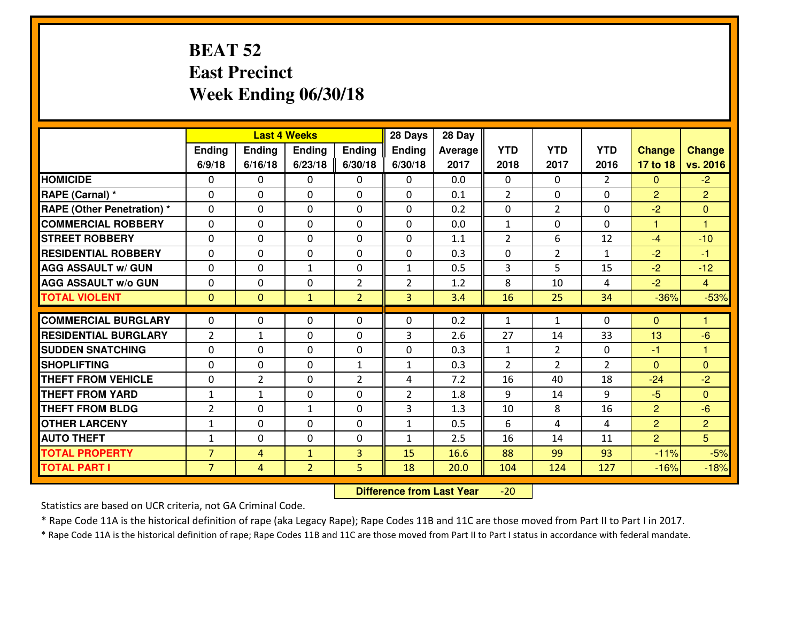## **BEAT 52 East PrecinctWeek Ending 06/30/18**

|                                   | <b>Last 4 Weeks</b> |                |                |                | 28 Days        | 28 Day  |                |                |                |                |                      |
|-----------------------------------|---------------------|----------------|----------------|----------------|----------------|---------|----------------|----------------|----------------|----------------|----------------------|
|                                   | Ending              | Ending         | <b>Ending</b>  | Ending         | <b>Ending</b>  | Average | <b>YTD</b>     | <b>YTD</b>     | <b>YTD</b>     | <b>Change</b>  | <b>Change</b>        |
|                                   | 6/9/18              | 6/16/18        | 6/23/18        | 6/30/18        | 6/30/18        | 2017    | 2018           | 2017           | 2016           | 17 to 18       | vs. 2016             |
| <b>HOMICIDE</b>                   | $\Omega$            | 0              | $\Omega$       | 0              | $\Omega$       | 0.0     | 0              | $\Omega$       | $\mathfrak{D}$ | $\Omega$       | $-2$                 |
| RAPE (Carnal) *                   | $\mathbf{0}$        | 0              | $\mathbf{0}$   | 0              | $\Omega$       | 0.1     | 2              | $\mathbf{0}$   | 0              | 2              | $\overline{2}$       |
| <b>RAPE (Other Penetration) *</b> | $\Omega$            | 0              | $\mathbf{0}$   | $\Omega$       | $\Omega$       | 0.2     | $\Omega$       | $\overline{2}$ | 0              | $-2$           | $\mathbf{0}$         |
| <b>COMMERCIAL ROBBERY</b>         | $\mathbf{0}$        | 0              | $\mathbf 0$    | 0              | 0              | 0.0     | $\mathbf{1}$   | 0              | 0              | 1              | $\blacktriangleleft$ |
| <b>STREET ROBBERY</b>             | 0                   | 0              | $\mathbf 0$    | 0              | 0              | 1.1     | $\overline{2}$ | 6              | 12             | $-4$           | $-10$                |
| <b>RESIDENTIAL ROBBERY</b>        | $\Omega$            | $\Omega$       | $\mathbf 0$    | $\Omega$       | 0              | 0.3     | 0              | $\overline{2}$ | $\mathbf{1}$   | $-2$           | $-1$                 |
| <b>AGG ASSAULT w/ GUN</b>         | 0                   | 0              | $\mathbf{1}$   | 0              | $\mathbf{1}$   | 0.5     | 3              | 5              | 15             | $-2$           | $-12$                |
| <b>AGG ASSAULT W/o GUN</b>        | 0                   | 0              | $\mathbf 0$    | $\overline{2}$ | $\overline{2}$ | 1.2     | 8              | 10             | 4              | $-2$           | $\overline{4}$       |
| <b>TOTAL VIOLENT</b>              | $\mathbf{0}$        | $\overline{0}$ | $\mathbf{1}$   | $\overline{2}$ | 3              | 3.4     | 16             | 25             | 34             | $-36%$         | $-53%$               |
| <b>COMMERCIAL BURGLARY</b>        | $\Omega$            | 0              | $\mathbf{0}$   | $\Omega$       | $\Omega$       | 0.2     | $\mathbf{1}$   | $\mathbf{1}$   | 0              | $\Omega$       | 1                    |
| <b>RESIDENTIAL BURGLARY</b>       | $\overline{2}$      | $\mathbf{1}$   | $\mathbf 0$    | 0              | 3              | 2.6     | 27             | 14             | 33             | 13             | $-6$                 |
| <b>SUDDEN SNATCHING</b>           | 0                   | 0              | $\mathbf 0$    | 0              | 0              | 0.3     | $\mathbf{1}$   | $\overline{2}$ | 0              | $-1$           | 1                    |
| <b>SHOPLIFTING</b>                | 0                   | 0              | $\mathbf 0$    | $\mathbf{1}$   | $\mathbf{1}$   | 0.3     | $\overline{2}$ | $\overline{2}$ | $\overline{2}$ | $\overline{0}$ | $\overline{0}$       |
| <b>THEFT FROM VEHICLE</b>         | 0                   | $\overline{2}$ | $\mathbf 0$    | $\overline{2}$ | 4              | 7.2     | 16             | 40             | 18             | $-24$          | $-2$                 |
| <b>THEFT FROM YARD</b>            | $\mathbf 1$         | $\mathbf{1}$   | $\mathbf 0$    | 0              | $\overline{2}$ | 1.8     | 9              | 14             | 9              | $-5$           | $\overline{0}$       |
| <b>THEFT FROM BLDG</b>            | $\overline{2}$      | 0              | 1              | 0              | 3              | 1.3     | 10             | 8              | 16             | $\overline{2}$ | $-6$                 |
| <b>OTHER LARCENY</b>              | $\mathbf{1}$        | 0              | $\mathbf 0$    | 0              | $\mathbf{1}$   | 0.5     | 6              | 4              | 4              | $\overline{2}$ | $\overline{2}$       |
| <b>AUTO THEFT</b>                 | $\mathbf{1}$        | 0              | $\mathbf{0}$   | 0              | $\mathbf{1}$   | 2.5     | 16             | 14             | 11             | $\overline{2}$ | $5\overline{)}$      |
| <b>TOTAL PROPERTY</b>             | $\overline{7}$      | 4              | $\mathbf{1}$   | 3              | 15             | 16.6    | 88             | 99             | 93             | $-11%$         | $-5%$                |
| <b>TOTAL PART I</b>               | $\overline{7}$      | $\overline{4}$ | $\overline{2}$ | 5              | 18             | 20.0    | 104            | 124            | 127            | $-16%$         | $-18%$               |

 **Difference from Last Year**-20

Statistics are based on UCR criteria, not GA Criminal Code.

\* Rape Code 11A is the historical definition of rape (aka Legacy Rape); Rape Codes 11B and 11C are those moved from Part II to Part I in 2017.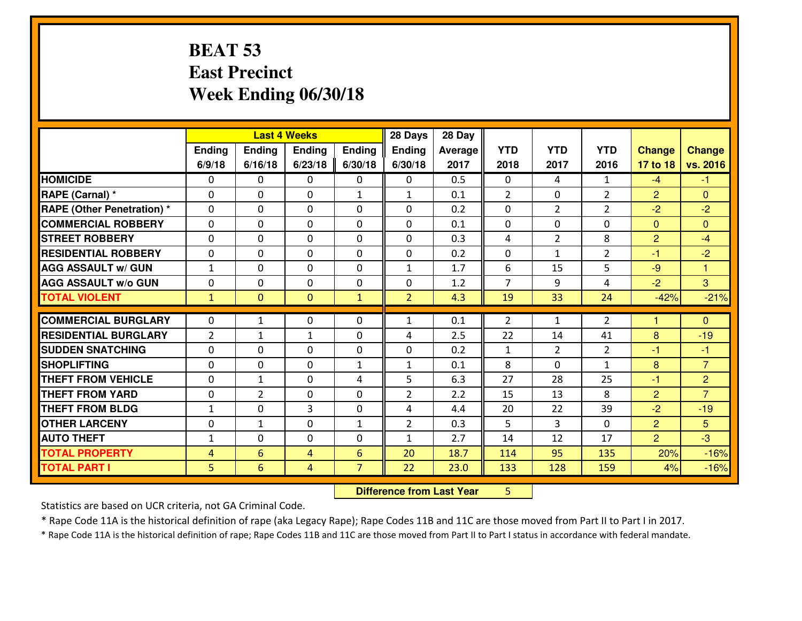#### **BEAT 53 East PrecinctWeek Ending 06/30/18**

|                                   |                |                 | <b>Last 4 Weeks</b> |                | 28 Days        | 28 Day  |                |                |                |                |                |
|-----------------------------------|----------------|-----------------|---------------------|----------------|----------------|---------|----------------|----------------|----------------|----------------|----------------|
|                                   | Ending         | <b>Ending</b>   | Ending              | <b>Ending</b>  | <b>Ending</b>  | Average | <b>YTD</b>     | <b>YTD</b>     | <b>YTD</b>     | <b>Change</b>  | <b>Change</b>  |
|                                   | 6/9/18         | 6/16/18         | 6/23/18             | 6/30/18        | 6/30/18        | 2017    | 2018           | 2017           | 2016           | 17 to 18       | vs. 2016       |
| <b>HOMICIDE</b>                   | 0              | 0               | $\mathbf{0}$        | 0              | $\mathbf{0}$   | 0.5     | $\mathbf{0}$   | 4              | $\mathbf{1}$   | $-4$           | $-1$           |
| RAPE (Carnal) *                   | $\mathbf{0}$   | 0               | $\mathbf 0$         | $\mathbf{1}$   | $\mathbf{1}$   | 0.1     | $\overline{2}$ | $\Omega$       | $\overline{2}$ | $\overline{2}$ | $\mathbf{0}$   |
| <b>RAPE (Other Penetration) *</b> | $\Omega$       | $\Omega$        | $\mathbf 0$         | $\Omega$       | $\Omega$       | 0.2     | $\Omega$       | $\overline{2}$ | $\overline{2}$ | $-2$           | $-2$           |
| <b>COMMERCIAL ROBBERY</b>         | 0              | 0               | $\mathbf 0$         | 0              | 0              | 0.1     | 0              | 0              | 0              | $\Omega$       | $\mathbf{0}$   |
| <b>STREET ROBBERY</b>             | $\Omega$       | 0               | $\mathbf{0}$        | $\Omega$       | $\Omega$       | 0.3     | 4              | $\overline{2}$ | 8              | $\overline{2}$ | $-4$           |
| <b>RESIDENTIAL ROBBERY</b>        | $\Omega$       | 0               | $\mathbf 0$         | $\Omega$       | 0              | 0.2     | $\Omega$       | $\mathbf{1}$   | $\overline{2}$ | $-1$           | $-2$           |
| <b>AGG ASSAULT W/ GUN</b>         | $\mathbf{1}$   | $\Omega$        | $\mathbf 0$         | $\Omega$       | $\mathbf{1}$   | 1.7     | 6              | 15             | 5              | $-9$           | 1              |
| <b>AGG ASSAULT W/o GUN</b>        | 0              | 0               | $\mathbf 0$         | 0              | 0              | 1.2     | $\overline{7}$ | 9              | 4              | $-2$           | $\mathbf{3}$   |
| <b>TOTAL VIOLENT</b>              | $\mathbf{1}$   | $\mathbf{0}$    | $\mathbf{0}$        | $\mathbf{1}$   | $\overline{2}$ | 4.3     | 19             | 33             | 24             | $-42%$         | $-21%$         |
| <b>COMMERCIAL BURGLARY</b>        | 0              | 1               | $\mathbf{0}$        | 0              | 1              | 0.1     | $\overline{2}$ | $\mathbf{1}$   | $\overline{2}$ |                | $\Omega$       |
|                                   |                |                 |                     |                |                |         |                |                |                |                |                |
| <b>RESIDENTIAL BURGLARY</b>       | 2              | $\mathbf{1}$    | $\mathbf{1}$        | 0              | 4              | 2.5     | 22             | 14             | 41             | 8              | $-19$          |
| <b>SUDDEN SNATCHING</b>           | 0              | 0               | $\mathbf 0$         | 0              | 0              | 0.2     | $\mathbf{1}$   | $\overline{2}$ | $\overline{2}$ | $-1$           | $-1$           |
| <b>SHOPLIFTING</b>                | $\mathbf{0}$   | 0               | $\mathbf{0}$        | $\mathbf{1}$   | 1              | 0.1     | 8              | 0              | $\mathbf{1}$   | 8              | $\overline{7}$ |
| <b>THEFT FROM VEHICLE</b>         | $\Omega$       | $\mathbf{1}$    | $\mathbf{0}$        | 4              | 5              | 6.3     | 27             | 28             | 25             | $-1$           | $\overline{2}$ |
| <b>THEFT FROM YARD</b>            | 0              | $\overline{2}$  | $\mathbf 0$         | $\Omega$       | $\overline{2}$ | 2.2     | 15             | 13             | 8              | $\overline{2}$ | $\overline{7}$ |
| <b>THEFT FROM BLDG</b>            | $\mathbf{1}$   | 0               | 3                   | 0              | 4              | 4.4     | 20             | 22             | 39             | $-2$           | $-19$          |
| <b>OTHER LARCENY</b>              | 0              | $\mathbf{1}$    | $\mathbf 0$         | $\mathbf{1}$   | $\overline{2}$ | 0.3     | 5              | 3              | $\Omega$       | $\overline{2}$ | 5 <sup>5</sup> |
| <b>AUTO THEFT</b>                 | $\mathbf{1}$   | 0               | $\mathbf 0$         | 0              | $\mathbf{1}$   | 2.7     | 14             | 12             | 17             | $\overline{2}$ | $-3$           |
|                                   |                |                 |                     |                |                |         |                |                |                |                |                |
| <b>TOTAL PROPERTY</b>             | $\overline{4}$ | $6\overline{6}$ | 4                   | $6\phantom{1}$ | 20             | 18.7    | 114            | 95             | 135            | 20%            | $-16%$         |

 **Difference from Last Year**<sup>5</sup>

Statistics are based on UCR criteria, not GA Criminal Code.

\* Rape Code 11A is the historical definition of rape (aka Legacy Rape); Rape Codes 11B and 11C are those moved from Part II to Part I in 2017.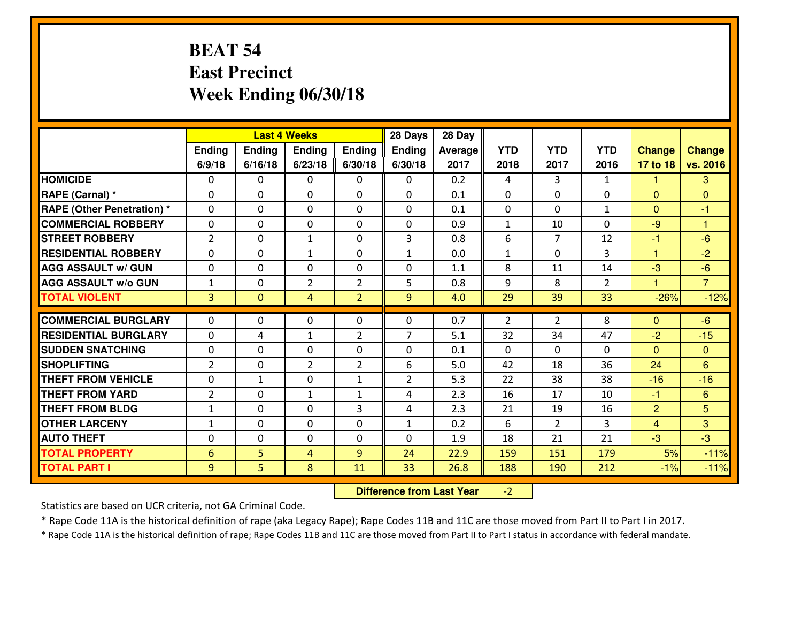## **BEAT 54 East PrecinctWeek Ending 06/30/18**

|                                   | <b>Last 4 Weeks</b> |                |                |                | 28 Days        | 28 Day  |              |                |                |                |                |
|-----------------------------------|---------------------|----------------|----------------|----------------|----------------|---------|--------------|----------------|----------------|----------------|----------------|
|                                   | Ending              | Ending         | <b>Ending</b>  | Ending         | <b>Ending</b>  | Average | <b>YTD</b>   | <b>YTD</b>     | <b>YTD</b>     | <b>Change</b>  | <b>Change</b>  |
|                                   | 6/9/18              | 6/16/18        | 6/23/18        | 6/30/18        | 6/30/18        | 2017    | 2018         | 2017           | 2016           | 17 to 18       | vs. 2016       |
| <b>HOMICIDE</b>                   | $\Omega$            | 0              | $\Omega$       | 0              | $\Omega$       | 0.2     | 4            | 3              | $\mathbf{1}$   | 1              | 3              |
| RAPE (Carnal) *                   | $\mathbf{0}$        | 0              | $\mathbf{0}$   | 0              | $\Omega$       | 0.1     | $\mathbf{0}$ | 0              | 0              | $\Omega$       | $\mathbf{0}$   |
| <b>RAPE (Other Penetration) *</b> | $\Omega$            | 0              | $\mathbf{0}$   | $\Omega$       | $\Omega$       | 0.1     | $\mathbf{0}$ | 0              | $\mathbf{1}$   | $\Omega$       | $-1$           |
| <b>COMMERCIAL ROBBERY</b>         | $\mathbf{0}$        | 0              | $\mathbf 0$    | 0              | 0              | 0.9     | $\mathbf{1}$ | 10             | 0              | $-9$           | $\overline{1}$ |
| <b>STREET ROBBERY</b>             | $\overline{2}$      | 0              | 1              | 0              | 3              | 0.8     | 6            | $\overline{7}$ | 12             | $-1$           | $-6$           |
| <b>RESIDENTIAL ROBBERY</b>        | $\Omega$            | $\Omega$       | $\mathbf{1}$   | $\Omega$       | $\mathbf{1}$   | 0.0     | $\mathbf{1}$ | $\Omega$       | 3              | $\mathbf{1}$   | $-2$           |
| <b>AGG ASSAULT w/ GUN</b>         | 0                   | 0              | $\mathbf 0$    | 0              | 0              | 1.1     | 8            | 11             | 14             | $-3$           | $-6$           |
| <b>AGG ASSAULT W/o GUN</b>        | $1\,$               | 0              | $\overline{2}$ | $\overline{2}$ | 5              | 0.8     | 9            | 8              | $\overline{2}$ | $\mathbf{1}$   | $\overline{7}$ |
| <b>TOTAL VIOLENT</b>              | 3                   | $\overline{0}$ | 4              | $\overline{2}$ | 9 <sup>°</sup> | 4.0     | 29           | 39             | 33             | $-26%$         | $-12%$         |
| <b>COMMERCIAL BURGLARY</b>        | $\Omega$            | 0              | $\mathbf{0}$   | $\Omega$       | $\Omega$       | 0.7     | 2            | $\overline{2}$ | 8              | $\Omega$       | $-6$           |
| <b>RESIDENTIAL BURGLARY</b>       | 0                   | 4              | $\mathbf{1}$   | $\overline{2}$ | $\overline{7}$ | 5.1     | 32           | 34             | 47             | $-2$           | $-15$          |
| <b>SUDDEN SNATCHING</b>           | 0                   | 0              | 0              | 0              | 0              | 0.1     | 0            | 0              | 0              | $\overline{0}$ | $\overline{0}$ |
| <b>SHOPLIFTING</b>                | $\overline{2}$      | 0              | $\overline{2}$ | $\overline{2}$ | 6              | 5.0     | 42           | 18             | 36             | 24             | 6              |
| <b>THEFT FROM VEHICLE</b>         | 0                   | $\mathbf{1}$   | $\mathbf 0$    | $\mathbf{1}$   | $\overline{2}$ | 5.3     | 22           | 38             | 38             | $-16$          | $-16$          |
| <b>THEFT FROM YARD</b>            | $\overline{2}$      | 0              | 1              | $\mathbf{1}$   | 4              | 2.3     | 16           | 17             | 10             | $-1$           | 6              |
| <b>THEFT FROM BLDG</b>            | $\mathbf{1}$        | 0              | $\mathbf 0$    | 3              | 4              | 2.3     | 21           | 19             | 16             | $\overline{2}$ | 5              |
| <b>OTHER LARCENY</b>              | $\mathbf{1}$        | 0              | $\mathbf 0$    | 0              | $\mathbf{1}$   | 0.2     | 6            | $\overline{2}$ | 3              | $\overline{4}$ | 3              |
| <b>AUTO THEFT</b>                 | $\mathbf{0}$        | 0              | $\mathbf{0}$   | 0              | 0              | 1.9     | 18           | 21             | 21             | $-3$           | $-3$           |
| <b>TOTAL PROPERTY</b>             | $6\phantom{1}6$     | 5              | 4              | 9              | 24             | 22.9    | 159          | 151            | 179            | 5%             | $-11%$         |
| <b>TOTAL PART I</b>               | 9                   | 5              | 8              | 11             | 33             | 26.8    | 188          | 190            | 212            | $-1%$          | $-11%$         |

 **Difference from Last Year** $-2$  |

Statistics are based on UCR criteria, not GA Criminal Code.

\* Rape Code 11A is the historical definition of rape (aka Legacy Rape); Rape Codes 11B and 11C are those moved from Part II to Part I in 2017.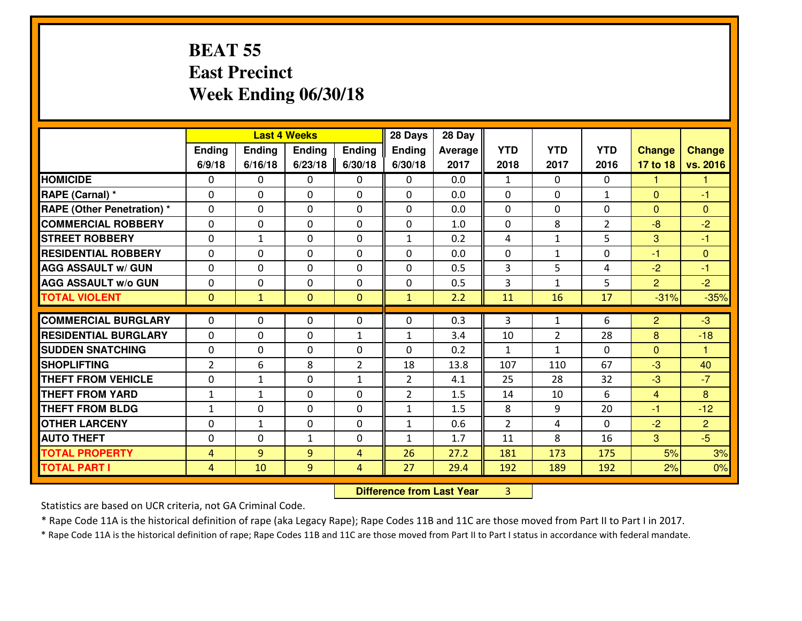### **BEAT 55 East PrecinctWeek Ending 06/30/18**

| Ending                                                                                                                                                                                                              | Ending       |                                                                                 | 28 Days<br><b>Last 4 Weeks</b>                                                                               |                                                                                          |                                                                                                                    |                                                                      |                                                                                |                                                                                         |                                                       |                                                                                                    |
|---------------------------------------------------------------------------------------------------------------------------------------------------------------------------------------------------------------------|--------------|---------------------------------------------------------------------------------|--------------------------------------------------------------------------------------------------------------|------------------------------------------------------------------------------------------|--------------------------------------------------------------------------------------------------------------------|----------------------------------------------------------------------|--------------------------------------------------------------------------------|-----------------------------------------------------------------------------------------|-------------------------------------------------------|----------------------------------------------------------------------------------------------------|
|                                                                                                                                                                                                                     |              | <b>Ending</b>                                                                   | Ending                                                                                                       | Ending                                                                                   | Average                                                                                                            | <b>YTD</b>                                                           | <b>YTD</b>                                                                     | <b>YTD</b>                                                                              | <b>Change</b>                                         | <b>Change</b>                                                                                      |
| 6/9/18                                                                                                                                                                                                              | 6/16/18      | 6/23/18                                                                         | 6/30/18                                                                                                      | 6/30/18                                                                                  | 2017                                                                                                               | 2018                                                                 | 2017                                                                           | 2016                                                                                    | 17 to 18                                              | vs. 2016                                                                                           |
|                                                                                                                                                                                                                     | 0            | $\Omega$                                                                        | 0                                                                                                            | $\Omega$                                                                                 | 0.0                                                                                                                | $\mathbf{1}$                                                         | $\Omega$                                                                       | 0                                                                                       | 1                                                     | 1                                                                                                  |
|                                                                                                                                                                                                                     | 0            | $\mathbf{0}$                                                                    | 0                                                                                                            | $\Omega$                                                                                 | 0.0                                                                                                                | $\mathbf{0}$                                                         | $\mathbf{0}$                                                                   | $\mathbf{1}$                                                                            | $\Omega$                                              | $-1$                                                                                               |
|                                                                                                                                                                                                                     | 0            | $\mathbf{0}$                                                                    | $\Omega$                                                                                                     | $\Omega$                                                                                 | 0.0                                                                                                                | $\Omega$                                                             | 0                                                                              | 0                                                                                       | $\Omega$                                              | $\Omega$                                                                                           |
|                                                                                                                                                                                                                     | 0            | $\mathbf 0$                                                                     | 0                                                                                                            | 0                                                                                        | 1.0                                                                                                                | $\mathbf{0}$                                                         | 8                                                                              | $\overline{2}$                                                                          | $-8$                                                  | $-2$                                                                                               |
|                                                                                                                                                                                                                     | $\mathbf{1}$ | $\mathbf 0$                                                                     | 0                                                                                                            | $\mathbf{1}$                                                                             | 0.2                                                                                                                | 4                                                                    | $\mathbf{1}$                                                                   | 5                                                                                       | 3                                                     | $-1$                                                                                               |
|                                                                                                                                                                                                                     | $\Omega$     | $\mathbf 0$                                                                     | $\Omega$                                                                                                     | 0                                                                                        | 0.0                                                                                                                | 0                                                                    | $\mathbf{1}$                                                                   | 0                                                                                       | $-1$                                                  | $\Omega$                                                                                           |
|                                                                                                                                                                                                                     | 0            | $\mathbf 0$                                                                     | 0                                                                                                            | 0                                                                                        | 0.5                                                                                                                | $\overline{3}$                                                       | 5                                                                              | 4                                                                                       | $-2$                                                  | $-1$                                                                                               |
|                                                                                                                                                                                                                     | 0            | $\mathbf 0$                                                                     | $\mathbf 0$                                                                                                  | 0                                                                                        | 0.5                                                                                                                | 3                                                                    | $\mathbf{1}$                                                                   | 5                                                                                       | $\overline{2}$                                        | $-2$                                                                                               |
|                                                                                                                                                                                                                     | $\mathbf{1}$ | $\overline{0}$                                                                  | $\mathbf{0}$                                                                                                 | $\mathbf{1}$                                                                             | 2.2                                                                                                                | 11                                                                   | 16                                                                             | 17                                                                                      | $-31%$                                                | $-35%$                                                                                             |
|                                                                                                                                                                                                                     |              |                                                                                 |                                                                                                              |                                                                                          |                                                                                                                    |                                                                      |                                                                                |                                                                                         |                                                       | $-3$                                                                                               |
|                                                                                                                                                                                                                     |              |                                                                                 |                                                                                                              |                                                                                          |                                                                                                                    |                                                                      |                                                                                |                                                                                         |                                                       | $-18$                                                                                              |
|                                                                                                                                                                                                                     |              |                                                                                 |                                                                                                              |                                                                                          |                                                                                                                    |                                                                      |                                                                                |                                                                                         |                                                       | $\overline{1}$                                                                                     |
|                                                                                                                                                                                                                     |              |                                                                                 |                                                                                                              |                                                                                          |                                                                                                                    |                                                                      |                                                                                |                                                                                         |                                                       | 40                                                                                                 |
|                                                                                                                                                                                                                     |              |                                                                                 |                                                                                                              |                                                                                          |                                                                                                                    |                                                                      |                                                                                |                                                                                         |                                                       | $-7$                                                                                               |
|                                                                                                                                                                                                                     |              |                                                                                 |                                                                                                              |                                                                                          |                                                                                                                    |                                                                      |                                                                                |                                                                                         |                                                       | 8                                                                                                  |
|                                                                                                                                                                                                                     |              |                                                                                 |                                                                                                              |                                                                                          |                                                                                                                    |                                                                      |                                                                                |                                                                                         |                                                       | $-12$                                                                                              |
|                                                                                                                                                                                                                     |              |                                                                                 |                                                                                                              |                                                                                          |                                                                                                                    |                                                                      |                                                                                |                                                                                         |                                                       | $\overline{2}$                                                                                     |
|                                                                                                                                                                                                                     |              |                                                                                 |                                                                                                              |                                                                                          |                                                                                                                    |                                                                      |                                                                                |                                                                                         |                                                       | $-5$                                                                                               |
|                                                                                                                                                                                                                     |              |                                                                                 |                                                                                                              |                                                                                          |                                                                                                                    |                                                                      |                                                                                |                                                                                         |                                                       | 3%                                                                                                 |
|                                                                                                                                                                                                                     | 10           | 9                                                                               | 4                                                                                                            | 27                                                                                       | 29.4                                                                                                               | 192                                                                  | 189                                                                            | 192                                                                                     | 2%                                                    | 0%                                                                                                 |
| $\Omega$<br>$\mathbf{0}$<br>$\Omega$<br>0<br>0<br>$\Omega$<br>$\Omega$<br>0<br>$\mathbf{0}$<br>$\Omega$<br>0<br>0<br>$\overline{2}$<br>0<br>$\mathbf 1$<br>$\mathbf{1}$<br>0<br>$\mathbf{0}$<br>4<br>$\overline{4}$ |              | 0<br>0<br>0<br>6<br>$\mathbf{1}$<br>$\mathbf{1}$<br>0<br>$\mathbf{1}$<br>0<br>9 | $\mathbf{0}$<br>0<br>0<br>8<br>$\mathbf 0$<br>$\mathbf 0$<br>$\mathbf 0$<br>$\mathbf 0$<br>$\mathbf{1}$<br>9 | $\Omega$<br>$\mathbf{1}$<br>0<br>$\overline{2}$<br>$\mathbf{1}$<br>0<br>0<br>0<br>0<br>4 | $\Omega$<br>1<br>0<br>18<br>$\overline{2}$<br>$\overline{2}$<br>$\mathbf{1}$<br>$\mathbf{1}$<br>$\mathbf{1}$<br>26 | 0.3<br>3.4<br>0.2<br>13.8<br>4.1<br>1.5<br>1.5<br>0.6<br>1.7<br>27.2 | 3<br>10<br>$\mathbf{1}$<br>107<br>25<br>14<br>8<br>$\overline{2}$<br>11<br>181 | $\mathbf{1}$<br>$\overline{2}$<br>$\mathbf{1}$<br>110<br>28<br>10<br>9<br>4<br>8<br>173 | 6<br>28<br>0<br>67<br>32<br>6<br>20<br>0<br>16<br>175 | $\overline{2}$<br>8<br>$\overline{0}$<br>$-3$<br>$-3$<br>$\overline{4}$<br>$-1$<br>$-2$<br>3<br>5% |

 **Difference from Last Year**<sup>3</sup>

Statistics are based on UCR criteria, not GA Criminal Code.

\* Rape Code 11A is the historical definition of rape (aka Legacy Rape); Rape Codes 11B and 11C are those moved from Part II to Part I in 2017.